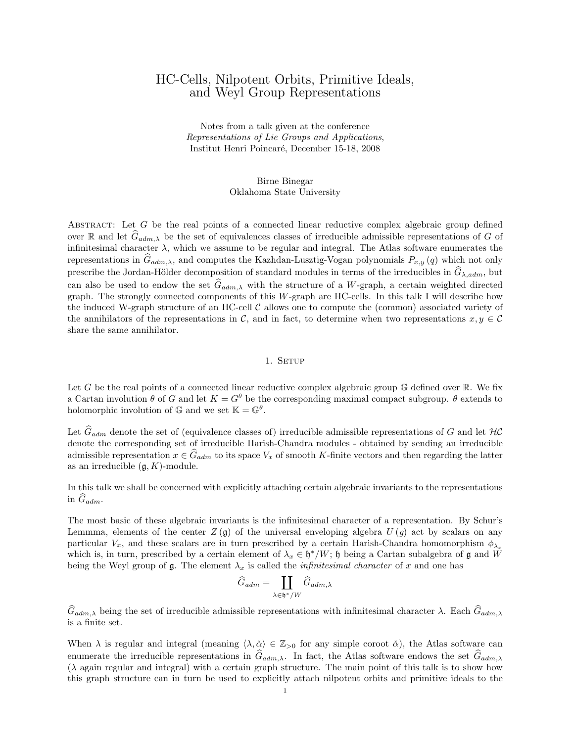# HC-Cells, Nilpotent Orbits, Primitive Ideals, and Weyl Group Representations

Notes from a talk given at the conference Representations of Lie Groups and Applications, Institut Henri Poincar´e, December 15-18, 2008

> Birne Binegar Oklahoma State University

ABSTRACT: Let  $G$  be the real points of a connected linear reductive complex algebraic group defined over R and let  $\hat{G}_{adm,\lambda}$  be the set of equivalences classes of irreducible admissible representations of G of infinitesimal character  $\lambda$ , which we assume to be regular and integral. The Atlas software enumerates the representations in  $G_{adm,\lambda}$ , and computes the Kazhdan-Lusztig-Vogan polynomials  $P_{x,y} (q)$  which not only prescribe the Jordan-Hölder decomposition of standard modules in terms of the irreducibles in  $\hat{G}_{\lambda, adm}$ , but can also be used to endow the set  $\hat{G}_{adm,\lambda}$  with the structure of a W-graph, a certain weighted directed graph. The strongly connected components of this W-graph are HC-cells. In this talk I will describe how the induced W-graph structure of an HC-cell  $\mathcal C$  allows one to compute the (common) associated variety of the annihilators of the representations in C, and in fact, to determine when two representations  $x, y \in C$ share the same annihilator.

### 1. SETUP

Let G be the real points of a connected linear reductive complex algebraic group  $\mathbb{G}$  defined over  $\mathbb{R}$ . We fix a Cartan involution  $\theta$  of G and let  $K = G^{\theta}$  be the corresponding maximal compact subgroup.  $\theta$  extends to holomorphic involution of  $\mathbb{G}$  and we set  $\mathbb{K} = \mathbb{G}^{\theta}$ .

Let  $\hat{G}_{adm}$  denote the set of (equivalence classes of) irreducible admissible representations of G and let  $\mathcal{HC}$ denote the corresponding set of irreducible Harish-Chandra modules - obtained by sending an irreducible admissible representation  $x \in \hat{G}_{adm}$  to its space  $V_x$  of smooth K-finite vectors and then regarding the latter as an irreducible  $(\mathfrak{g}, K)$ -module.

In this talk we shall be concerned with explicitly attaching certain algebraic invariants to the representations in  $\widehat{G}_{adm}$ .

The most basic of these algebraic invariants is the infinitesimal character of a representation. By Schur's Lemmma, elements of the center  $Z(\mathfrak{g})$  of the universal enveloping algebra  $U(q)$  act by scalars on any particular  $V_x$ , and these scalars are in turn prescribed by a certain Harish-Chandra homomorphism  $\phi_{\lambda}$ which is, in turn, prescribed by a certain element of  $\lambda_x \in \mathfrak{h}^*/W$ ;  $\mathfrak{h}$  being a Cartan subalgebra of  $\mathfrak g$  and  $\tilde{W}$ being the Weyl group of  $\mathfrak g$ . The element  $\lambda_x$  is called the *infinitesimal character* of x and one has

$$
\widehat{G}_{adm} = \coprod_{\lambda \in \mathfrak{h}^*/W} \widehat{G}_{adm, \lambda}
$$

 $G_{adm,\lambda}$  being the set of irreducible admissible representations with infinitesimal character  $\lambda$ . Each  $G_{adm,\lambda}$ is a finite set.

When  $\lambda$  is regular and integral (meaning  $\langle \lambda, \check{\alpha} \rangle \in \mathbb{Z}_{>0}$  for any simple coroot  $\check{\alpha}$ ), the Atlas software can enumerate the irreducible representations in  $\hat{G}_{adm,\lambda}$ . In fact, the Atlas software endows the set  $\hat{G}_{adm,\lambda}$  $(\lambda$  again regular and integral) with a certain graph structure. The main point of this talk is to show how this graph structure can in turn be used to explicitly attach nilpotent orbits and primitive ideals to the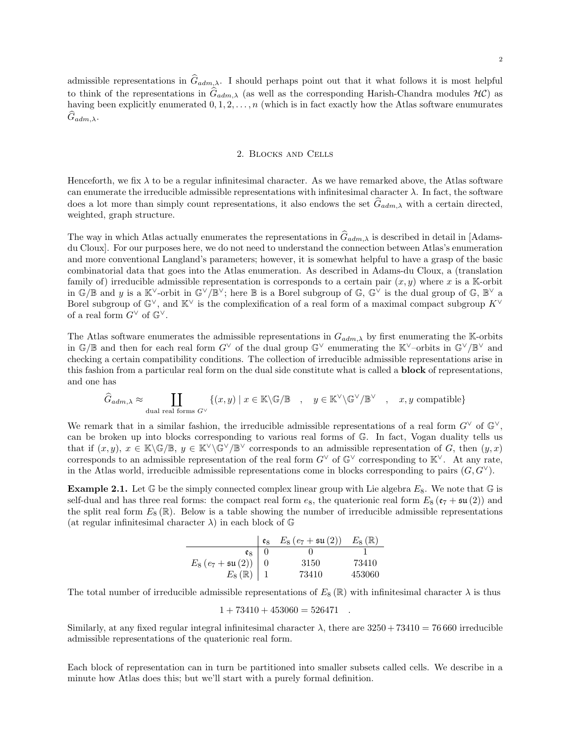admissible representations in  $\hat{G}_{adm,\lambda}$ . I should perhaps point out that it what follows it is most helpful to think of the representations in  $\hat{G}_{adm,\lambda}$  (as well as the corresponding Harish-Chandra modules  $H\mathcal{C}$ ) as having been explicitly enumerated  $0, 1, 2, \ldots, n$  (which is in fact exactly how the Atlas software enumurates  $G_{adm,\lambda}$ .

### 2. Blocks and Cells

Henceforth, we fix  $\lambda$  to be a regular infinitesimal character. As we have remarked above, the Atlas software can enumerate the irreducible admissible representations with infinitesimal character  $\lambda$ . In fact, the software does a lot more than simply count representations, it also endows the set  $\hat{G}_{adm,\lambda}$  with a certain directed, weighted, graph structure.

The way in which Atlas actually enumerates the representations in  $\hat{G}_{adm,\lambda}$  is described in detail in [Adamsdu Cloux]. For our purposes here, we do not need to understand the connection between Atlas's enumeration and more conventional Langland's parameters; however, it is somewhat helpful to have a grasp of the basic combinatorial data that goes into the Atlas enumeration. As described in Adams-du Cloux, a (translation family of) irreducible admissible representation is corresponds to a certain pair  $(x, y)$  where x is a K-orbit in  $\mathbb{G}/\mathbb{B}$  and y is a  $\mathbb{K}^{\vee}$ -orbit in  $\mathbb{G}^{\vee}/\mathbb{B}^{\vee}$ ; here  $\mathbb{B}$  is a Borel subgroup of  $\mathbb{G}$ ,  $\mathbb{G}^{\vee}$  is the dual group of  $\mathbb{G}$ ,  $\mathbb{B}^{\vee}$  a Borel subgroup of  $\mathbb{G}^{\vee}$ , and  $\mathbb{K}^{\vee}$  is the complexification of a real form of a maximal compact subgroup  $K^{\vee}$ of a real form  $G^{\vee}$  of  $\mathbb{G}^{\vee}$ .

The Atlas software enumerates the admissible representations in  $G_{adm,\lambda}$  by first enumerating the K-orbits in  $\mathbb{G}/\mathbb{B}$  and then for each real form  $G^{\vee}$  of the dual group  $\mathbb{G}^{\vee}$  enumerating the  $\mathbb{K}^{\vee}$ -orbits in  $\mathbb{G}^{\vee}/\mathbb{B}^{\vee}$  and checking a certain compatibility conditions. The collection of irreducible admissible representations arise in this fashion from a particular real form on the dual side constitute what is called a block of representations, and one has

$$
\widehat{G}_{adm,\lambda} \approx \coprod_{\text{dual real forms } G^\vee} \{ (x,y) \mid x \in \mathbb{K} \backslash \mathbb{G}/\mathbb{B} \quad , \quad y \in \mathbb{K}^\vee \backslash \mathbb{G}^\vee / \mathbb{B}^\vee \quad , \quad x,y \text{ compatible} \}
$$

We remark that in a similar fashion, the irreducible admissible representations of a real form  $G^{\vee}$  of  $\mathbb{G}^{\vee}$ . can be broken up into blocks corresponding to various real forms of G. In fact, Vogan duality tells us that if  $(x, y)$ ,  $x \in \mathbb{K}\backslash\mathbb{G}/\mathbb{B}$ ,  $y \in \mathbb{K}^{\vee}\backslash\mathbb{G}^{\vee}/\mathbb{B}^{\vee}$  corresponds to an admissible representation of G, then  $(y, x)$ corresponds to an admissible representation of the real form  $G^{\vee}$  of  $\mathbb{G}^{\vee}$  corresponding to  $\mathbb{K}^{\vee}$ . At any rate, in the Atlas world, irreducible admissible representations come in blocks corresponding to pairs  $(G, G^{\vee})$ .

**Example 2.1.** Let  $\mathbb{G}$  be the simply connected complex linear group with Lie algebra  $E_8$ . We note that  $\mathbb{G}$  is self-dual and has three real forms: the compact real form  $e_8$ , the quaterionic real form  $E_8$  ( $e_7 + \text{su}(2)$ ) and the split real form  $E_8(\mathbb{R})$ . Below is a table showing the number of irreducible admissible representations (at regular infinitesimal character  $\lambda$ ) in each block of G

|                               | $\mathfrak{e}_8$ | $E_8(e_7 + \mathfrak{su}(2))$ | $E_8(\mathbb{R})$ |
|-------------------------------|------------------|-------------------------------|-------------------|
| $\mathfrak{e}_8$              |                  |                               |                   |
| $E_8(e_7 + \mathfrak{su}(2))$ |                  | 3150                          | 73410             |
| $E_8(\mathbb{R})$             |                  | 73410                         | 453060            |

The total number of irreducible admissible representations of  $E_8(\mathbb{R})$  with infinitesimal character  $\lambda$  is thus

 $1 + 73410 + 453060 = 526471$ 

Similarly, at any fixed regular integral infinitesimal character  $\lambda$ , there are  $3250 + 73410 = 76660$  irreducible admissible representations of the quaterionic real form.

Each block of representation can in turn be partitioned into smaller subsets called cells. We describe in a minute how Atlas does this; but we'll start with a purely formal definition.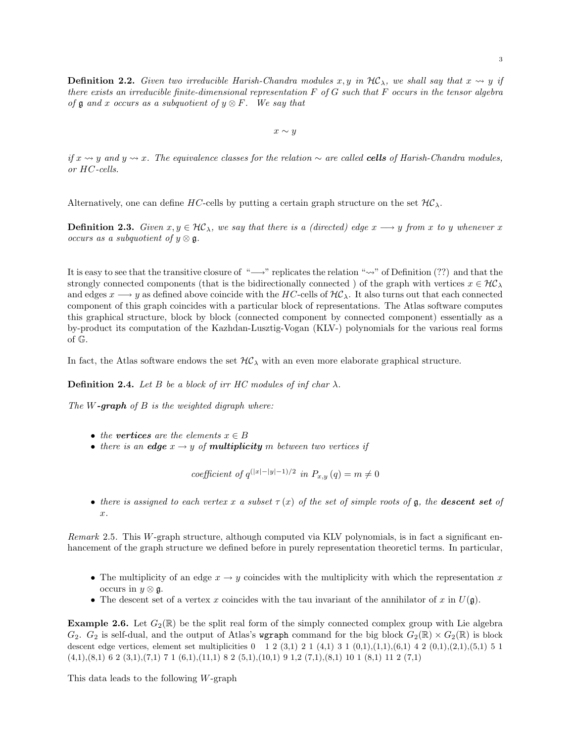**Definition 2.2.** Given two irreducible Harish-Chandra modules x, y in  $H\mathcal{C}_\lambda$ , we shall say that  $x \rightsquigarrow y$  if there exists an irreducible finite-dimensional representation  $F$  of  $G$  such that  $F$  occurs in the tensor algebra of  $\mathfrak g$  and x occurs as a subquotient of  $y \otimes F$ . We say that

 $x \sim y$ 

*if*  $x \rightsquigarrow y$  and  $y \rightsquigarrow x$ . The equivalence classes for the relation  $\sim$  are called **cells** of Harish-Chandra modules, or HC-cells.

Alternatively, one can define HC-cells by putting a certain graph structure on the set  $H\mathcal{C}_{\lambda}$ .

**Definition 2.3.** Given  $x, y \in \mathcal{HC}_\lambda$ , we say that there is a (directed) edge  $x \longrightarrow y$  from x to y whenever x occurs as a subquotient of  $y \otimes \mathfrak{g}$ .

It is easy to see that the transitive closure of "→" replicates the relation "<sub>"</sub>" of Definition (??) and that the strongly connected components (that is the bidirectionally connected) of the graph with vertices  $x \in \mathcal{HC}_\lambda$ and edges  $x \rightarrow y$  as defined above coincide with the HC-cells of  $H\mathcal{C}_\lambda$ . It also turns out that each connected component of this graph coincides with a particular block of representations. The Atlas software computes this graphical structure, block by block (connected component by connected component) essentially as a by-product its computation of the Kazhdan-Lusztig-Vogan (KLV-) polynomials for the various real forms of G.

In fact, the Atlas software endows the set  $H\mathcal{C}_\lambda$  with an even more elaborate graphical structure.

**Definition 2.4.** Let B be a block of irr HC modules of inf char  $\lambda$ .

The  $W$ -graph of  $B$  is the weighted digraph where:

- the vertices are the elements  $x \in B$
- there is an edge  $x \rightarrow y$  of multiplicity m between two vertices if

coefficient of  $q^{(|x|-|y|-1)/2}$  in  $P_{x,y}(q) = m \neq 0$ 

• there is assigned to each vertex x a subset  $\tau(x)$  of the set of simple roots of g, the **descent set** of x.

Remark 2.5. This W-graph structure, although computed via KLV polynomials, is in fact a significant enhancement of the graph structure we defined before in purely representation theoreticl terms. In particular,

- The multiplicity of an edge  $x \to y$  coincides with the multiplicity with which the representation x occurs in  $y \otimes \mathfrak{g}$ .
- The descent set of a vertex x coincides with the tau invariant of the annihilator of x in  $U(\mathfrak{g})$ .

**Example 2.6.** Let  $G_2(\mathbb{R})$  be the split real form of the simply connected complex group with Lie algebra  $G_2$ .  $G_2$  is self-dual, and the output of Atlas's wgraph command for the big block  $G_2(\mathbb{R}) \times G_2(\mathbb{R})$  is block descent edge vertices, element set multiplicities  $0 \quad 1 \quad 2 \quad (3,1) \quad 2 \quad 1 \quad (4,1) \quad 3 \quad 1 \quad (0,1), (1,1), (6,1) \quad 4 \quad 2 \quad (0,1), (2,1), (5,1) \quad 5 \quad 1$  $(4,1),(8,1)$  6 2  $(3,1),(7,1)$  7 1  $(6,1),(11,1)$  8 2  $(5,1),(10,1)$  9 1,2  $(7,1),(8,1)$  10 1  $(8,1)$  11 2  $(7,1)$ 

This data leads to the following W-graph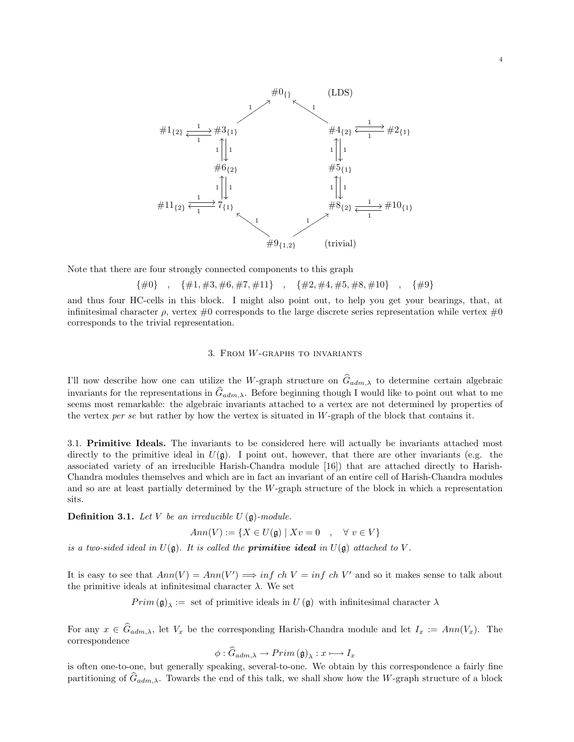

Note that there are four strongly connected components to this graph

$$
\{\#0\} \quad , \quad \{\#1, \#3, \#6, \#7, \#11\} \quad , \quad \{\#2, \#4, \#5, \#8, \#10\} \quad , \quad \{\#9\}
$$

and thus four HC-cells in this block. I might also point out, to help you get your bearings, that, at infinitesimal character  $\rho$ , vertex  $\#0$  corresponds to the large discrete series representation while vertex  $\#0$ corresponds to the trivial representation.

#### 3. From W-graphs to invariants

I'll now describe how one can utilize the W-graph structure on  $\hat{G}_{adm,\lambda}$  to determine certain algebraic invariants for the representations in  $\hat{G}_{adm,\lambda}$ . Before beginning though I would like to point out what to me seems most remarkable: the algebraic invariants attached to a vertex are not determined by properties of the vertex per se but rather by how the vertex is situated in  $W$ -graph of the block that contains it.

3.1. Primitive Ideals. The invariants to be considered here will actually be invariants attached most directly to the primitive ideal in  $U(\mathfrak{g})$ . I point out, however, that there are other invariants (e.g. the associated variety of an irreducible Harish-Chandra module [16]) that are attached directly to Harish-Chandra modules themselves and which are in fact an invariant of an entire cell of Harish-Chandra modules and so are at least partially determined by the W-graph structure of the block in which a representation sits.

**Definition 3.1.** Let V be an irreducible  $U(\mathfrak{g})$ -module.

 $Ann(V) := \{ X \in U(\mathfrak{g}) \mid Xv = 0 \quad , \quad \forall v \in V \}$ 

is a two-sided ideal in  $U(\mathfrak{g})$ . It is called the **primitive ideal** in  $U(\mathfrak{g})$  attached to V.

It is easy to see that  $Ann(V) = Ann(V') \Longrightarrow inf \ ch \ V = inf \ ch \ V'$  and so it makes sense to talk about the primitive ideals at infinitesimal character  $\lambda$ . We set

 $Prim(\mathfrak{g})_{\lambda} :=$  set of primitive ideals in  $U(\mathfrak{g})$  with infinitesimal character  $\lambda$ 

For any  $x \in \hat{G}_{adm,\lambda}$ , let  $V_x$  be the corresponding Harish-Chandra module and let  $I_x := Ann(V_x)$ . The correspondence

$$
\phi: \widehat{G}_{adm,\lambda} \to Prim\left(\mathfrak{g}\right)_{\lambda}: x \longmapsto I_x
$$

is often one-to-one, but generally speaking, several-to-one. We obtain by this correspondence a fairly fine partitioning of  $G_{adm,\lambda}$ . Towards the end of this talk, we shall show how the W-graph structure of a block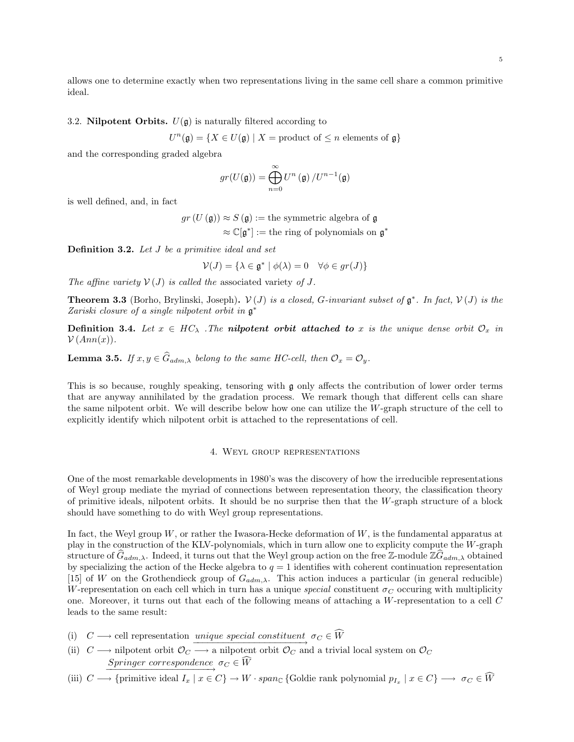allows one to determine exactly when two representations living in the same cell share a common primitive ideal.

### 3.2. Nilpotent Orbits.  $U(\mathfrak{g})$  is naturally filtered according to

 $U^{n}(\mathfrak{g}) = \{X \in U(\mathfrak{g}) \mid X = \text{product of } \leq n \text{ elements of } \mathfrak{g}\}\$ 

and the corresponding graded algebra

$$
gr(U(\mathfrak{g}))=\bigoplus_{n=0}^{\infty}U^n\left(\mathfrak{g}\right)/U^{n-1}(\mathfrak{g})
$$

is well defined, and, in fact

 $gr(U(\mathfrak{g})) \approx S(\mathfrak{g}) :=$  the symmetric algebra of  $\mathfrak{g}$  $\approx \mathbb{C}[\mathfrak{g}^*] :=$  the ring of polynomials on  $\mathfrak{g}^*$ 

Definition 3.2. Let J be a primitive ideal and set

$$
\mathcal{V}(J) = \{ \lambda \in \mathfrak{g}^* \mid \phi(\lambda) = 0 \quad \forall \phi \in gr(J) \}
$$

The affine variety  $V(J)$  is called the associated variety of J.

**Theorem 3.3** (Borho, Brylinski, Joseph).  $V(J)$  is a closed, G-invariant subset of  $\mathfrak{g}^*$ . In fact,  $V(J)$  is the Zariski closure of a single nilpotent orbit in g ∗

**Definition 3.4.** Let  $x \in HC_\lambda$  . The **nilpotent orbit attached to** x is the unique dense orbit  $\mathcal{O}_x$  in  $\mathcal{V}(Ann(x)).$ 

**Lemma 3.5.** If  $x, y \in \widehat{G}_{adm,\lambda}$  belong to the same HC-cell, then  $\mathcal{O}_x = \mathcal{O}_y$ .

This is so because, roughly speaking, tensoring with g only affects the contribution of lower order terms that are anyway annihilated by the gradation process. We remark though that different cells can share the same nilpotent orbit. We will describe below how one can utilize the W-graph structure of the cell to explicitly identify which nilpotent orbit is attached to the representations of cell.

#### 4. Weyl group representations

One of the most remarkable developments in 1980's was the discovery of how the irreducible representations of Weyl group mediate the myriad of connections between representation theory, the classification theory of primitive ideals, nilpotent orbits. It should be no surprise then that the W-graph structure of a block should have something to do with Weyl group representations.

In fact, the Weyl group  $W$ , or rather the Iwasora-Hecke deformation of  $W$ , is the fundamental apparatus at play in the construction of the KLV-polynomials, which in turn allow one to explicity compute the W-graph structure of  $G_{adm,\lambda}$ . Indeed, it turns out that the Weyl group action on the free Z-module  $\mathbb{Z}G_{adm,\lambda}$  obtained by specializing the action of the Hecke algebra to  $q = 1$  identifies with coherent continuation representation [15] of W on the Grothendieck group of  $G_{adm,\lambda}$ . This action induces a particular (in general reducible) W-representation on each cell which in turn has a unique special constituent  $\sigma_C$  occuring with multiplicity one. Moreover, it turns out that each of the following means of attaching a W-representation to a cell C leads to the same result:

- (i)  $C \longrightarrow$  cell representation <u>unique special constituent</u>  $\sigma_C \in W$  $\overrightarrow{u}$  +  $\overrightarrow{u}$  +  $\overrightarrow{v}$
- (ii)  $C \longrightarrow$  nilpotent orbit  $\mathcal{O}_C \longrightarrow$  a nilpotent orbit  $\mathcal{O}_C$  and a trivial local system on  $\mathcal{O}_C$  $\begin{array}{lcl} Springer\,\,correspondence & \sigma_{C} \in W \end{array}$
- (iii)  $C \longrightarrow \{\text{primitive ideal } I_x \mid x \in C\} \longrightarrow W \cdot span_{\mathbb{C}} \{\text{Goldie rank polynomial } p_{I_x} \mid x \in C\} \longrightarrow \sigma_C \in W$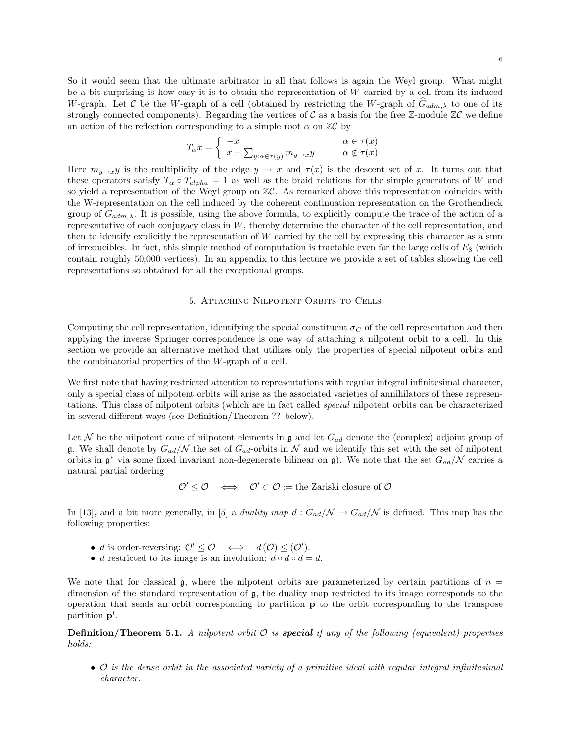$$
T_{\alpha}x = \begin{cases} -x & \alpha \in \tau(x) \\ x + \sum_{y:\alpha \in \tau(y)} m_{y \to x}y & \alpha \notin \tau(x) \end{cases}
$$

Here  $m_{y\to x}y$  is the multiplicity of the edge  $y \to x$  and  $\tau(x)$  is the descent set of x. It turns out that these operators satisfy  $T_{\alpha} \circ T_{alpha} = 1$  as well as the braid relations for the simple generators of W and so yield a representation of the Weyl group on  $\mathbb{Z}C$ . As remarked above this representation coincides with the W-representation on the cell induced by the coherent continuation representation on the Grothendieck group of  $G_{adm,\lambda}$ . It is possible, using the above formula, to explicitly compute the trace of the action of a representative of each conjugacy class in  $W$ , thereby determine the character of the cell representation, and then to identify explicitly the representation of  $W$  carried by the cell by expressing this character as a sum of irreducibles. In fact, this simple method of computation is tractable even for the large cells of  $E_8$  (which contain roughly 50,000 vertices). In an appendix to this lecture we provide a set of tables showing the cell representations so obtained for all the exceptional groups.

### 5. Attaching Nilpotent Orbits to Cells

Computing the cell representation, identifying the special constituent  $\sigma_C$  of the cell representation and then applying the inverse Springer correspondence is one way of attaching a nilpotent orbit to a cell. In this section we provide an alternative method that utilizes only the properties of special nilpotent orbits and the combinatorial properties of the W-graph of a cell.

We first note that having restricted attention to representations with regular integral infinitesimal character, only a special class of nilpotent orbits will arise as the associated varieties of annihilators of these representations. This class of nilpotent orbits (which are in fact called special nilpotent orbits can be characterized in several different ways (see Definition/Theorem ?? below).

Let N be the nilpotent cone of nilpotent elements in  $\mathfrak g$  and let  $G_{ad}$  denote the (complex) adjoint group of g. We shall denote by  $G_{ad}/\mathcal{N}$  the set of  $G_{ad}$ -orbits in  $\mathcal{N}$  and we identify this set with the set of nilpotent orbits in  $\mathfrak{g}^*$  via some fixed invariant non-degenerate bilinear on  $\mathfrak{g}$ ). We note that the set  $G_{ad}/\mathcal{N}$  carries a natural partial ordering

 $\mathcal{O}' \leq \mathcal{O} \iff \mathcal{O}' \subset \overline{\mathcal{O}} := \text{the Zariski closure of } \mathcal{O}$ 

In [13], and a bit more generally, in [5] a *duality map*  $d : G_{ad}/\mathcal{N} \to G_{ad}/\mathcal{N}$  is defined. This map has the following properties:

- d is order-reversing:  $\mathcal{O}' \leq \mathcal{O} \iff d(\mathcal{O}) \leq (\mathcal{O}')$ .
- d restricted to its image is an involution:  $d \circ d \circ d = d$ .

We note that for classical  $\mathfrak{g}$ , where the nilpotent orbits are parameterized by certain partitions of  $n =$ dimension of the standard representation of g, the duality map restricted to its image corresponds to the operation that sends an orbit corresponding to partition p to the orbit corresponding to the transpose partition  $p^t$ .

**Definition/Theorem 5.1.** A nilpotent orbit  $\mathcal{O}$  is **special** if any of the following (equivalent) properties holds:

• O is the dense orbit in the associated variety of a primitive ideal with regular integral infinitesimal character.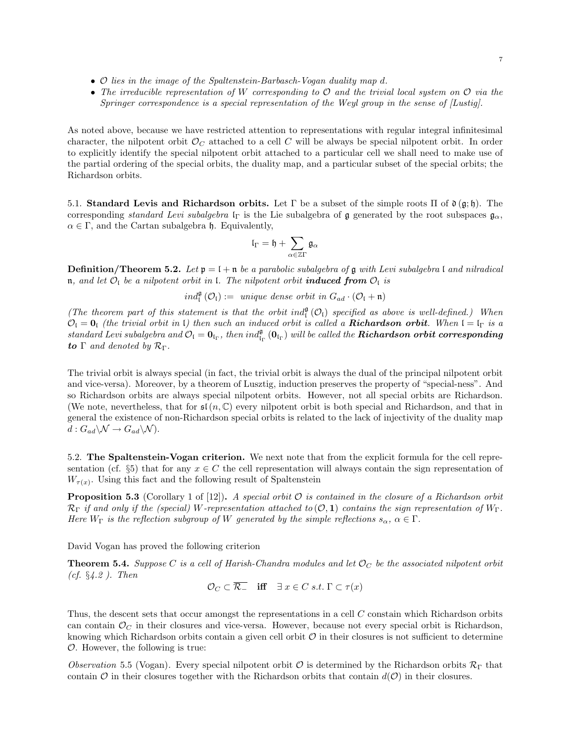- O lies in the image of the Spaltenstein-Barbasch-Vogan duality map d.
- The irreducible representation of W corresponding to  $\mathcal O$  and the trivial local system on  $\mathcal O$  via the Springer correspondence is a special representation of the Weyl group in the sense of [Lustig].

As noted above, because we have restricted attention to representations with regular integral infinitesimal character, the nilpotent orbit  $\mathcal{O}_C$  attached to a cell C will be always be special nilpotent orbit. In order to explicitly identify the special nilpotent orbit attached to a particular cell we shall need to make use of the partial ordering of the special orbits, the duality map, and a particular subset of the special orbits; the Richardson orbits.

5.1. Standard Levis and Richardson orbits. Let  $\Gamma$  be a subset of the simple roots  $\Pi$  of  $\mathfrak{d}(\mathfrak{g};\mathfrak{h})$ . The corresponding standard Levi subalgebra l<sub>Γ</sub> is the Lie subalgebra of g generated by the root subspaces  $\mathfrak{g}_{\alpha}$ ,  $\alpha \in \Gamma$ , and the Cartan subalgebra h. Equivalently,

$$
\mathfrak{l}_\Gamma=\mathfrak{h}+\sum_{\alpha\in\mathbb{Z}\Gamma}\mathfrak{g}_\alpha
$$

**Definition/Theorem 5.2.** Let  $\mathfrak{p} = \mathfrak{l} + \mathfrak{n}$  be a parabolic subalgebra of  $\mathfrak{g}$  with Levi subalgebra  $\mathfrak{l}$  and nilradical n, and let  $\mathcal{O}_I$  be a nilpotent orbit in l. The nilpotent orbit **induced from**  $\mathcal{O}_I$  is

 $ind_{\mathfrak{l}}^{\mathfrak{g}}(\mathcal{O}_{\mathfrak{l}}) :=$  unique dense orbit in  $G_{ad} \cdot (\mathcal{O}_{\mathfrak{l}} + \mathfrak{n})$ 

(The theorem part of this statement is that the orbit ind $_{l}^{\mathfrak{g}}(\mathcal{O}_{l})$  specified as above is well-defined.) When  $\mathcal{O}_\mathfrak{l} = \mathbf{0}_\mathfrak{l}$  (the trivial orbit in  $\mathfrak{l}$ ) then such an induced orbit is called a **Richardson orbit**. When  $\mathfrak{l} = \mathfrak{l}_\Gamma$  is a  $standard \: Levi \: subalgebra \: and \: \mathcal{O}_\mathfrak{l} = \mathbf{0}_\mathfrak{l_\Gamma}, \: then \: ind_{\mathfrak{l_\Gamma}}^\mathfrak{g}(\mathbf{0}_\mathfrak{l_\Gamma}) \: will \: be \: called \: the \: Richardson \: orbit \: corresponding \: \mathfrak{S}(\mathfrak{g})$ to  $\Gamma$  and denoted by  $\mathcal{R}_{\Gamma}$ .

The trivial orbit is always special (in fact, the trivial orbit is always the dual of the principal nilpotent orbit and vice-versa). Moreover, by a theorem of Lusztig, induction preserves the property of "special-ness". And so Richardson orbits are always special nilpotent orbits. However, not all special orbits are Richardson. (We note, nevertheless, that for  $\mathfrak{sl}(n,\mathbb{C})$  every nilpotent orbit is both special and Richardson, and that in general the existence of non-Richardson special orbits is related to the lack of injectivity of the duality map  $d: G_{ad}\backslash \mathcal{N} \to G_{ad}\backslash \mathcal{N}$ .

5.2. The Spaltenstein-Vogan criterion. We next note that from the explicit formula for the cell representation (cf. §5) that for any  $x \in C$  the cell representation will always contain the sign representation of  $W_{\tau(x)}$ . Using this fact and the following result of Spaltenstein

**Proposition 5.3** (Corollary 1 of [12]). A special orbit  $\mathcal{O}$  is contained in the closure of a Richardson orbit  $\mathcal{R}_{\Gamma}$  if and only if the (special) W-representation attached to  $(\mathcal{O}, \mathbf{1})$  contains the sign representation of  $W_{\Gamma}$ . Here  $W_{\Gamma}$  is the reflection subgroup of W generated by the simple reflections  $s_{\alpha}, \alpha \in \Gamma$ .

David Vogan has proved the following criterion

**Theorem 5.4.** Suppose C is a cell of Harish-Chandra modules and let  $\mathcal{O}_C$  be the associated nilpotent orbit (cf. §4.2 ). Then

 $\mathcal{O}_C \subset \overline{\mathcal{R}_-}$  iff  $\exists x \in C \ s.t. \ \Gamma \subset \tau(x)$ 

Thus, the descent sets that occur amongst the representations in a cell C constain which Richardson orbits can contain  $\mathcal{O}_C$  in their closures and vice-versa. However, because not every special orbit is Richardson, knowing which Richardson orbits contain a given cell orbit  $\mathcal O$  in their closures is not sufficient to determine  $\mathcal{O}$ . However, the following is true:

*Observation* 5.5 (Vogan). Every special nilpotent orbit  $\mathcal O$  is determined by the Richardson orbits  $\mathcal R_{\Gamma}$  that contain  $\mathcal O$  in their closures together with the Richardson orbits that contain  $d(\mathcal O)$  in their closures.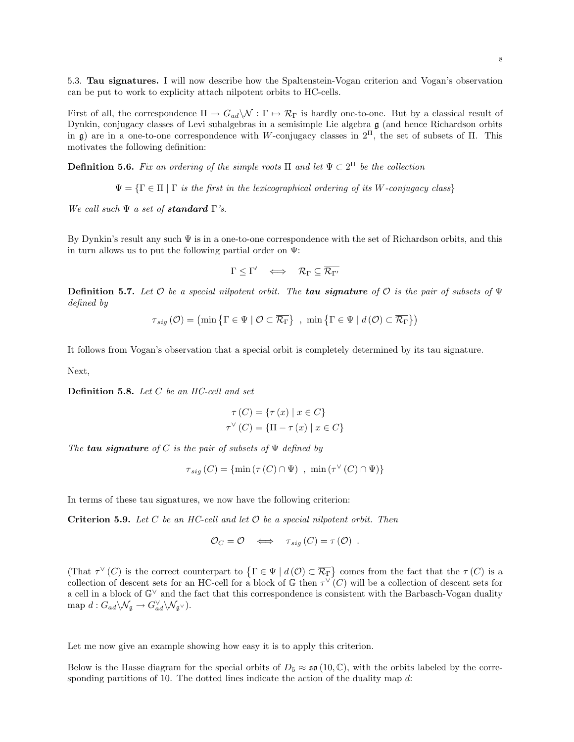5.3. Tau signatures. I will now describe how the Spaltenstein-Vogan criterion and Vogan's observation can be put to work to explicity attach nilpotent orbits to HC-cells.

First of all, the correspondence  $\Pi \to G_{ad}\setminus \mathcal{N}: \Gamma \mapsto \mathcal{R}_{\Gamma}$  is hardly one-to-one. But by a classical result of Dynkin, conjugacy classes of Levi subalgebras in a semisimple Lie algebra g (and hence Richardson orbits in g) are in a one-to-one correspondence with W-conjugacy classes in  $2^{\Pi}$ , the set of subsets of  $\Pi$ . This motivates the following definition:

**Definition 5.6.** Fix an ordering of the simple roots  $\Pi$  and let  $\Psi \subset 2^{\Pi}$  be the collection

 $\Psi = \{ \Gamma \in \Pi \mid \Gamma \text{ is the first in the lexicographical ordering of its W-conjugacy class} \}$ 

We call such  $\Psi$  a set of **standard**  $\Gamma$ 's.

By Dynkin's result any such  $\Psi$  is in a one-to-one correspondence with the set of Richardson orbits, and this in turn allows us to put the following partial order on  $\Psi$ :

$$
\Gamma \leq \Gamma' \quad \Longleftrightarrow \quad \mathcal{R}_{\Gamma} \subseteq \overline{\mathcal{R}_{\Gamma'}}
$$

**Definition 5.7.** Let  $\mathcal O$  be a special nilpotent orbit. The **tau signature** of  $\mathcal O$  is the pair of subsets of  $\Psi$ defined by

$$
\tau_{sig}(\mathcal{O}) = \left(\min\left\{\Gamma \in \Psi \mid \mathcal{O} \subset \overline{\mathcal{R}_{\Gamma}}\right\}, \min\left\{\Gamma \in \Psi \mid d\left(\mathcal{O}\right) \subset \overline{\mathcal{R}_{\Gamma}}\right\}\right)
$$

It follows from Vogan's observation that a special orbit is completely determined by its tau signature.

Next,

**Definition 5.8.** Let  $C$  be an  $HC$ -cell and set

$$
\tau(C) = \{\tau(x) \mid x \in C\}
$$

$$
\tau^{\vee}(C) = \{\Pi - \tau(x) \mid x \in C\}
$$

The **tau signature** of C is the pair of subsets of  $\Psi$  defined by

$$
\tau_{sig}(C) = \{ \min \left( \tau(C) \cap \Psi \right) , \min \left( \tau^{\vee}(C) \cap \Psi \right) \}
$$

In terms of these tau signatures, we now have the following criterion:

Criterion 5.9. Let  $C$  be an HC-cell and let  $\mathcal O$  be a special nilpotent orbit. Then

$$
\mathcal{O}_C = \mathcal{O} \iff \tau_{sig}(C) = \tau(\mathcal{O}) .
$$

(That  $\tau^{\vee}(C)$  is the correct counterpart to  $\{\Gamma \in \Psi \mid d(\mathcal{O}) \subset \overline{\mathcal{R}_{\Gamma}}\}$  comes from the fact that the  $\tau(C)$  is a collection of descent sets for an HC-cell for a block of  $\mathbb G$  then  $\tau^{\vee}(C)$  will be a collection of descent sets for a cell in a block of G<sup>∨</sup> and the fact that this correspondence is consistent with the Barbasch-Vogan duality map  $d: G_{ad}\backslash \mathcal{N}_{\mathfrak{g}} \to G_{ad}^{\vee} \backslash \mathcal{N}_{\mathfrak{g}^{\vee}}).$ 

Let me now give an example showing how easy it is to apply this criterion.

Below is the Hasse diagram for the special orbits of  $D_5 \approx \mathfrak{so}(10,\mathbb{C})$ , with the orbits labeled by the corresponding partitions of 10. The dotted lines indicate the action of the duality map  $d$ :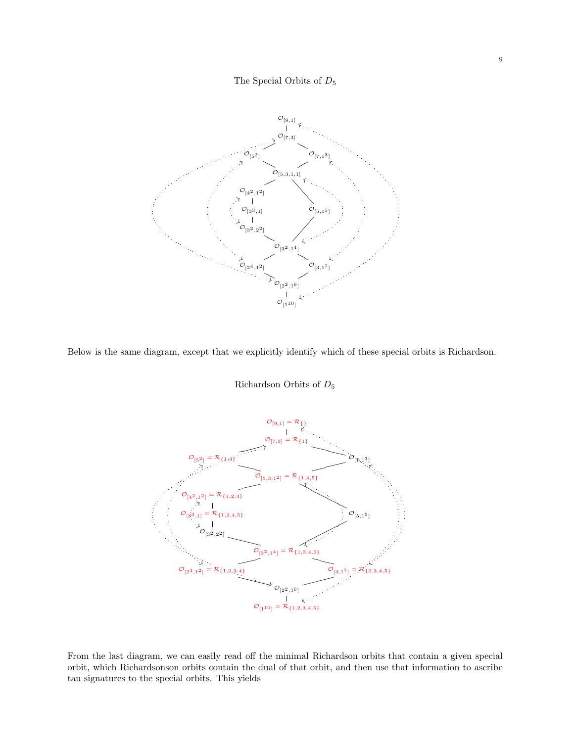# The Special Orbits of  $D_5$



Below is the same diagram, except that we explicitly identify which of these special orbits is Richardson.

# Richardson Orbits of  $D_5$



From the last diagram, we can easily read off the minimal Richardson orbits that contain a given special orbit, which Richardsonson orbits contain the dual of that orbit, and then use that information to ascribe tau signatures to the special orbits. This yields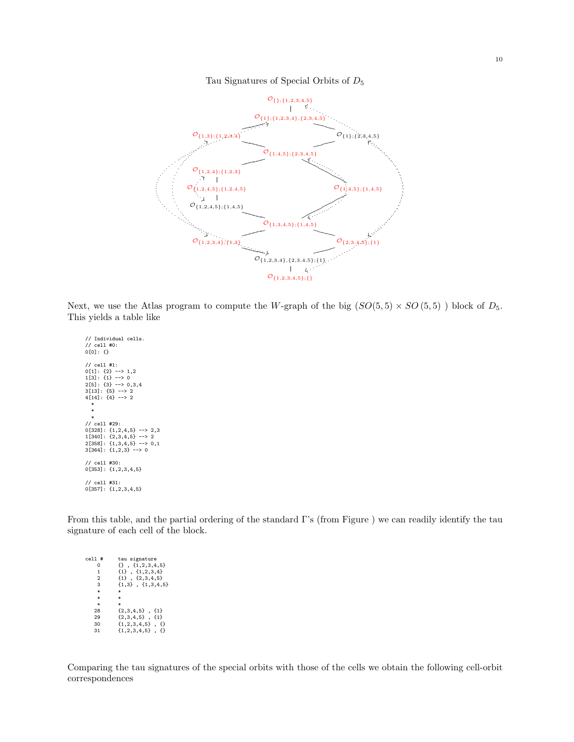

### Tau Signatures of Special Orbits of  $D_5$

Next, we use the Atlas program to compute the W-graph of the big  $(SO(5,5) \times SO(5,5))$  block of  $D_5$ . This yields a table like

// Individual cells. // cell #0: 0[0]: {} // cell #1: 0[1]: {2} --> 1,2 1[3]: {1} --> 0 2[5]: {3} --> 0,3,4 3[13]: {5} --> 2 4[14]: {4} --> 2 \* \* \* // cell #29: 0[328]: {1,2,4,5} --> 2,3 1[340]: {2,3,4,5} --> 2 2[358]: {1,3,4,5} --> 0,1 3[364]: {1,2,3} --> 0 // cell #30: 0[353]: {1,2,3,4,5} // cell #31: 0[357]: {1,2,3,4,5}

From this table, and the partial ordering of the standard Γ's (from Figure ) we can readily identify the tau signature of each cell of the block.

cell  $#$  tau signature<br>0  $\{1, 2, 3, 4\}$ 0 {1,2,3,4,5}<br>
1 {1}, {1,2,3,4}<br>
2 {1}, {2,3,4,5}<br>
3 {1,3}, {1,3,4,5}<br>
\* \* \* \*  ${\begin{aligned} &\ast\\ &\ 28&&\{2,3,4,5\}\;\;,\;\{1\}\\ &\ 29&&\{2,3,4,5\}\;\;,\;\{1\}\\ &\ 30&&\{1,2,3,4,5\}\;\;,\;\{\}\end{aligned}}$ 

Comparing the tau signatures of the special orbits with those of the cells we obtain the following cell-orbit correspondences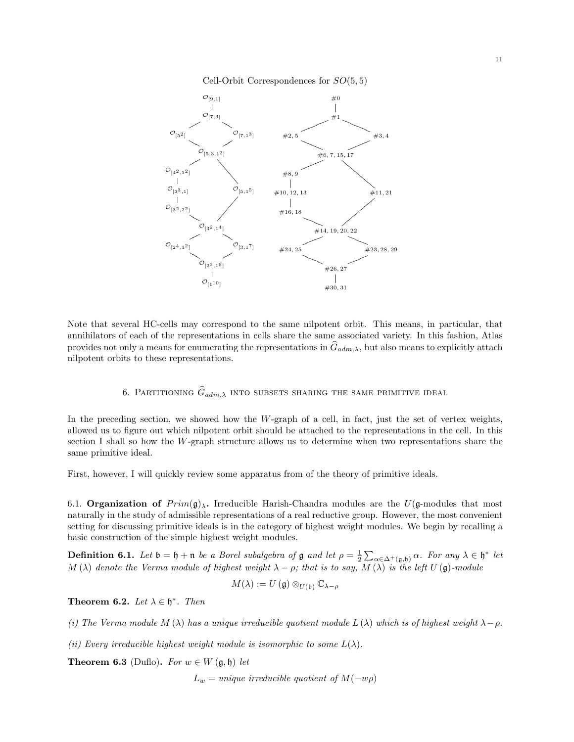



Note that several HC-cells may correspond to the same nilpotent orbit. This means, in particular, that annihilators of each of the representations in cells share the same associated variety. In this fashion, Atlas provides not only a means for enumerating the representations in  $\hat{G}_{adm,\lambda}$ , but also means to explicitly attach nilpotent orbits to these representations.

# 6. PARTITIONING  $\widehat{G}_{adm,\lambda}$  into subsets sharing the same primitive ideal

In the preceding section, we showed how the  $W$ -graph of a cell, in fact, just the set of vertex weights, allowed us to figure out which nilpotent orbit should be attached to the representations in the cell. In this section I shall so how the W-graph structure allows us to determine when two representations share the same primitive ideal.

First, however, I will quickly review some apparatus from of the theory of primitive ideals.

6.1. **Organization of**  $Prim(\mathfrak{g})_{\lambda}$ . Irreducible Harish-Chandra modules are the  $U(\mathfrak{g}\text{-modules}$  that most naturally in the study of admissible representations of a real reductive group. However, the most convenient setting for discussing primitive ideals is in the category of highest weight modules. We begin by recalling a basic construction of the simple highest weight modules.

**Definition 6.1.** Let  $\mathfrak{b} = \mathfrak{h} + \mathfrak{n}$  be a Borel subalgebra of  $\mathfrak{g}$  and let  $\rho = \frac{1}{2} \sum_{\alpha \in \Delta^+(\mathfrak{g}, \mathfrak{h})} \alpha$ . For any  $\lambda \in \mathfrak{h}^*$  let M ( $\lambda$ ) denote the Verma module of highest weight  $\lambda - \rho$ ; that is to say, M ( $\lambda$ ) is the left U (g)-module

$$
M(\lambda) := U(\mathfrak{g}) \otimes_{U(\mathfrak{b})} \mathbb{C}_{\lambda - \rho}
$$

Theorem 6.2. Let  $\lambda \in \mathfrak{h}^*$ . Then

(i) The Verma module  $M(\lambda)$  has a unique irreducible quotient module  $L(\lambda)$  which is of highest weight  $\lambda - \rho$ .

(ii) Every irreducible highest weight module is isomorphic to some  $L(\lambda)$ .

**Theorem 6.3** (Duflo). For  $w \in W(\mathfrak{g},\mathfrak{h})$  let

 $L_w = unique\ irreducible\ quotient\ of\ M(-w\rho)$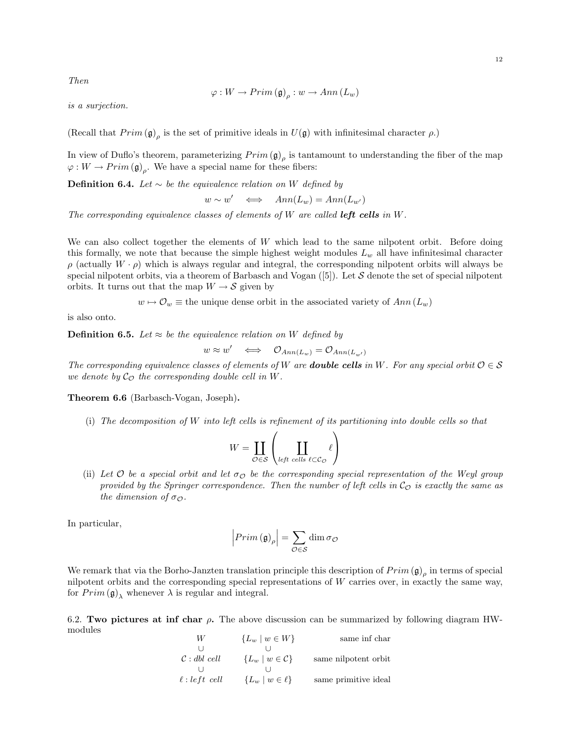Then

$$
\varphi: W \to Prim\left(\mathfrak{g}\right)_{\rho}: w \to Ann\left(L_w\right)
$$

is a surjection.

(Recall that  $Prim(\mathfrak{g})_{\rho}$  is the set of primitive ideals in  $U(\mathfrak{g})$  with infinitesimal character  $\rho$ .)

In view of Duflo's theorem, parameterizing  $Prim(\mathfrak{g})_{\rho}$  is tantamount to understanding the fiber of the map  $\varphi: W \to Prim\left(\mathfrak{g}\right)_{\rho}$ . We have a special name for these fibers:

**Definition 6.4.** Let  $\sim$  be the equivalence relation on W defined by

 $w \sim w' \iff Ann(L_w) = Ann(L_{w'})$ 

The corresponding equivalence classes of elements of W are called **left cells** in W.

We can also collect together the elements of  $W$  which lead to the same nilpotent orbit. Before doing this formally, we note that because the simple highest weight modules  $L_w$  all have infinitesimal character  $\rho$  (actually  $W \cdot \rho$ ) which is always regular and integral, the corresponding nilpotent orbits will always be special nilpotent orbits, via a theorem of Barbasch and Vogan  $(5)$ . Let S denote the set of special nilpotent orbits. It turns out that the map  $W \to S$  given by

 $w \mapsto \mathcal{O}_w \equiv$  the unique dense orbit in the associated variety of  $Ann(L_w)$ 

is also onto.

**Definition 6.5.** Let  $\approx$  be the equivalence relation on W defined by

 $w \approx w' \iff \mathcal{O}_{Ann(L_w)} = \mathcal{O}_{Ann(L_{w'})}$ 

The corresponding equivalence classes of elements of W are **double cells** in W. For any special orbit  $\mathcal{O} \in \mathcal{S}$ we denote by  $\mathcal{C}_{\mathcal{O}}$  the corresponding double cell in W.

Theorem 6.6 (Barbasch-Vogan, Joseph).

(i) The decomposition of W into left cells is refinement of its partitioning into double cells so that

$$
W = \coprod_{\mathcal{O} \in \mathcal{S}} \left( \coprod_{\substack{\text{left cells } \ell \subset \mathcal{C}_{\mathcal{O}}} } \ell \right)
$$

(ii) Let  $\mathcal O$  be a special orbit and let  $\sigma_{\mathcal O}$  be the corresponding special representation of the Weyl group provided by the Springer correspondence. Then the number of left cells in  $\mathcal{C}_O$  is exactly the same as the dimension of  $\sigma_{\Omega}$ .

In particular,

$$
\left|\operatorname{Prim}\left(\mathfrak{g}\right)_{\rho}\right|=\sum_{\mathcal{O}\in\mathcal{S}}\dim\sigma_{\mathcal{O}}
$$

We remark that via the Borho-Janzten translation principle this description of  $Prim(\mathfrak{g})_{\rho}$  in terms of special nilpotent orbits and the corresponding special representations of  $W$  carries over, in exactly the same way, for  $Prim\left(\mathfrak{g}\right)$  whenever  $\lambda$  is regular and integral.

6.2. Two pictures at inf char  $\rho$ . The above discussion can be summarized by following diagram HWmodules

| W                       | ${L_w \mid w \in W}$           | same inf char        |
|-------------------------|--------------------------------|----------------------|
|                         |                                |                      |
| $\mathcal{C}:$ dbl cell | ${L_w \mid w \in \mathcal{C}}$ | same nilpotent orbit |
|                         |                                |                      |
| $\ell: left \; cell$    | ${L_w \mid w \in \ell}$        | same primitive ideal |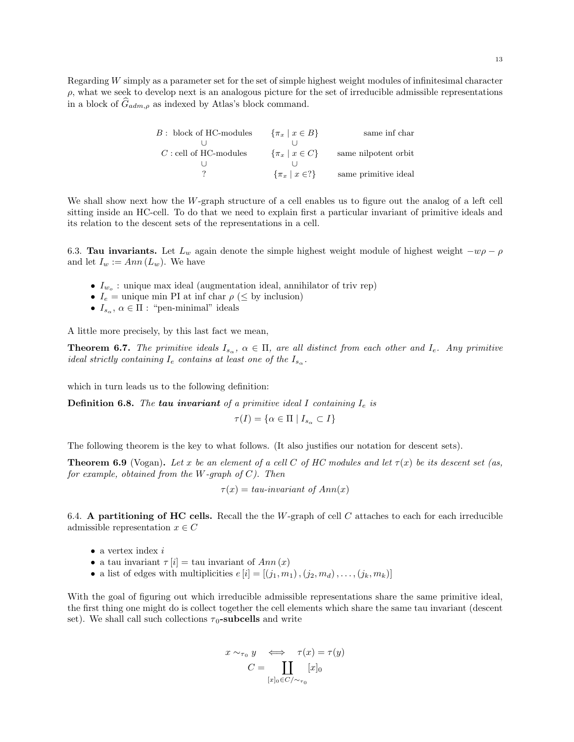Regarding W simply as a parameter set for the set of simple highest weight modules of infinitesimal character  $\rho$ , what we seek to develop next is an analogous picture for the set of irreducible admissible representations in a block of  $G_{adm,\rho}$  as indexed by Atlas's block command.

| $B$ : block of HC-modules | $\{\pi_x \mid x \in B\}$          | same inf char        |
|---------------------------|-----------------------------------|----------------------|
|                           |                                   |                      |
| $C$ : cell of HC-modules  | $\{\pi_x \mid x \in C\}$          | same nilpotent orbit |
|                           |                                   |                      |
|                           | $\{\pi_x \mid x \in \mathbb{R}\}$ | same primitive ideal |

We shall show next how the W-graph structure of a cell enables us to figure out the analog of a left cell sitting inside an HC-cell. To do that we need to explain first a particular invariant of primitive ideals and its relation to the descent sets of the representations in a cell.

6.3. Tau invariants. Let  $L_w$  again denote the simple highest weight module of highest weight  $-w\rho - \rho$ and let  $I_w := Ann(L_w)$ . We have

- $I_{w_o}$ : unique max ideal (augmentation ideal, annihilator of triv rep)
- $I_e$  = unique min PI at inf char  $\rho$  ( $\leq$  by inclusion)
- $I_{s_\alpha}$ ,  $\alpha \in \Pi$ : "pen-minimal" ideals

A little more precisely, by this last fact we mean,

**Theorem 6.7.** The primitive ideals  $I_{s_\alpha}$ ,  $\alpha \in \Pi$ , are all distinct from each other and  $I_e$ . Any primitive ideal strictly containing  $I_e$  contains at least one of the  $I_{s_\alpha}$ .

which in turn leads us to the following definition:

**Definition 6.8.** The **tau invariant** of a primitive ideal I containing  $I_e$  is

$$
\tau(I)=\{\alpha\in\Pi\mid I_{s_\alpha}\subset I\}
$$

The following theorem is the key to what follows. (It also justifies our notation for descent sets).

**Theorem 6.9** (Vogan). Let x be an element of a cell C of HC modules and let  $\tau(x)$  be its descent set (as, for example, obtained from the W-graph of  $C$ ). Then

 $\tau(x) = tau-invariant of Ann(x)$ 

6.4. A partitioning of HC cells. Recall the the W-graph of cell  $C$  attaches to each for each irreducible admissible representation  $x \in C$ 

- a vertex index  $i$
- a tau invariant  $\tau[i] = \text{tau invariant of } Ann(x)$
- a list of edges with multiplicities  $e[i] = [(j_1, m_1), (j_2, m_d), \dots, (j_k, m_k)]$

With the goal of figuring out which irreducible admissible representations share the same primitive ideal, the first thing one might do is collect together the cell elements which share the same tau invariant (descent set). We shall call such collections  $\tau_0$ -subcells and write

$$
x \sim_{\tau_0} y \iff \tau(x) = \tau(y)
$$

$$
C = \coprod_{[x]_0 \in C/\sim_{\tau_0}} [x]_0
$$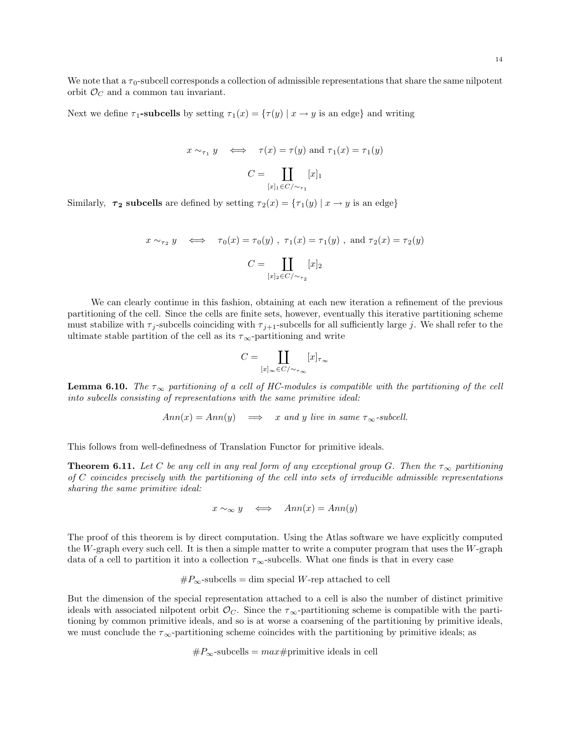We note that a  $\tau_0$ -subcell corresponds a collection of admissible representations that share the same nilpotent orbit  $\mathcal{O}_C$  and a common tau invariant.

Next we define  $\tau_1$ -subcells by setting  $\tau_1(x) = {\tau(y) | x \to y \text{ is an edge}}$  and writing

$$
x \sim_{\tau_1} y \iff \tau(x) = \tau(y)
$$
 and  $\tau_1(x) = \tau_1(y)$   

$$
C = \coprod_{[x]_1 \in C/\sim_{\tau_1}} [x]_1
$$

Similarly,  $\tau_2$  subcells are defined by setting  $\tau_2(x) = {\tau_1(y) | x \to y \text{ is an edge}}$ 

$$
x\sim_{\tau_2} y\quad\Longleftrightarrow\quad \tau_0(x)=\tau_0(y)\ ,\ \tau_1(x)=\tau_1(y)\ ,\ \text{and}\ \tau_2(x)=\tau_2(y)
$$
 
$$
C=\coprod_{[x]_2\in C/\sim_{\tau_2}}[x]_2
$$

We can clearly continue in this fashion, obtaining at each new iteration a refinement of the previous partitioning of the cell. Since the cells are finite sets, however, eventually this iterative partitioning scheme must stabilize with  $\tau_j$ -subcells coinciding with  $\tau_{j+1}$ -subcells for all sufficiently large j. We shall refer to the ultimate stable partition of the cell as its  $\tau_{\infty}$ -partitioning and write

$$
C=\coprod_{[x]_\infty\in C/\sim_{\tau_\infty}}[x]_{\tau_\infty}
$$

**Lemma 6.10.** The  $\tau_{\infty}$  partitioning of a cell of HC-modules is compatible with the partitioning of the cell into subcells consisting of representations with the same primitive ideal:

 $Ann(x) = Ann(y) \implies x$  and y live in same  $\tau_{\infty}$ -subcell.

This follows from well-definedness of Translation Functor for primitive ideals.

**Theorem 6.11.** Let C be any cell in any real form of any exceptional group G. Then the  $\tau_{\infty}$  partitioning of C coincides precisely with the partitioning of the cell into sets of irreducible admissible representations sharing the same primitive ideal:

 $x \sim_{\infty} y \iff Ann(x) = Ann(y)$ 

The proof of this theorem is by direct computation. Using the Atlas software we have explicitly computed the W-graph every such cell. It is then a simple matter to write a computer program that uses the  $W$ -graph data of a cell to partition it into a collection  $\tau_{\infty}$ -subcells. What one finds is that in every case

$$
\#P_{\infty}\text{-subcells} = \dim \text{ special } W\text{-rep attached to cell}
$$

But the dimension of the special representation attached to a cell is also the number of distinct primitive ideals with associated nilpotent orbit  $\mathcal{O}_C$ . Since the  $\tau_{\infty}$ -partitioning scheme is compatible with the partitioning by common primitive ideals, and so is at worse a coarsening of the partitioning by primitive ideals, we must conclude the  $\tau_{\infty}$ -partitioning scheme coincides with the partitioning by primitive ideals; as

$$
\#P_{\infty}\text{-subcells} = max \# \text{primitive ideals in cell}
$$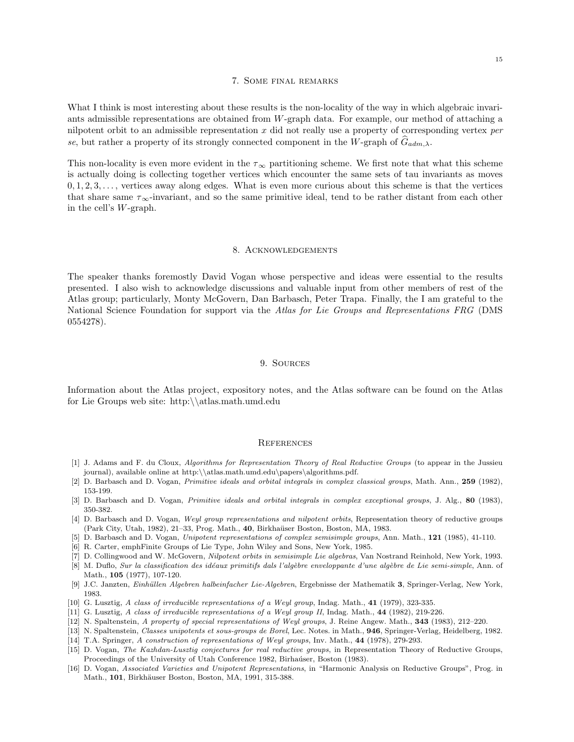#### 7. Some final remarks

What I think is most interesting about these results is the non-locality of the way in which algebraic invariants admissible representations are obtained from W-graph data. For example, our method of attaching a nilpotent orbit to an admissible representation  $x$  did not really use a property of corresponding vertex per se, but rather a property of its strongly connected component in the W-graph of  $G_{adm,\lambda}$ .

This non-locality is even more evident in the  $\tau_{\infty}$  partitioning scheme. We first note that what this scheme is actually doing is collecting together vertices which encounter the same sets of tau invariants as moves  $0, 1, 2, 3, \ldots$ , vertices away along edges. What is even more curious about this scheme is that the vertices that share same  $\tau_{\infty}$ -invariant, and so the same primitive ideal, tend to be rather distant from each other in the cell's W-graph.

#### 8. Acknowledgements

The speaker thanks foremostly David Vogan whose perspective and ideas were essential to the results presented. I also wish to acknowledge discussions and valuable input from other members of rest of the Atlas group; particularly, Monty McGovern, Dan Barbasch, Peter Trapa. Finally, the I am grateful to the National Science Foundation for support via the Atlas for Lie Groups and Representations FRG (DMS 0554278).

#### 9. Sources

Information about the Atlas project, expository notes, and the Atlas software can be found on the Atlas for Lie Groups web site: http:\\atlas.math.umd.edu

#### **REFERENCES**

- [1] J. Adams and F. du Cloux, Algorithms for Representation Theory of Real Reductive Groups (to appear in the Jussieu journal), available online at http:\\atlas.math.umd.edu\papers\algorithms.pdf.
- [2] D. Barbasch and D. Vogan, Primitive ideals and orbital integrals in complex classical groups, Math. Ann., 259 (1982), 153-199.
- [3] D. Barbasch and D. Vogan, Primitive ideals and orbital integrals in complex exceptional groups, J. Alg., 80 (1983), 350-382.
- [4] D. Barbasch and D. Vogan, Weyl group representations and nilpotent orbits, Representation theory of reductive groups (Park City, Utah, 1982), 21–33, Prog. Math., 40, Birkha¨user Boston, Boston, MA, 1983.
- [5] D. Barbasch and D. Vogan, Unipotent representations of complex semisimple groups, Ann. Math., 121 (1985), 41-110.
- [6] R. Carter, emphFinite Groups of Lie Type, John Wiley and Sons, New York, 1985.
- [7] D. Collingwood and W. McGovern, Nilpotent orbits in semisimple Lie algebras, Van Nostrand Reinhold, New York, 1993.
- [8] M. Duflo, Sur la classification des idéaux primitifs dals l'algèbre enveloppante d'une algèbre de Lie semi-simple, Ann. of Math., 105 (1977), 107-120.
- [9] J.C. Janzten, Einhüllen Algebren halbeinfacher Lie-Algebren, Ergebnisse der Mathematik 3, Springer-Verlag, New York, 1983.
- [10] G. Lusztig, A class of irreducible representations of a Weyl group, Indag. Math., 41 (1979), 323-335.
- [11] G. Lusztig, A class of irreducible representations of a Weyl group II, Indag. Math., 44 (1982), 219-226.
- [12] N. Spaltenstein, A property of special representations of Weyl groups, J. Reine Angew. Math., 343 (1983), 212–220.
- [13] N. Spaltenstein, Classes unipotents et sous-groups de Borel, Lec. Notes. in Math., 946, Springer-Verlag, Heidelberg, 1982. [14] T.A. Springer, A construction of representations of Weyl groups, Inv. Math., 44 (1978), 279-293.
- [15] D. Vogan, The Kazhdan-Lusztig conjectures for real reductive groups, in Representation Theory of Reductive Groups, Proceedings of the University of Utah Conference 1982, Birhaúser, Boston (1983).
- [16] D. Vogan, Associated Varieties and Unipotent Representations, in "Harmonic Analysis on Reductive Groups", Prog. in Math., 101, Birkhäuser Boston, Boston, MA, 1991, 315-388.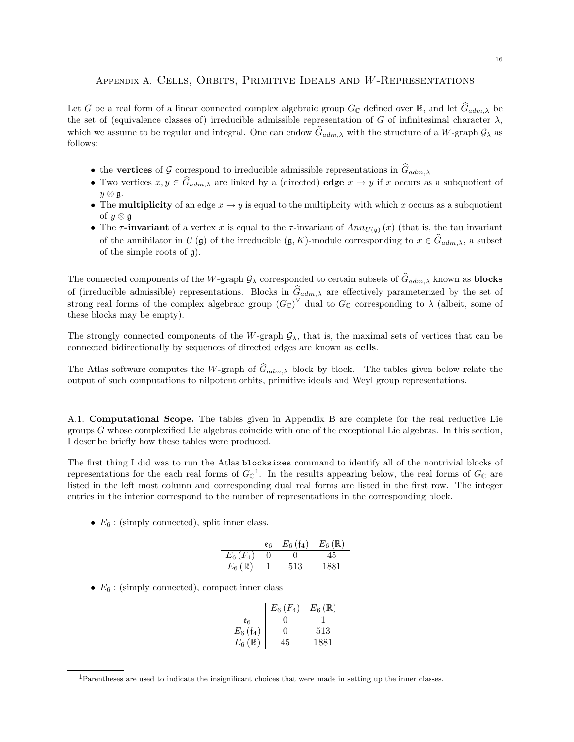# Appendix A. Cells, Orbits, Primitive Ideals and W-Representations

Let G be a real form of a linear connected complex algebraic group  $G_{\mathbb{C}}$  defined over  $\mathbb{R}$ , and let  $\widehat{G}_{adm,\lambda}$  be the set of (equivalence classes of) irreducible admissible representation of G of infinitesimal character  $\lambda$ , which we assume to be regular and integral. One can endow  $G_{adm,\lambda}$  with the structure of a W-graph  $\mathcal{G}_{\lambda}$  as follows:

- the vertices of G correspond to irreducible admissible representations in  $\hat{G}_{adm,\lambda}$
- Two vertices  $x, y \in \widehat{G}_{adm,\lambda}$  are linked by a (directed) edge  $x \to y$  if x occurs as a subquotient of  $y \otimes \mathfrak{g}$ .
- The **multiplicity** of an edge  $x \to y$  is equal to the multiplicity with which x occurs as a subquotient of  $y \otimes \mathfrak{g}$
- The  $\tau$ -invariant of a vertex x is equal to the  $\tau$ -invariant of  $Ann_{U(\mathfrak{g})}(x)$  (that is, the tau invariant of the annihilator in  $U(\mathfrak{g})$  of the irreducible  $(\mathfrak{g}, K)$ -module corresponding to  $x \in \widehat{G}_{adm,\lambda}$ , a subset of the simple roots of  $\mathfrak{g}$ ).

The connected components of the W-graph  $\mathcal{G}_{\lambda}$  corresponded to certain subsets of  $G_{adm,\lambda}$  known as **blocks** of (irreducible admissible) representations. Blocks in  $\hat{G}_{adm,\lambda}$  are effectively parameterized by the set of strong real forms of the complex algebraic group  $(G_{\mathbb{C}})^{\vee}$  dual to  $G_{\mathbb{C}}$  corresponding to  $\lambda$  (albeit, some of these blocks may be empty).

The strongly connected components of the W-graph  $\mathcal{G}_{\lambda}$ , that is, the maximal sets of vertices that can be connected bidirectionally by sequences of directed edges are known as cells.

The Atlas software computes the W-graph of  $\hat{G}_{adm,\lambda}$  block by block. The tables given below relate the output of such computations to nilpotent orbits, primitive ideals and Weyl group representations.

A.1. Computational Scope. The tables given in Appendix B are complete for the real reductive Lie groups G whose complexified Lie algebras coincide with one of the exceptional Lie algebras. In this section, I describe briefly how these tables were produced.

The first thing I did was to run the Atlas blocksizes command to identify all of the nontrivial blocks of representations for the each real forms of  $G_{\mathbb{C}}^1$ . In the results appearing below, the real forms of  $G_{\mathbb{C}}$  are listed in the left most column and corresponding dual real forms are listed in the first row. The integer entries in the interior correspond to the number of representations in the corresponding block.

•  $E_6$ : (simply connected), split inner class.

|                        | $\mathfrak{e}_6$ | $E_6(f_4)$ | $E_6(\mathbb{R})$ |
|------------------------|------------------|------------|-------------------|
| $E_6(F_4)$             |                  | 0          |                   |
| $E_6$ ( $\mathbb{R}$ ) |                  | 513        | 1881              |

•  $E_6$ : (simply connected), compact inner class

|                         | $E_6(F_4)$   | $E_6(\mathbb{R})$ |
|-------------------------|--------------|-------------------|
| er                      |              |                   |
| $E_6$ (f <sub>4</sub> ) | $\mathbf{0}$ | 513               |
| $E_6(\mathbb{R})$       | 45           | 1881              |

<sup>1</sup>Parentheses are used to indicate the insignificant choices that were made in setting up the inner classes.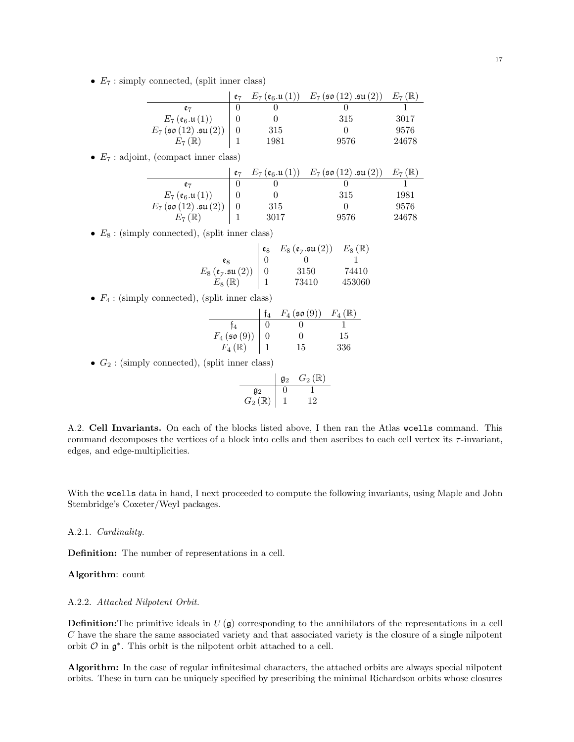•  $E_7$ : simply connected, (split inner class)

|                                       | e <sub>7</sub> | $E_7(\mathfrak{e}_6.\mathfrak{u}\, (1))$ | $E_7$ (so (12) .su (2)) | $E_7(\mathbb{R})$ |
|---------------------------------------|----------------|------------------------------------------|-------------------------|-------------------|
| e7                                    |                |                                          |                         |                   |
| $E_7(\mathfrak{e}_6.\mathfrak{u}(1))$ |                |                                          | 315                     | 3017              |
| $E_7$ (so $(12)$ .su $(2))$           |                | 315                                      |                         | 9576              |
| $E_7(\mathbb{R})$                     |                | 1981                                     | 9576                    | 24678             |

•  $E_7$ : adjoint, (compact inner class)

|                                       | $e_7$ | $E_7(\mathfrak{e}_6.\mathfrak{u}(1))$ | $E_7$ (so (12) .su (2)) | $E_7(\mathbb{R})$ |
|---------------------------------------|-------|---------------------------------------|-------------------------|-------------------|
| e-                                    |       |                                       |                         |                   |
| $E_7(\mathfrak{e}_6.\mathfrak{u}(1))$ |       |                                       | 315                     | 1981              |
| $E_7$ (so (12) .su (2))               |       | 315                                   |                         | 9576              |
| $E_7(\mathbb{R})$                     |       | 3017                                  | 9576                    | 24678             |

•  $E_8$ : (simply connected), (split inner class)

|                                                                                           | eg | $E_8(\mathfrak{e}_7.\mathfrak{su}(2))$ | $E_8(\mathbb{R})$ |
|-------------------------------------------------------------------------------------------|----|----------------------------------------|-------------------|
| eg                                                                                        |    |                                        |                   |
| $E_8\left(\mathfrak{e}_7.\mathfrak{su}\left(2\right)\right)\\ E_8\left(\mathbb{R}\right)$ |    | 3150                                   | 74410             |
|                                                                                           |    | 73410                                  | 453060            |

•  $F_4$ : (simply connected), (split inner class)

|                                              | $F_4$ (so $(9)$ ) | $F_4(\mathbb{R})$ |
|----------------------------------------------|-------------------|-------------------|
| Ť4                                           |                   |                   |
|                                              | 0                 | 15                |
| $F_4(\mathfrak{so}(9))$<br>$F_4(\mathbb{R})$ | 15                | 336               |

•  $G_2$ : (simply connected), (split inner class)

$$
\begin{array}{c|cc}\n & \mathfrak{g}_2 & G_2(\mathbb{R}) \\
\hline\n\mathfrak{g}_2 & 0 & 1 \\
G_2(\mathbb{R}) & 1 & 12\n\end{array}
$$

A.2. Cell Invariants. On each of the blocks listed above, I then ran the Atlas wcells command. This command decomposes the vertices of a block into cells and then ascribes to each cell vertex its  $\tau$ -invariant, edges, and edge-multiplicities.

With the wcells data in hand, I next proceeded to compute the following invariants, using Maple and John Stembridge's Coxeter/Weyl packages.

### A.2.1. Cardinality.

Definition: The number of representations in a cell.

Algorithm: count

### A.2.2. Attached Nilpotent Orbit.

**Definition:** The primitive ideals in  $U(\mathfrak{g})$  corresponding to the annihilators of the representations in a cell C have the share the same associated variety and that associated variety is the closure of a single nilpotent orbit  $\mathcal O$  in  $\mathfrak g^*$ . This orbit is the nilpotent orbit attached to a cell.

Algorithm: In the case of regular infinitesimal characters, the attached orbits are always special nilpotent orbits. These in turn can be uniquely specified by prescribing the minimal Richardson orbits whose closures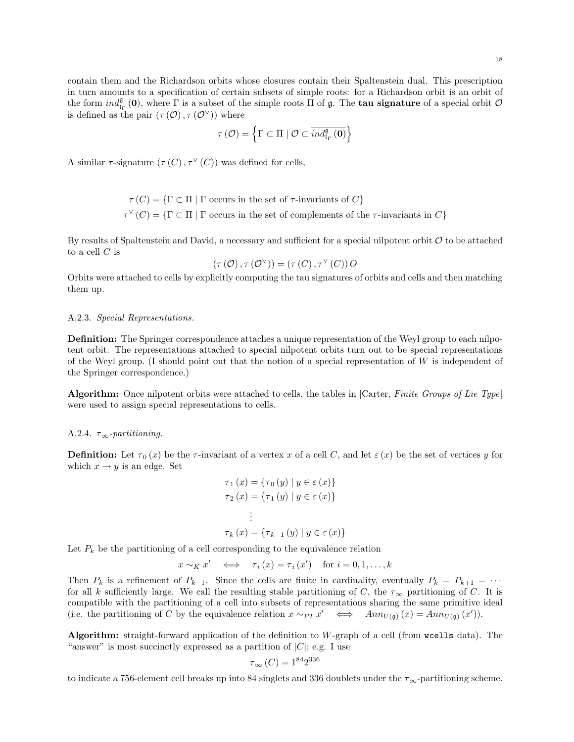contain them and the Richardson orbits whose closures contain their Spaltenstein dual. This prescription in turn amounts to a specification of certain subsets of simple roots: for a Richardson orbit is an orbit of the form  $ind_{\mathfrak{l}_\Gamma}^{\mathfrak{g}}(0)$ , where  $\Gamma$  is a subset of the simple roots  $\Pi$  of  $\mathfrak{g}$ . The **tau signature** of a special orbit  $\mathcal{O}$ is defined as the pair  $(\tau(\mathcal{O}), \tau(\mathcal{O}^{\vee}))$  where

$$
\tau\left(\mathcal{O}\right) = \left\{\Gamma \subset \Pi \mid \mathcal{O} \subset \overline{ind_{\mathrm{I}_{\Gamma}}^{\mathfrak{g}}\left(\mathbf{0}\right)}\right\}
$$

A similar  $\tau$ -signature  $(\tau(C), \tau^{\vee}(C))$  was defined for cells,

$$
\tau(C) = \{ \Gamma \subset \Pi \mid \Gamma \text{ occurs in the set of } \tau\text{-invariants of } C \}
$$

$$
\tau^{\vee}(C) = \{ \Gamma \subset \Pi \mid \Gamma \text{ occurs in the set of complements of the } \tau\text{-invariants in } C \}
$$

By results of Spaltenstein and David, a necessary and sufficient for a special nilpotent orbit  $\mathcal O$  to be attached to a cell  $C$  is

$$
(\tau(\mathcal{O}), \tau(\mathcal{O}^{\vee})) = (\tau(C), \tau^{\vee}(C))\, O
$$

Orbits were attached to cells by explicitly computing the tau signatures of orbits and cells and then matching them up.

#### A.2.3. Special Representations.

Definition: The Springer correspondence attaches a unique representation of the Weyl group to each nilpotent orbit. The representations attached to special nilpotent orbits turn out to be special representations of the Weyl group. (I should point out that the notion of a special representation of  $W$  is independent of the Springer correspondence.)

Algorithm: Once nilpotent orbits were attached to cells, the tables in [Carter, Finite Groups of Lie Type] were used to assign special representations to cells.

#### A.2.4.  $\tau_{\infty}$ -partitioning.

**Definition:** Let  $\tau_0(x)$  be the  $\tau$ -invariant of a vertex x of a cell C, and let  $\varepsilon(x)$  be the set of vertices y for which  $x \rightarrow y$  is an edge. Set

$$
\tau_1(x) = \{\tau_0(y) \mid y \in \varepsilon(x)\}
$$

$$
\tau_2(x) = \{\tau_1(y) \mid y \in \varepsilon(x)\}
$$

$$
\vdots
$$

$$
\tau_k(x) = \{\tau_{k-1}(y) \mid y \in \varepsilon(x)\}
$$

Let  $P_k$  be the partitioning of a cell corresponding to the equivalence relation

$$
x \sim_K x' \iff \tau_i(x) = \tau_i(x') \text{ for } i = 0, 1, ..., k
$$

Then  $P_k$  is a refinement of  $P_{k-1}$ . Since the cells are finite in cardinality, eventually  $P_k = P_{k+1} = \cdots$ for all k sufficiently large. We call the resulting stable partitioning of C, the  $\tau_{\infty}$  partitioning of C. It is compatible with the partitioning of a cell into subsets of representations sharing the same primitive ideal (i.e. the partitioning of C by the equivalence relation  $x \sim_{PI} x' \iff Ann_{U(\mathfrak{g})}(x) = Ann_{U(\mathfrak{g})}(x')).$ 

Algorithm: straight-forward application of the definition to W-graph of a cell (from wcells data). The "answer" is most succinctly expressed as a partition of  $|C|$ ; e.g. I use

$$
\tau_{\infty} (C) = 1^{84} 2^{336}
$$

to indicate a 756-element cell breaks up into 84 singlets and 336 doublets under the  $\tau_{\infty}$ -partitioning scheme.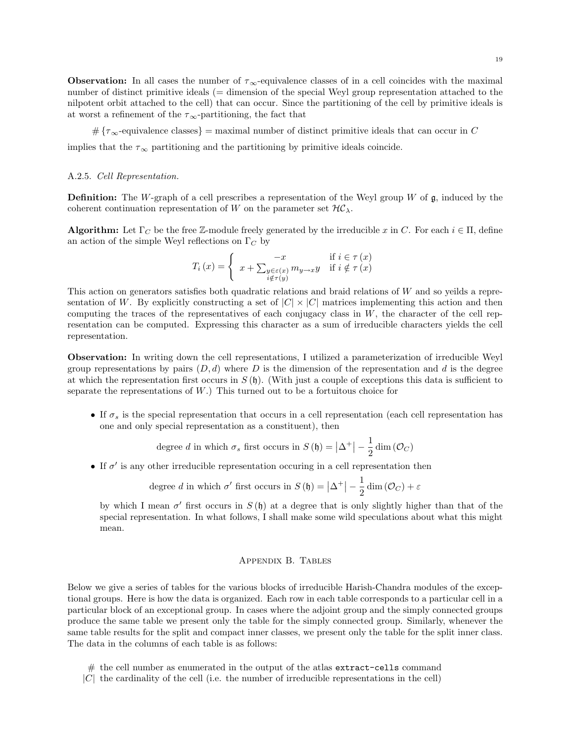**Observation:** In all cases the number of  $\tau_{\infty}$ -equivalence classes of in a cell coincides with the maximal number of distinct primitive ideals (= dimension of the special Weyl group representation attached to the nilpotent orbit attached to the cell) that can occur. Since the partitioning of the cell by primitive ideals is at worst a refinement of the  $\tau_{\infty}$ -partitioning, the fact that

 $\#\{\tau_\infty\}$ -equivalence classes = maximal number of distinct primitive ideals that can occur in C

implies that the  $\tau_{\infty}$  partitioning and the partitioning by primitive ideals coincide.

### A.2.5. Cell Representation.

**Definition:** The W-graph of a cell prescribes a representation of the Weyl group W of  $\mathfrak{g}$ , induced by the coherent continuation representation of W on the parameter set  $H\mathcal{C}_{\lambda}$ .

**Algorithm:** Let  $\Gamma_C$  be the free Z-module freely generated by the irreducible x in C. For each  $i \in \Pi$ , define an action of the simple Weyl reflections on  $\Gamma_C$  by

$$
T_i(x) = \begin{cases} -x & \text{if } i \in \tau(x) \\ x + \sum_{\substack{y \in \epsilon(x) \\ i \notin \tau(y)}} m_{y \to x} y & \text{if } i \notin \tau(x) \end{cases}
$$

This action on generators satisfies both quadratic relations and braid relations of W and so yeilds a representation of W. By explicitly constructing a set of  $|C| \times |C|$  matrices implementing this action and then computing the traces of the representatives of each conjugacy class in  $W$ , the character of the cell representation can be computed. Expressing this character as a sum of irreducible characters yields the cell representation.

Observation: In writing down the cell representations, I utilized a parameterization of irreducible Weyl group representations by pairs  $(D, d)$  where D is the dimension of the representation and d is the degree at which the representation first occurs in  $S(\mathfrak{h})$ . (With just a couple of exceptions this data is sufficient to separate the representations of  $W$ .) This turned out to be a fortuitous choice for

• If  $\sigma_s$  is the special representation that occurs in a cell representation (each cell representation has one and only special representation as a constituent), then

> degree d in which  $\sigma_s$  first occurs in  $S(\mathfrak{h}) = \left| \Delta^+ \right| - \frac{1}{2}$  $\frac{1}{2}$  dim  $(\mathcal{O}_C)$

• If  $\sigma'$  is any other irreducible representation occuring in a cell representation then

degree d in which 
$$
\sigma'
$$
 first occurs in  $S(\mathfrak{h}) = |\Delta^+| - \frac{1}{2} \dim(\mathcal{O}_C) + \varepsilon$ 

by which I mean  $\sigma'$  first occurs in  $S(\mathfrak{h})$  at a degree that is only slightly higher than that of the special representation. In what follows, I shall make some wild speculations about what this might mean.

### Appendix B. Tables

Below we give a series of tables for the various blocks of irreducible Harish-Chandra modules of the exceptional groups. Here is how the data is organized. Each row in each table corresponds to a particular cell in a particular block of an exceptional group. In cases where the adjoint group and the simply connected groups produce the same table we present only the table for the simply connected group. Similarly, whenever the same table results for the split and compact inner classes, we present only the table for the split inner class. The data in the columns of each table is as follows:

# the cell number as enumerated in the output of the atlas extract-cells command

 $|C|$  the cardinality of the cell (i.e. the number of irreducible representations in the cell)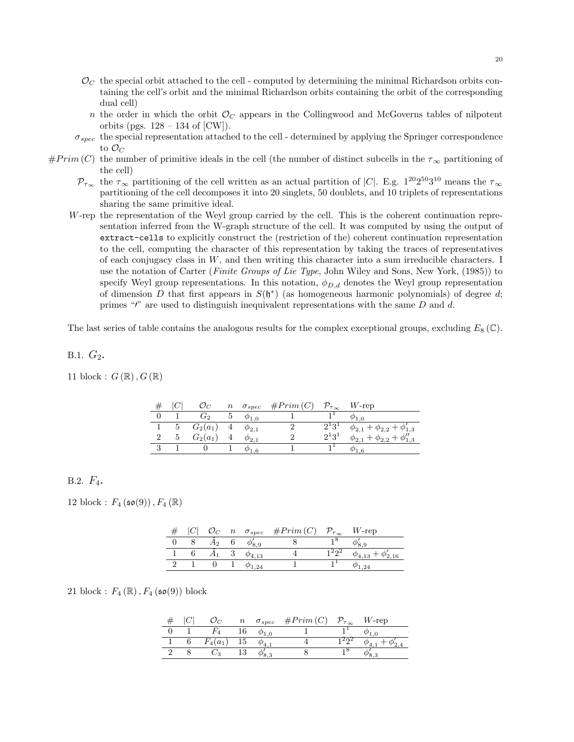- $\mathcal{O}_C$  the special orbit attached to the cell computed by determining the minimal Richardson orbits containing the cell's orbit and the minimal Richardson orbits containing the orbit of the corresponding dual cell)
	- n the order in which the orbit  $\mathcal{O}_C$  appears in the Collingwood and McGoverns tables of nilpotent orbits (pgs.  $128 - 134$  of [CW]).
- $\sigma_{spec}$  the special representation attached to the cell determined by applying the Springer correspondence to  $\mathcal{O}_C$
- $#Prim (C)$  the number of primitive ideals in the cell (the number of distinct subcells in the  $\tau_{\infty}$  partitioning of the cell)
	- $\mathcal{P}_{\tau_{\infty}}$  the  $\tau_{\infty}$  partitioning of the cell written as an actual partition of |C|. E.g.  $1^{20}2^{50}3^{10}$  means the  $\tau_{\infty}$ partitioning of the cell decomposes it into 20 singlets, 50 doublets, and 10 triplets of representations sharing the same primitive ideal.
	- W-rep the representation of the Weyl group carried by the cell. This is the coherent continuation representation inferred from the W-graph structure of the cell. It was computed by using the output of extract-cells to explicitly construct the (restriction of the) coherent continuation representation to the cell, computing the character of this representation by taking the traces of representatives of each conjugacy class in  $W$ , and then writing this character into a sum irreducible characters. I use the notation of Carter (*Finite Groups of Lie Type*, John Wiley and Sons, New York, (1985)) to specify Weyl group representations. In this notation,  $\phi_{D,d}$  denotes the Weyl group representation of dimension D that first appears in  $S(\mathfrak{h}^*)$  (as homogeneous harmonic polynomials) of degree d; primes " $'$ " are used to distinguish inequivalent representations with the same  $D$  and  $d$ .

The last series of table contains the analogous results for the complex exceptional groups, excluding  $E_8(\mathbb{C})$ .

B.1.  $G_2$ .

11 block :  $G(\mathbb{R}), G(\mathbb{R})$ 

|   |                |                 | $n \quad \sigma_{spec} \quad \#Prim(C)$ | $\mathcal{P}_{\tau_\infty}$ | $W$ -rep                                  |
|---|----------------|-----------------|-----------------------------------------|-----------------------------|-------------------------------------------|
|   | G <sub>2</sub> | $\varphi_{1,0}$ |                                         |                             |                                           |
|   | 5 $G_2(a_1)$   | $\varphi_{2.1}$ |                                         | $2^{\circ}3^{\circ}$        | $+\phi_{2,2}+\phi_{1,3}'$<br>$\phi_{2,1}$ |
| 5 | $G_2(a_1)$     | $\varphi_{2,1}$ |                                         | $2^1 3^1$                   | $+\phi_{2,2}$ .                           |
|   |                | - 6             |                                         |                             |                                           |

# B.2.  $F_4$ .

12 block :  $F_4 (\mathfrak{so}(9))$ ,  $F_4 (\mathbb{R})$ 

|  |    |                  | $\mathcal{O}_C$ <i>n</i> $\sigma_{spec}$ # <i>Prim</i> ( <i>C</i> ) $\mathcal{P}_{\tau_{\infty}}$ <i>W</i> -rep |  |
|--|----|------------------|-----------------------------------------------------------------------------------------------------------------|--|
|  | ł٥ |                  |                                                                                                                 |  |
|  |    | $\varphi_{4.13}$ |                                                                                                                 |  |
|  |    | 1.24             |                                                                                                                 |  |

21 block :  $F_4(\mathbb{R})$ ,  $F_4(\mathfrak{so}(9))$  block

|  |        | $\,n$ | $\sigma_{spec}$ | #Prim(C) | $\tau_{\infty}$ | $W$ -rep |
|--|--------|-------|-----------------|----------|-----------------|----------|
|  |        |       |                 |          |                 |          |
|  | $(a_1$ | ⊥∪    |                 |          |                 |          |
|  |        |       |                 |          |                 |          |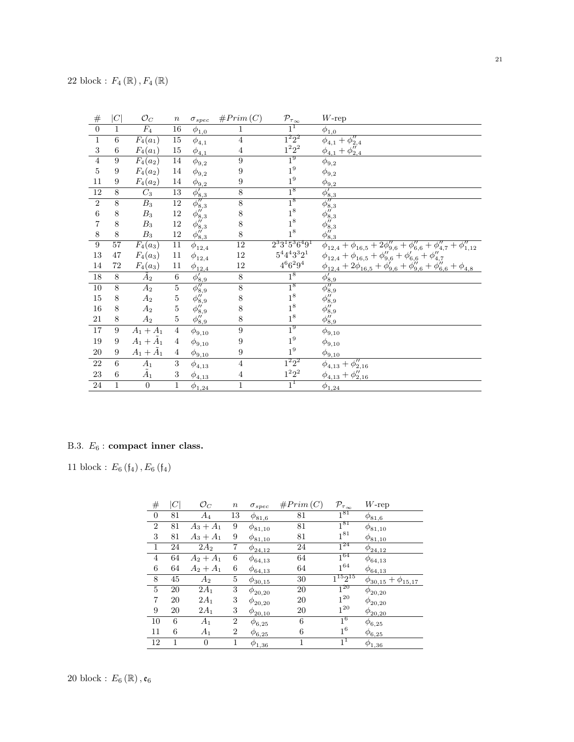| $\#$             | C            | $\mathcal{O}_C$     | $\, n$           | $\sigma_{spec}$                      | #Prim(C)         | $\mathcal{P}_{\tau_{\infty}}$   | $W$ -rep                                                                                  |
|------------------|--------------|---------------------|------------------|--------------------------------------|------------------|---------------------------------|-------------------------------------------------------------------------------------------|
| $\boldsymbol{0}$ | $\mathbf{1}$ | $\overline{F_4}$    | $16\,$           | $\phi_{1,0}$                         | 1                | $1^1$                           | $\phi_{1,0}$                                                                              |
| $\,1\,$          | $\,6\,$      | $F_4(a_1)$          | $15\,$           | $\phi_{4,1}$                         | $\overline{4}$   |                                 | $\overline{\phi_{4,1}+\phi_{2,4}''}$                                                      |
| $\,3$            | 6            | $F_4(a_1)$          | $15\,$           | $\phi_{\underline{4},\underline{1}}$ | $\overline{4}$   | $\overline{1^2 2^2} \\ 1^2 2^2$ | $\phi_{4,1} + \phi_{2,4}''$                                                               |
| $\sqrt{4}$       | 9            | $F_4(a_2)$          | $14\,$           | $\phi_{9,2}$                         | $\overline{9}$   | 1 <sup>9</sup>                  | $\bar{\phi}_{9,2}$                                                                        |
| $\bf 5$          | 9            | $F_4(a_2)$          | 14               | $\phi_{9,2}$                         | 9                | $1^9\,$                         | $\phi_{9,2}$                                                                              |
| 11               | 9            | $F_4(a_2)$          | 14               | $\phi_{9,2}$                         | $\boldsymbol{9}$ | $1^9\,$                         | $\phi_{9,2}$                                                                              |
| 12               | 8            | $C_3$               | $\overline{13}$  | $\phi'_{8,3}$                        | $8\,$            | 1 <sup>8</sup>                  | $\frac{\phi'_{8,3}}{\phi''_{8,3}}$<br>$\phi''_{8,3}$<br>$\phi''_{8,3}$<br>$\phi''_{8,3}$  |
| $\overline{2}$   | 8            | $\overline{B_3}$    | 12               | $\overline{\phi''_{8,3}}$            | $\overline{8}$   | 1 <sup>8</sup>                  |                                                                                           |
| $\,6\,$          | 8            | $B_3$               | 12               | $\phi_{8,3}''$                       | 8                | $1^8\,$                         |                                                                                           |
| 7                | 8            | $B_3$               | 12               | $\phi_{8,3}''$                       | $8\,$            | $1^8\,$                         |                                                                                           |
| $8\,$            | 8            | $B_3$               | $12\,$           | $\phi_{8,3}''$                       | 8                | $1^8\,$                         | $\phi_{8,3}^{\mu^{\prime}}$                                                               |
| $\boldsymbol{9}$ | 57           | $F_4(a_3)$          | $11\,$           | $\phi_{12,4}$                        | $\overline{12}$  | $2^33^15^36^49^1$               | $\phi_{12,4} + \phi_{16,5} + 2\phi_{9,6}'' + \phi_{6,6}'' + \phi_{4,7}'' + \phi_{1,12}''$ |
| $13\,$           | 47           | $F_4(a_3)$          | $11\,$           | $\phi_{12,4}$                        | 12               | $5^4 4^4 3^3 2^1$               | $\phi_{12,4} + \phi_{16,5} + \phi_{9,6}'' + \phi_{6,6} + \phi_{4,7}''$                    |
| 14               | $72\,$       | $F_4(a_3)$          | $11\,$           | $\phi_{12,4}$                        | 12               | $4^6 6^2 9^4$                   | $\phi_{12,4} + 2\phi_{16,5} + \phi_{9,6}' + \phi_{9,6}'' + \phi_{6,6}'' + \phi_{4,8}$     |
| 18               | 8            | $\tilde{A}_2$       | 6                | $\overline{\phi'_{8,9}}$             | $8\,$            | 1 <sup>8</sup>                  | $\phi'_{8,9}$                                                                             |
| $\overline{10}$  | 8            | $A_2$               | $\bf 5$          | $\overline{\phi_{8,9}''}$            | $\overline{8}$   | $\frac{1^8}{1^8}$               | $\frac{\phi_{8,9}''}{\phi_{8,9}''}$                                                       |
| $15\,$           | 8            | $A_2$               | $\overline{5}$   | $\phi_{8,9}^{\prime\prime}$          | $8\,$            |                                 |                                                                                           |
| $16\,$           | 8            | $A_2$               | $\overline{5}$   | $\phi_{8,9}''$                       | 8                | 1 <sup>8</sup>                  |                                                                                           |
| 21               | 8            | $A_2$               | $\bf 5$          | $\phi_{8,9}''$                       | 8                | $1^8\,$                         | $\phi''_{8,9}$<br>$\phi''_{8,9}$                                                          |
| 17               | 9            | $A_1 + \tilde{A}_1$ | $\overline{4}$   | $\phi_{9,10}$                        | $\boldsymbol{9}$ | 1 <sup>9</sup>                  | $\phi_{9,10}$                                                                             |
| 19               | 9            | $A_1+\tilde{A}_1$   | $\overline{4}$   | $\phi_{9,10}$                        | 9                | $1^9\,$                         | $\phi_{9,10}$                                                                             |
| $20\,$           | 9            | $A_1+\tilde{A}_1$   | $\overline{4}$   | $\phi_{\underline{9,10}}$            | 9                | $1^9\,$                         | $\phi_{\underline{9,10}}$                                                                 |
| $22\,$           | 6            | $\tilde{A}_1$       | $\boldsymbol{3}$ | $\phi_{4,13}$                        | $\overline{4}$   | $1^2 2^2$                       | $\phi_{4,13} + \phi_{2,16}''$                                                             |
| $23\,$           | 6            | $\tilde{A}_1$       | $\sqrt{3}$       | $\phi_{\underline{4,13}}$            | $\overline{4}$   | $1^2 2^2$                       | $\phi_{4,13} + \phi_{2,16}''$                                                             |
| $\,24$           | $\mathbf{1}$ | $\overline{0}$      | $\,1\,$          | $\phi_{1,24}$                        | $\mathbf{1}$     | $1^1$                           | $\phi_{1,24}$                                                                             |

# B.3.  $\mathcal{E}_6$  : compact inner class.

11 block :  $E_{6}\left( \frak{f}_{4}\right) ,E_{6}\left( \frak{f}_{4}\right)$ 

| #                | C  | $\mathcal{O}_C$ | $\it n$          | $\sigma_{spec}$ | #Prim(C) | $\mathcal{P}_{\tau_{\infty}}$ | $W$ -rep                      |
|------------------|----|-----------------|------------------|-----------------|----------|-------------------------------|-------------------------------|
| $\boldsymbol{0}$ | 81 | $A_4$           | 13               | $\phi_{81,6}$   | 81       | $1^{81}$                      | $\phi_{{\underline{81}},6}$   |
| 2                | 81 | $A_3 + A_1$     | 9                | $\phi_{81,10}$  | 81       | $1^{81}$                      | $\phi_{81,10}$                |
| 3                | 81 | $A_3 + A_1$     | 9                | $\phi_{81,10}$  | 81       | $1^{81}$                      | $\phi_{81,10}$                |
| 1                | 24 | $2A_2$          | 7                | $\phi_{24,12}$  | 24       | $1^{24}$                      | $\phi_{24,12}$                |
| $\overline{4}$   | 64 | $A_2 + A_1$     | 6                | $\phi_{64,13}$  | 64       | $1^{64}$                      | $\phi_{64,13}$                |
| $\,6$            | 64 | $A_2 + A_1$     | 6                | $\phi_{64,13}$  | 64       | $1^{64}$                      | $\phi_{64,13}$                |
| 8                | 45 | $A_2$           | 5                | $\phi_{30,15}$  | 30       | $\overline{1^{15}2^{15}}$     | $\phi_{30,15} + \phi_{15,17}$ |
| 5                | 20 | $2A_1$          | 3                | $\phi_{20,20}$  | 20       | $1^{20}$                      | $\phi_{20,20}$                |
| 7                | 20 | $2A_1$          | 3                | $\phi_{20,20}$  | 20       | $1^{20}$                      | $\phi_{20,20}$                |
| 9                | 20 | $2A_1$          | 3                | $\phi_{20,10}$  | 20       | $1^{20}$                      | $\phi_{20,20}$                |
| 10               | 6  | $A_1$           | $\boldsymbol{2}$ | $\phi_{6,25}$   | 6        | $1^6$                         | $\phi_{6,25}$                 |
| 11               | 6  | $A_1$           | 2                | $\phi_{6,25}$   | 6        | $1^6$                         | $\phi_{6,25}$                 |
| 12               | 1  | 0               | 1                | $\phi_{1,36}$   | 1        | $1^1$                         | $\phi_{1,36}$                 |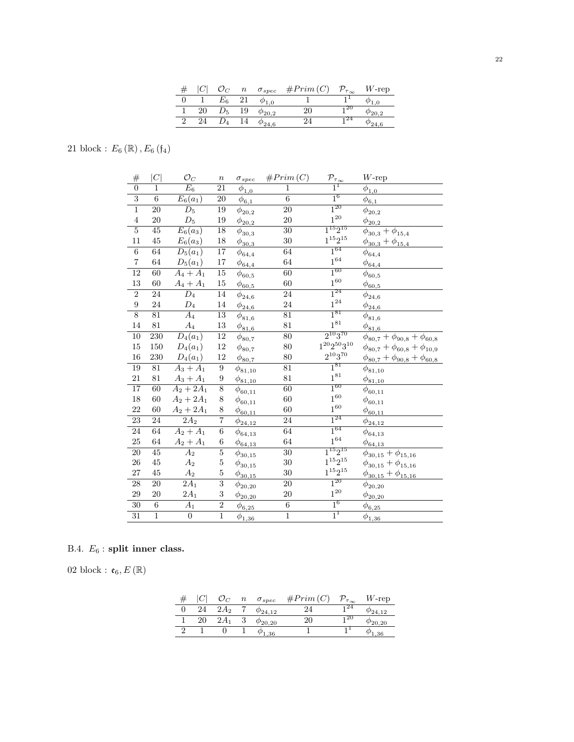|  |         | $\it n$      | $\sigma_{spec}$  | #Prim(C | $\nu_{\tau_{\infty}}$ | $W$ -rep |
|--|---------|--------------|------------------|---------|-----------------------|----------|
|  | $E_{6}$ |              |                  |         |                       |          |
|  | $\nu_5$ | 19           | $\varphi_{20,2}$ |         | 2U                    |          |
|  |         | <sup>4</sup> | $\varphi_{24.6}$ |         | 24                    | '24,6    |

21 block :  $E_{6}\left( \mathbb{R}\right) ,E_{6}\left( \mathfrak{f}_{4}\right)$ 

| #                | C                | $\mathcal{O}_C$       | $\boldsymbol{n}$ | $\sigma_{spec}$                            | #Prim(C)        | $\mathcal{P}_{\tau_{\underline{\infty}}}$ | $W$ -rep                                  |
|------------------|------------------|-----------------------|------------------|--------------------------------------------|-----------------|-------------------------------------------|-------------------------------------------|
| $\overline{0}$   | $\mathbf{1}$     | $\overline{E_6}$      | $\overline{21}$  | $\phi_{\underline{1,0}}$                   | $\mathbf{1}$    | $\overline{1}^{\overline{1}}$             | $\overline{\phi}_{1,0}$                   |
| $\overline{3}$   | $\overline{6}$   | $\overline{E}_6(a_1)$ | $\overline{20}$  | $\phi_{\underline{6,1}}$                   | $\overline{6}$  | $1^6$                                     | $\phi_{6,1}$                              |
| $\overline{1}$   | 20               | $\overline{D_5}$      | 19               | $\phi_{20,2}$                              | $\overline{20}$ | $1^{20}$                                  | $\phi_{20,2}$                             |
| $\overline{4}$   | 20               | $\mathcal{D}_5$       | 19               | $\phi_{\underline{20,2}}$                  | 20              | $1^{20}$                                  | $\phi_{\underline{20,2}}$                 |
| $\overline{5}$   | $\overline{45}$  | $E_6(a_3)$            | 18               | $\phi_{30,3}$                              | 30              | $1^{15}2^{15}$                            | $\phi_{30,3} + \phi_{15,4}$               |
| 11               | $45\,$           | $E_6(a_3)$            | 18               | $\phi_{\underline{30,3}}$                  | 30              | $1^{15}2^{15}\,$                          | $\phi_{30,3} + \phi_{15,4}$               |
| $\sqrt{6}$       | 64               | $D_5(a_1)$            | 17               | $\phi_{64,4}$                              | 64              | $\overline{1^{64}}$                       | $\phi_{64,4}$                             |
| $\,7$            | $64\,$           | $D_5(a_1)$            | $17\,$           | $\phi_{64,4}$                              | 64              | $1^{64}$                                  | $\phi_{\underline{64,4}}$                 |
| $\overline{12}$  | $\overline{60}$  | $A_4 + A_1$           | $\overline{15}$  | $\phi_{60,5}$                              | $\overline{60}$ | $1^{60}$                                  | $\phi_{60,5}$                             |
| $13\,$           | $60\,$           | $A_4 + A_1$           | $15\,$           | $\phi_{60,5}$                              | 60              | $1^{60}\,$                                | $\phi_{60,5}$                             |
| $\overline{2}$   | 24               | $\overline{D_4}$      | $\overline{14}$  | $\phi_{24,6}$                              | $\overline{24}$ | $1^{24}$                                  | $\phi_{24,6}$                             |
| $\boldsymbol{9}$ | 24               | $\mathcal{D}_4$       | 14               | $\phi_{24,6}$                              | 24              | $1^{24}$                                  | $\phi_{24,6}$                             |
| $\overline{8}$   | $\overline{81}$  | $\overline{A_4}$      | $\overline{13}$  | $\phi_{81,6}$                              | $\overline{81}$ | $1^{81}$                                  | $\phi_{81,6}$                             |
| 14               | 81               | $A_4$                 | $13\,$           | $\phi_{{\underline{81}}, {\underline{6}}}$ | 81              | $1^{81}\,$                                | $\phi_{{\underline 81}, {\underline 6}}$  |
| $\overline{10}$  | $\overline{230}$ | $\overline{D_4(a_1)}$ | $\overline{12}$  | $\phi_{80,7}$                              | $\overline{80}$ | $2^{10}3^{70}$                            | $\phi_{80,7} + \phi_{90,8} + \phi_{60,8}$ |
| $15\,$           | 150              | $D_4(a_1)$            | $12\,$           | $\phi_{80,7}$                              | 80              | $1^{20}2^{50}3^{10}$                      | $\phi_{80,7}+\phi_{60,8}+\phi_{10,9}$     |
| 16               | 230              | $D_4(a_1)$            | $12\,$           | $\phi_{80,7}$                              | 80              | $2^{10}3^{70}\,$                          | $\phi_{80,7} + \phi_{90,8} + \phi_{60,8}$ |
| 19               | $\overline{81}$  | $A_3 + A_1$           | $9\,$            | $\phi_{81,10}$                             | $\overline{81}$ | $1^{81}$                                  | $\phi_{81,10}$                            |
| 21               | 81               | $A_3 + A_1$           | $\boldsymbol{9}$ | $\phi_{81,10}$                             | 81              | $1^{81}$                                  | $\phi_{81,10}$                            |
| $\overline{17}$  | $\overline{60}$  | $A_2 + 2A_1$          | $\overline{8}$   | $\phi_{60,11}$                             | $\overline{60}$ | $1^{60}$                                  | $\phi_{60,11}$                            |
| 18               | 60               | $A_2 + 2A_1$          | $\,$ $\,$        | $\phi_{60,11}$                             | 60              | $1^{60}$                                  | $\phi_{60,11}$                            |
| 22               | 60               | $A_2 + 2A_1$          | 8                | $\phi_{\underline{60,11}}$                 | 60              | $1^{60}\,$                                | $\phi_{60,11}$                            |
| 23               | $\sqrt{24}$      | $\overline{2A_2}$     | $\overline{7}$   | $\phi_{24,12}$                             | 24              | $\mathbf{1}^{24}$                         | $\phi_{24,12}$                            |
| $\overline{24}$  | 64               | $A_2 + A_1$           | $\overline{6}$   | $\phi_{64,13}$                             | 64              | $1^{64}$                                  | $\phi_{64,13}$                            |
| $25\,$           | 64               | $A_2 + A_1$           | $\;6\;$          | $\phi_{64,13}$                             | 64              | $1^{64}\,$                                | $\phi_{64,13}$                            |
| $\overline{20}$  | 45               | $\overline{A}_2$      | $\overline{5}$   | $\phi_{30,15}$                             | $\overline{30}$ | $1^{15}2^{15}$                            | $\phi_{30,15} + \phi_{15,16}$             |
| 26               | 45               | A <sub>2</sub>        | $\mathbf 5$      | $\phi_{30,15}$                             | 30              | $1^{15}2^{15}$                            | $\phi_{30,15} + \phi_{15,16}$             |
| $27\,$           | 45               | $A_2$                 | $\bf 5$          | $\phi_{30,15}$                             | $30\,$          | $1^{15}2^{15}\,$                          | $\phi_{30,15} + \phi_{15,16}$             |
| $\overline{28}$  | $\overline{20}$  | $\overline{2A_1}$     | $\overline{3}$   | $\phi_{20,20}$                             | $\overline{20}$ | $1^{20}$                                  | $\phi_{20,20}$                            |
| $\,29$           | 20               | $2A_1$                | 3                | $\phi_{20,20}$                             | $20\,$          | $1^{20}$                                  | $\phi_{20,20}$                            |
| $\overline{30}$  | $\overline{6}$   | $\overline{A_1}$      | $\overline{2}$   | $\phi_{6,25}$                              | $\overline{6}$  | 1 <sup>6</sup>                            | $\phi_{6,25}$                             |
| $\overline{31}$  | $\overline{1}$   | $\overline{0}$        | $\overline{1}$   | $\phi_{1,36}$                              | $\overline{1}$  | 1 <sup>1</sup>                            | $\phi_{1,36}$                             |

# B.4.  $E_6$ : split inner class.

02 block : $\mathfrak{e}_6, E\left(\mathbb{R}\right)$ 

|    |        | $\, n \,$ | $\sigma_{spec}$   | #Prim(C) | $\mathcal{P}_{\tau_{\infty}}$ | $W$ -rep |
|----|--------|-----------|-------------------|----------|-------------------------------|----------|
| 24 | $2A_2$ |           | $\varphi_{24.12}$ | 24       | -24                           | 124.12   |
|    | $2A_1$ |           | $\varphi_{20.20}$ | $20^-$   | 20                            | '20.20   |
|    |        |           | $\varphi_{1,36}$  |          |                               | .36      |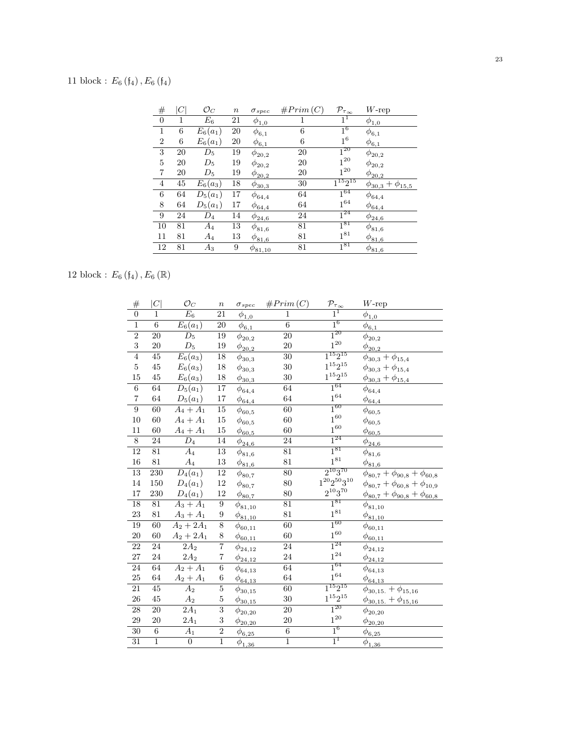# 11 block :  $E_6$  ( $f_4$ ),  $E_6$  ( $f_4$ )

| #              |    | $\mathcal{O}_C$ | $\it n$ | $\sigma_{spec}$           | #Prim(C) | $\mathcal{P}_{\tau_{\infty}}$ | $W$ -rep                    |
|----------------|----|-----------------|---------|---------------------------|----------|-------------------------------|-----------------------------|
| $\theta$       | 1  | $\,E_6$         | 21      | $\phi_{1,0}$              | 1        | 1 <sup>1</sup>                | $\phi_{1,0}$                |
| $\mathbf{1}$   | 6  | $E_6(a_1)$      | 20      | $\phi_{6,1}$              | 6        | $1^6$                         | $\phi_{6,1}$                |
| $\overline{2}$ | 6  | $E_6(a_1)$      | 20      | $\phi_{\underline{6,1}}$  | 6        | $1^6$                         | $\phi_{6,1}$                |
| 3              | 20 | $D_5$           | 19      | $\phi_{20,2}$             | 20       | $1^{20}$                      | $\phi_{20,2}$               |
| 5              | 20 | $D_5$           | 19      | $\phi_{20,2}$             | 20       | $1^{20}$                      | $\phi_{20,2}$               |
| 7              | 20 | $D_5$           | 19      | $\phi_{20,2}$             | 20       | $1^{20}$                      | $\phi_{20,2}$               |
| $\overline{4}$ | 45 | $E_6(a_3)$      | 18      | $\phi_{30,3}$             | 30       | $1^{15}2^{15}$                | $\phi_{30,3} + \phi_{15,5}$ |
| 6              | 64 | $D_5(a_1)$      | 17      | $\phi_{64,4}$             | 64       | $1^{64}$                      | $\phi_{64,4}$               |
| 8              | 64 | $D_5(a_1)$      | 17      | $\phi_{\underline{64,4}}$ | 64       | $1^{64}$                      | $\phi_{\underline{64,4}}$   |
| 9              | 24 | $D_4$           | 14      | $\phi_{24,6}$             | 24       | $\overline{1^{24}}$           | $\phi_{24,6}$               |
| 10             | 81 | $A_4$           | 13      | $\phi_{81,6}$             | 81       | $1^{81}$                      | $\phi_{81,6}$               |
| 11             | 81 | $A_4$           | 13      | $\phi_{8\underline{1,6}}$ | 81       | $1^{81}$                      | $\phi_{8\underline{1,6}}$   |
| 12             | 81 | $A_3$           | 9       | $\phi_{81,10}$            | 81       | $\overline{1^{81}}$           | $\phi_{81,6}$               |

12 block :  $E_6$  ( $\mathfrak{f}_4$ ),  $E_6$  ( $\mathbb{R}$ )

| $\#$                    | C               | $\mathcal{O}_C$       | $\boldsymbol{n}$ | $\sigma_{spec}$           | #Prim(C)        | $\mathcal{P}_{\tau_{\underline{\infty}}}$ | $W\text{-rep}$                             |
|-------------------------|-----------------|-----------------------|------------------|---------------------------|-----------------|-------------------------------------------|--------------------------------------------|
| $\overline{0}$          | $\mathbf{1}$    | $\overline{E_6}$      | $\overline{21}$  | $\phi_{1,0}$              | $\mathbf 1$     | $1^1$                                     | $\phi_{1,0}$                               |
| $\overline{1}$          | $\overline{6}$  | $E_6(a_1)$            | $\overline{20}$  | $\phi_{\underline{6,1}}$  | $\overline{6}$  | $1^6$                                     | $\bar{\phi}_{\underline{6,1}}$             |
| $\overline{2}$          | $\overline{20}$ | $\overline{D_5}$      | 19               | $\phi_{20,2}$             | $\overline{20}$ | $1^{20}$                                  | $\phi_{20,2}$                              |
| $\overline{3}$          | 20              | $\mathcal{D}_5$       | 19               | $\underline{\phi_{20,2}}$ | 20              | $1^{20}$                                  | $\underline{\phi_{20,2}}$                  |
| $\overline{4}$          | $\overline{45}$ | $E_6(a_3)$            | $\overline{18}$  | $\phi_{30,3}$             | $\overline{30}$ | $1^{15}2^{15}$                            | $\phi_{30,3} + \phi_{15,4}$                |
| $\overline{5}$          | $45\,$          | $E_6(a_3)$            | $18\,$           | $\phi_{30,3}$             | 30              | $1^{15}2^{15}\,$                          | $\phi_{30,3} + \phi_{15,4}$                |
| $15\,$                  | $45\,$          | $E_6(a_3)$            | $18\,$           | $\phi_{\underline{30,3}}$ | 30              | $1^{15}2^{15}\,$                          | $\phi_{30,3} + \phi_{15,4}$                |
| $\overline{6}$          | $\overline{64}$ | $\overline{D_5(a_1)}$ | $\overline{17}$  | $\phi_{64,4}$             | 64              | $\overline{1^{64}}$                       | $\phi_{64,4}$                              |
| $\overline{\mathbf{7}}$ | 64              | $D_5(a_1)$            | $17\,$           | $\phi_{64,4}$             | 64              | $1^{64}\,$                                | $\phi_{\underline{64,4}}$                  |
| $\overline{9}$          | 60              | $A_4 + A_1$           | $\overline{15}$  | $\phi_{60,5}$             | 60              | $1^{60}$                                  | $\phi_{60,5}$                              |
| 10                      | 60              | $A_4 + A_1$           | 15               | $\phi_{60,5}$             | 60              | $1^{60}$                                  | $\phi_{60,5}$                              |
| 11                      | 60              | $A_4+A_1$             | $15\,$           | $\phi_{60,5}$             | 60              | $1^{60}$                                  | $\phi_{60,5}$                              |
| $\overline{8}$          | 24              | $\overline{D_4}$      | 14               | $\phi_{24,6}$             | 24              | $1^{24}$                                  | $\phi_{24,6}$                              |
| $\overline{12}$         | $\overline{81}$ | $\overline{A_4}$      | $\overline{13}$  | $\phi_{81,6}$             | $\overline{81}$ | $1^{81}$                                  | $\phi_{81,6}$                              |
| 16                      | 81              | $\mathcal{A}_4$       | $13\,$           | $\phi_{81,6}$             | 81              | $1^{81}\,$                                | $\phi_{{\underline{81}}, {\underline{6}}}$ |
| 13                      | 230             | $D_4(a_1)$            | 12               | $\phi_{80,7}$             | 80              | $2^{10}3^{70}$                            | $\phi_{80,7} + \phi_{90,8} + \phi_{60,8}$  |
| 14                      | $150\,$         | $D_4(a_1)$            | $12\,$           | $\phi_{80,7}$             | 80              | $1^{20}2^{50}3^{10}$                      | $\phi_{80,7} + \phi_{60,8} + \phi_{10,9}$  |
| $17\,$                  | 230             | $D_4(a_1)$            | $12\,$           | $\frac{\phi_{80,7}}{2}$   | $80\,$          | $2^{10}3^{70}\,$                          | $\phi_{80,7} + \phi_{90,8} + \phi_{60,8}$  |
| 18                      | $\overline{81}$ | $A_3 + A_1$           | $\overline{9}$   | $\phi_{81,10}$            | $\overline{81}$ | $1^{81}$                                  | $\phi_{81,10}$                             |
| 23                      | 81              | $A_3 + A_1$           | 9                | $\phi_{81,10}$            | 81              | $1^{81}\,$                                | $\phi_{81,10}$                             |
| 19                      | $\overline{60}$ | $A_2 + 2A_1$          | $\overline{8}$   | $\phi_{60,11}$            | $\overline{60}$ | $1^{60}$                                  | $\phi_{60,11}$                             |
| 20                      | 60              | $A_2 + 2A_1$          | $8\,$            | $\phi_{60,11}$            | 60              | $1^{60}\,$                                | $\phi_{60,11}$                             |
| $\overline{22}$         | 24              | $\overline{2A_2}$     | $\overline{7}$   | $\phi_{24,12}$            | $\overline{24}$ | $1^{24}$                                  | $\phi_{24,12}$                             |
| 27                      | 24              | $2A_2$                | 7                | $\phi_{24,12}$            | 24              | $1^{24}\,$                                | $\phi_{24,12}$                             |
| 24                      | 64              | $A_2 + A_1$           | $\overline{6}$   | $\phi_{64,13}$            | 64              | $1^{64}$                                  | $\phi_{64,13}$                             |
| $\rm 25$                | 64              | $A_2 + A_1$           | $\,6$            | $\phi_{64,13}$            | 64              | $1^{64}\,$                                | $\phi_{64,13}$                             |
| 21                      | 45              | $\overline{A_2}$      | $\bf 5$          | $\phi_{30,15}$            | 60              | $1^{15}2^{15}$                            | $\phi_{30,15.} + \phi_{15,16}$             |
| 26                      | $45\,$          | $A_2$                 | $\bf 5$          | $\phi_{30,15}$            | 30              | $1^{15}2^{15}\,$                          | $\phi_{30,15.} + \phi_{15,16}$             |
| $\overline{28}$         | 20              | $\overline{2A_1}$     | $\overline{3}$   | $\phi_{20,20}$            | $\overline{20}$ | $\overline{1^{20}}$                       | $\phi_{20,20}$                             |
| 29                      | 20              | $2A_1$                | 3                | $\phi_{20,20}$            | $20\,$          | $1^{\mathrm{20}}$                         | $\phi_{20,20}$                             |
| $\overline{30}$         | $\overline{6}$  | $\overline{A_1}$      | $\overline{2}$   | $\phi_{6,25}$             | $\overline{6}$  | $1^6$                                     | $\phi_{6,25}$                              |
| 31                      | $\overline{1}$  | $\overline{0}$        | $\overline{1}$   | $\phi_{1,36}$             | $\overline{1}$  | $1^1$                                     | $\phi_{1,36}$                              |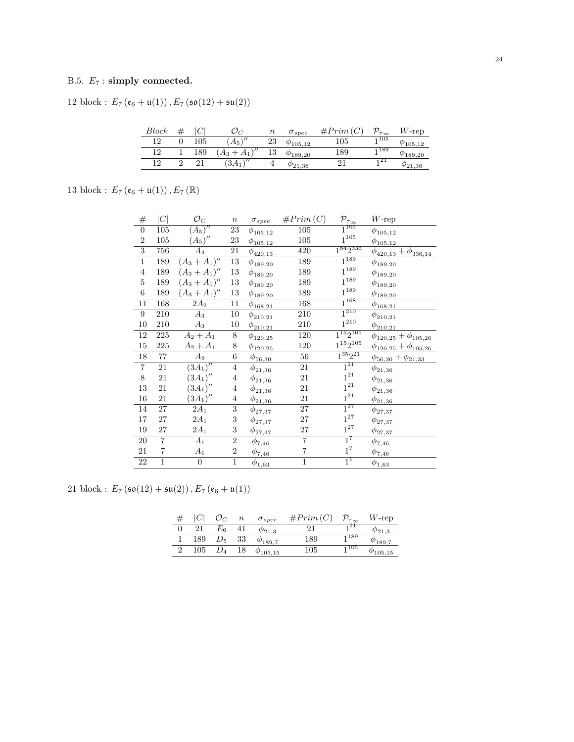# B.5.  $E_7$ : simply connected.

12 block :  $E_7\left(\mathfrak{e}_6+\mathfrak{u}(1)\right), E_7\left(\mathfrak{so}(12)+\mathfrak{su}(2)\right)$ 

| Block |         |                      | $\it n$ | $\sigma_{spec}$    | #Prim | $\tau_{\infty}$ | $W\text{-rep}$     |
|-------|---------|----------------------|---------|--------------------|-------|-----------------|--------------------|
| 1 ດ   | $105\,$ | $\sqrt{2}$<br>$A_5$  | 23      | $\varphi_{105,12}$ | 105   | 1 1 0 5         | 105.12             |
| 1 ດ   | 189     | 43                   | 13      | $\varphi_{189,20}$ | 189   | 1189            | $^{\prime}$ 189.20 |
| າດ    |         | $\sqrt{2}$<br>$3A_1$ |         | $\varphi_{21,36}$  | ◢     | -121            | 921.36             |

13 block :  $E_{7}\left(\mathfrak{e}_{6}+\mathfrak{u}(1)\right), E_{7}\left(\mathbb{R}\right)$ 

| $\#$             | $\left C\right $ | $\mathcal{O}_C$  | $\, n$           | $\sigma_{spec}$           | #Prim(C)                | $\mathcal{P}_{\tau_{\infty}}$ | $W$ -rep                        |
|------------------|------------------|------------------|------------------|---------------------------|-------------------------|-------------------------------|---------------------------------|
| $\boldsymbol{0}$ | 105              | $(A_5)''$        | $23\,$           | $\phi_{105,12}$           | 105                     | $\overline{1^{105}}$          | $\phi_{105,12}$                 |
| $\,2$            | 105              | $(A_5)''$        | $23\,$           | $\phi_{105,12}$           | $105\,$                 | $1^{105}\,$                   | $\phi_{105,12}$                 |
| $\overline{3}$   | 756              | $A_4$            | 21               | $\phi_{420,13}$           | 420                     | $1^{84}2^{336}$               | $\phi_{420,13} + \phi_{336,14}$ |
| $\overline{1}$   | 189              | $(A_3 + A_1)''$  | 13               | $\phi_{189,20}$           | 189                     | $1^{189}$                     | $\phi_{189,20}$                 |
| $\,4\,$          | 189              | $(A_3 + A_1)''$  | $13\,$           | $\phi_{189,20}$           | 189                     | $1^{189}\,$                   | $\phi_{189,20}$                 |
| $\bf 5$          | 189              | $(A_3 + A_1)''$  | $13\,$           | $\phi_{189,20}$           | 189                     | $1^{189}$                     | $\phi_{189,20}$                 |
| $\,6\,$          | 189              | $(A_3 + A_1)''$  | $13\,$           | $\phi_{189,20}$           | 189                     | $1^{189}$                     | $\phi_{189,20}$                 |
| 11               | 168              | $2A_2$           | 11               | $\phi_{168,21}$           | 168                     | $1^{168}$                     | $\phi_{168,21}$                 |
| $\boldsymbol{9}$ | 210              | $A_3$            | 10               | $\phi_{210,21}$           | 210                     | $1^{210}$                     | $\phi_{210,21}$                 |
| 10               | 210              | $A_3$            | 10               | $\phi_{210,21}$           | 210                     | $1^{210}$                     | $\phi_{210,21}$                 |
| 12               | 225              | $A_2 + A_1$      | 8                | $\phi_{120,25}$           | 120                     | $1^{15}2^{105}$               | $\phi_{120,25} + \phi_{105,26}$ |
| $15\,$           | 225              | $A_2 + A_1$      | 8                | $\phi_{120,25}$           | 120                     | $1^{15}2^{105}$               | $\phi_{120,25} + \phi_{105,26}$ |
| 18               | 77               | $\overline{A_2}$ | 6                | $\phi_{\frac{56,30}{2}}$  | 56                      | $1^{35}2^{21}$                | $\phi_{56,30} + \phi_{21,33}$   |
| $\,7$            | 21               | $(3A_1)''$       | $\overline{4}$   | $\phi_{21,36}$            | 21                      | $1^{21}$                      | $\phi_{21,36}$                  |
| $8\,$            | 21               | $(3A_1)''$       | $\overline{4}$   | $\phi_{21,36}$            | 21                      | $1^{21}$                      | $\phi_{21,36}$                  |
| 13               | 21               | $(3A_1)''$       | $\overline{4}$   | $\phi_{21,36}$            | 21                      | $1^{21}$                      | $\phi_{21,36}$                  |
| 16               | 21               | $(3A_1)''$       | $\overline{4}$   | $\phi_{21,36}$            | 21                      | $1^{\mathrm{21}}$             | $\phi_{21,36}$                  |
| 14               | 27               | $2A_1$           | 3                | $\phi_{27,37}$            | 27                      | $1^{27}$                      | $\phi_{27,37}$                  |
| 17               | 27               | $2A_1$           | 3                | $\phi_{27,37}$            | 27                      | $1^{27}$                      | $\phi_{27,37}$                  |
| 19               | $27\,$           | $2A_1$           | 3                | $\phi_{27,37}$            | $27\,$                  | $1^{27}$                      | $\phi_{\underline{27,37}}$      |
| $20\,$           | $\overline{7}$   | $A_1$            | $\boldsymbol{2}$ | $\phi_{7,46}$             | $\overline{7}$          | $1^7$                         | $\phi_{7,46}$                   |
| 21               | $\overline{7}$   | $A_1$            | $\boldsymbol{2}$ | $\phi_{\underline{7,46}}$ | $\overline{\mathbf{7}}$ | $1^7\,$                       | $\phi_{\underline{7,46}}$       |
| $22\,$           | $\mathbf{1}$     | $\boldsymbol{0}$ | $\mathbf{1}$     | $\phi_{1,63}$             | $\mathbf{1}$            | $1^1$                         | $\phi_{1,63}$                   |

21 block :  $E_7(\mathfrak{so}(12) + \mathfrak{su}(2)), E_7(\mathfrak{e}_6 + \mathfrak{u}(1))$ 

|     |         | $\it n$ | $\sigma_{spec}$    | #Prim(C) | $\mathcal{D}_{\tau_{\infty}}$ | $W$ -rep |
|-----|---------|---------|--------------------|----------|-------------------------------|----------|
| 21  | $E_{6}$ |         | $\varphi_{21.3}$   |          | <sub>1</sub> 21               |          |
| 189 | $D_5$   | 33      | $\varphi_{189.7}$  | 189      | 1189                          |          |
| 105 |         | 18      | $\varphi_{105,15}$ | 105      | 1 105                         | 105,15   |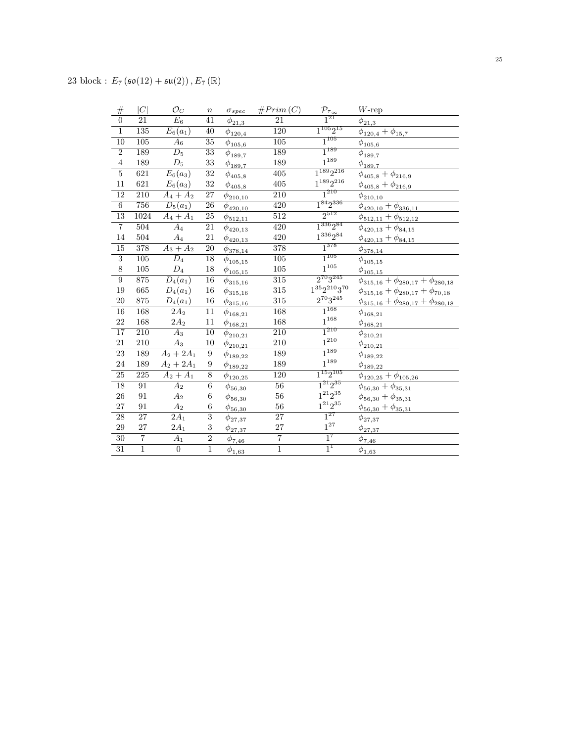| #               | C                | $\mathcal{O}_C$        | $\boldsymbol{n}$          | $\sigma_{spec}$              | #Prim(C)         | $\mathcal{P}_{\tau_{\underline{\infty}}}$ | $W$ -rep                                        |
|-----------------|------------------|------------------------|---------------------------|------------------------------|------------------|-------------------------------------------|-------------------------------------------------|
| $\overline{0}$  | 21               | $E_6$                  | 41                        | $\phi_{21,3}$                | 21               | $\overrightarrow{1^{21}}$                 | $\phi_{{\underline{21}}, {\underline{3}}}$      |
| $\overline{1}$  | 135              | $E_6(a_1)$             | 40                        | $\phi_{120,4}$               | $\overline{120}$ | $1^{105}2^{15}$                           | $\phi_{120,4} + \phi_{15,7}$                    |
| $\overline{10}$ | $\overline{105}$ | $A_6$                  | $\overline{35}$           | $\phi_{105,6}$               | $\overline{105}$ | $1^{105}$                                 | $\phi_{105,6}$                                  |
| $\overline{2}$  | 189              | $\overline{D_5}$       | $\overline{33}$           | $\phi_{189,7}$               | 189              | $1^{189}$                                 | $\phi_{189,7}$                                  |
| $\,4\,$         | 189              | $D_5$                  | $33\,$                    | $\phi_{189,7}$               | 189              | $1^{189}\,$                               | $\phi_{\underline{189,7}}$                      |
| $\overline{5}$  | $\overline{621}$ | $E_6(a_3)$             | $\overline{32}$           | $\phi_{405,8}$               | $\overline{405}$ | $1^{189}2^{216}$                          | $\phi_{405,8} + \phi_{216,9}$                   |
| 11              | 621              | $E_6(a_3)$             | $32\,$                    | $\phi_{\underline{405,8}}$   | $405\,$          | $1^{189}2^{216}$                          | $\phi_{405,8}+\phi_{216,9}$                     |
| $\overline{12}$ | $\overline{210}$ | $A_4 + A_2$            | $27\,$                    | $\phi_{210,10}$              | $\overline{210}$ | $1^{210}$                                 | $\phi_{210,10}$                                 |
| $\overline{6}$  | 756              | $D_5(a_1)$             | 26                        | $\phi_{420,10}$              | 420              | $1^{84}2^{336}$                           | $\phi_{420,10} + \phi_{336,11}$                 |
| $\overline{13}$ | 1024             | $A_4 + A_1$            | $\overline{25}$           | $\phi_{\underline{512,11}}$  | $\overline{512}$ | $2^{512}$                                 | $\phi_{512,11} + \phi_{512,12}$                 |
| $\overline{7}$  | $\overline{504}$ | $\overline{A_4}$       | 21                        | $\phi_{420,13}$              | 420              | $1^{336}2^{84}$                           | $\phi_{420,13} + \phi_{84,15}$                  |
| 14              | 504              | $A_4$                  | 21                        | $\phi_{420,13}$              | 420              | $1^{336}2^{84}$                           | $\phi_{420,13} + \phi_{84,15}$                  |
| $\overline{15}$ | 378              | $A_3 + A_2$            | $\overline{20}$           | $\phi_{378,14}$              | 378              | $1^{378}$                                 | $\phi_{378,14}$                                 |
| $\overline{3}$  | $105\,$          | $\overline{D_4}$       | $18\,$                    | $\phi_{105,15}$              | $105\,$          | $1^{105}$                                 | $\phi_{105,15}$                                 |
| $\,8\,$         | $105\,$          | $\mathcal{D}_4$        | $18\,$                    | $\phi_{105,15}$              | $105\,$          | $1^{105}\,$                               | $\phi_{105,15}$                                 |
| $\overline{9}$  | 875              | $D_4(a_1)$             | 16                        | $\phi_{{315,16}}$            | 315              | $2^{70}3^{245}$                           | $\phi_{315,16} + \phi_{280,17} + \phi_{280,18}$ |
| 19              | $665\,$          | $D_4(a_1)$             | $16\,$                    | $\phi_{{315,16}}$            | $315\,$          | $1^{35}2^{210}3^{70}\,$                   | $\phi_{315,16} + \phi_{280,17} + \phi_{70,18}$  |
| $20\,$          | $875\,$          | $D_4(a_1)$             | $16\,$                    | $\phi_{{\bf 315}, {\bf 16}}$ | $315\,$          | $2^{70}3^{245}\,$                         | $\phi_{315,16} + \phi_{280,17} + \phi_{280,18}$ |
| 16              | 168              | $2A_2$                 | 11                        | $\phi_{168,21}$              | 168              | $1^{168}$                                 | $\phi_{168,21}$                                 |
| $\bf{22}$       | $168\,$          | $2{\cal A}_2$          | 11                        | $\phi_{168,21}$              | 168              | $1^{168}$                                 | $\phi_{\underline{168,21}}$                     |
| $\overline{17}$ | $\overline{210}$ | $\overline{A}_3$       | 10                        | $\phi_{210,21}$              | $\overline{210}$ | $1^{210}$                                 | $\phi_{210,21}$                                 |
| 21              | 210              | $A_3$                  | 10                        | $\phi_{210,21}$              | 210              | $1^{210}$                                 | $\phi_{210,21}$                                 |
| 23              | 189              | $A_2 + 2A_1$           | 9                         | $\phi_{189,22}$              | 189              | $1^{189}$                                 | $\phi_{189,22}$                                 |
| 24              | 189              | $A_2 + 2A_1$           | 9                         | $\phi_{{{189,22}}}\$         | 189              | $1^{189}$                                 | $\phi_{{\bf 189},{\bf 22}}$                     |
| $\overline{25}$ | 225              | $A_2 + \overline{A_1}$ | $\overline{8}$            | $\phi_{120,25}$              | 120              | $1^{15}2^{105}$                           | $\phi_{120,25}+\phi_{105,26}$                   |
| 18              | 91               | $\overline{A}_2$       | $\boldsymbol{6}$          | $\phi_{56,30}$               | $\overline{56}$  | $1^{21}2^{35}$                            | $\phi_{56,30} + \phi_{35,31}$                   |
| 26              | 91               | A <sub>2</sub>         | 6                         | $\phi_{56,30}$               | $56\,$           | $1^{21}2^{35}$                            | $\phi_{56,30} + \phi_{35,31}$                   |
| 27              | 91               | $\mathcal{A}_2$        | $\boldsymbol{6}$          | $\frac{\phi_{56,30}}{2}$     | $56\,$           | $1^{21}2^{35}\,$                          | $\phi_{56,30} + \phi_{35,31}$                   |
| $\overline{28}$ | $\overline{27}$  | $\overline{2A_1}$      | $\overline{\overline{3}}$ | $\phi_{27,37}$               | $\overline{27}$  | $\overline{1^{27}}$                       | $\phi_{27,37}$                                  |
| 29              | 27               | $2A_1$                 | $\sqrt{3}$                | $\phi_{27,37}$               | $\sqrt{27}$      | $1^{27}$                                  | $\phi_{27,37}$                                  |
| $\overline{30}$ | $\overline{7}$   | $A_1$                  | $\overline{2}$            | $\frac{\phi_{7,46}}{2}$      | $\overline{7}$   | $1^7$                                     | $\phi_{7,46}$                                   |
| $\overline{31}$ | $\overline{1}$   | $\overline{0}$         | $\overline{1}$            | $\phi_{1,63}$                | $\overline{1}$   | $1^1$                                     | $\phi_{1,63}$                                   |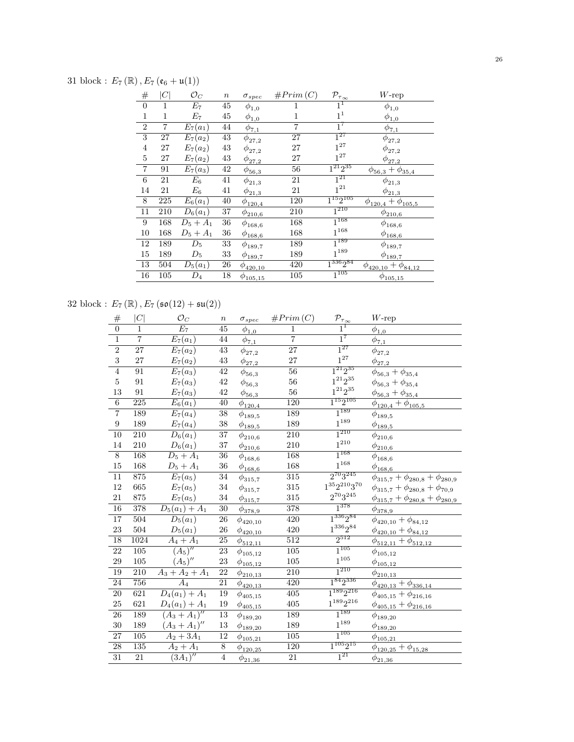31 block :  $E_7(\mathbb{R})$ ,  $E_7(\mathfrak{e}_6 + \mathfrak{u}(1))$ 

| $^{\#}$        | C   | $\mathcal{O}_C$ | $\it n$ | $\sigma_{spec}$           | #Prim(C) | $\mathcal{P}_{\tau_{\infty}}$ | $W$ -rep                             |
|----------------|-----|-----------------|---------|---------------------------|----------|-------------------------------|--------------------------------------|
| $\overline{0}$ | 1   | $E_7$           | 45      | $\phi_{1,0}$              | 1        | $1^{\perp}$                   | $\phi_{1,0}$                         |
| $\mathbf{1}$   | 1   | $E_7$           | 45      | $\phi_{1,0}$              | 1        | 1 <sup>1</sup>                | $\phi_{1,0}$                         |
| $\overline{2}$ | 7   | $E_7(a_1)$      | 44      | $\phi_{\underline{7,1}}$  | 7        | $1^7$                         | $\phi_{\underline{7},\underline{1}}$ |
| 3              | 27  | $E_7(a_2)$      | 43      | $\phi_{27,2}$             | 27       | $1^{27}$                      | $\phi_{27,2}$                        |
| $\overline{4}$ | 27  | $E_7(a_2)$      | 43      | $\phi_{27,2}$             | 27       | $1^{27}$                      | $\phi_{27,2}$                        |
| $\overline{5}$ | 27  | $E_7(a_2)$      | 43      | $\phi_{27,2}$             | 27       | $1^{27}$                      | $\phi_{27,2}$                        |
| $\overline{7}$ | 91  | $E_7(a_3)$      | 42      | $\phi_{\underline{56,3}}$ | 56       | $1^{21}2^{35}$                | $\phi_{56,3}+\phi_{35,4}$            |
| 6              | 21  | $\mathcal{E}_6$ | 41      | $\phi_{21,3}$             | 21       | $1^{21}$                      | $\phi_{21,3}$                        |
| 14             | 21  | $\mathcal{E}_6$ | 41      | $\phi_{21,3}$             | 21       | $1^{21}\,$                    | $\phi_{\underline{21,3}}$            |
| $8\,$          | 225 | $E_6(a_1)$      | 40      | $\phi_{120,4}$            | 120      | $1^{15}2^{105}$               | $\phi_{120,4} + \phi_{105,5}$        |
| 11             | 210 | $D_6(a_1)$      | 37      | $\phi_{210,6}$            | 210      | $\overline{1^{210}}$          | $\phi_{210,6}$                       |
| 9              | 168 | $D_5 + A_1$     | $36\,$  | $\phi_{168,6}$            | 168      | $\overline{1^{168}}$          | $\phi_{168,6}$                       |
| 10             | 168 | $D_5 + A_1$     | 36      | $\phi_{168,6}$            | 168      | $1^{168}$                     | $\phi_{168,6}$                       |
| 12             | 189 | $D_5$           | 33      | $\phi_{189,7}$            | 189      | $\overline{1^{189}}$          | $\phi_{189,7}$                       |
| 15             | 189 | $D_5$           | 33      | $\phi_{189,7}$            | 189      | $1^{189}$                     | $\phi_{189,7}$                       |
| 13             | 504 | $D_5(a_1)$      | 26      | $\phi_{420,10}$           | 420      | $1^{336}2^{84}$               | $\phi_{420,10} + \phi_{84,12}$       |
| 16             | 105 | $D_4$           | 18      | $\phi_{105,15}$           | 105      | $1^{105}$                     | $\phi_{105,15}$                      |

32 block :  $E_7(\mathbb{R})$ ,  $E_7(\mathfrak{so}(12) + \mathfrak{su}(2))$ 

| $\#$                    | C                | $\mathcal{O}_C$              | $\boldsymbol{n}$ | $\sigma_{spec}$                | #Prim(C)         | $\mathcal{P}_{\underline{\tau_{\infty}}}$ | $W\text{-rep}$                               |
|-------------------------|------------------|------------------------------|------------------|--------------------------------|------------------|-------------------------------------------|----------------------------------------------|
| $\overline{0}$          | $\mathbf{1}$     | $\overline{E_7}$             | 45               | $\phi_{\underline{1,0}}$       | $\mathbf{1}$     | $1^1$                                     | $\phi_{1,0}$                                 |
| $\overline{1}$          | $\overline{7}$   | $E_7(a_1)$                   | $\overline{44}$  | $\bar{\phi}_{\underline{7,1}}$ | $\overline{7}$   | $1^7$                                     | $\bar{\phi}_{\underline{7,1}}$               |
| $\overline{2}$          | 27               | $E_7(a_2)$                   | 43               | $\phi_{27,2}$                  | 27               | $1^{27}$                                  | $\phi_{27,2}$                                |
| $\overline{\mathbf{3}}$ | $\sqrt{27}$      | $E_7(a_2)$                   | $43\,$           | $\phi_{27,2}$                  | 27               | $1^{27}$                                  | $\phi_{27,2}$                                |
| $\overline{4}$          | $\overline{91}$  | $E_7(a_3)$                   | $\overline{42}$  | $\phi_{56,3}$                  | $\overline{56}$  | $1^{21}2^{35}$                            | $\phi_{56,3} + \phi_{35,4}$                  |
| $\bf 5$                 | 91               | $E_7(a_3)$                   | $42\,$           | $\phi_{56,3}$                  | $56\,$           | $1^{21}2^{35}\,$                          | $\phi_{56,3} + \phi_{35,4}$                  |
| 13                      | 91               | $E_7(a_3)$                   | $42\,$           | $\phi_{56,3}$                  | 56               | $1^{21}2^{35}\,$                          | $\phi_{56,3}+\phi_{35,4}$                    |
| $\overline{6}$          | $\overline{225}$ | $E_6(a_1)$                   | $\overline{40}$  | $\phi_{120,4}$                 | 120              | $1^{15}2^{105}$                           | $\phi_{120,4} + \phi_{105,5}$                |
| $\overline{7}$          | 189              | $E_7(a_4)$                   | $\overline{38}$  | $\phi_{189,5}$                 | 189              | $1^{189}$                                 | $\phi_{189,5}$                               |
| $\boldsymbol{9}$        | 189              | $E_7(a_4)$                   | $38\,$           | $\phi_{189,5}$                 | 189              | $1^{189}\,$                               | $\phi_{189,5}$                               |
| $\overline{10}$         | $\overline{210}$ | $\overline{D_6(a_1)}$        | $\overline{37}$  | $\phi_{210,6}$                 | $\overline{210}$ | $1^{210}$                                 | $\phi_{210,6}$                               |
| 14                      | 210              | $D_6(a_1)$                   | $37\,$           | $\phi_{210,6}$                 | $210\,$          | $1^{\mathrm{210}}$                        | $\phi_{210,6}$                               |
| $\overline{8}$          | 168              | $D_5 + A_1$                  | $\overline{36}$  | $\phi_{168,6}$                 | 168              | $1^{168}$                                 | $\phi_{168,6}$                               |
| 15                      | $168\,$          | $D_5 + A_1$                  | 36               | $\phi_{168,6}$                 | 168              | $1^{168}\,$                               | $\phi_{168,6}$                               |
| $\overline{11}$         | 875              | $E_7(a_5)$                   | $\overline{34}$  | $\phi_{{315,7}}$               | 315              | $2^{70}3^{245}$                           | $\phi_{315,7} + \phi_{280,8} + \phi_{280,9}$ |
| 12                      | 665              | $E_7(a_5)$                   | 34               | $\phi_{315,7}$                 | 315              | $1^{35}2^{210}3^{70}$                     | $\phi_{315,7} + \phi_{280,8} + \phi_{70,9}$  |
| 21                      | $875\,$          | $E_7(a_5)$                   | $34\,$           | $\phi_{315,7}$                 | 315              | $2^{70}3^{245}\,$                         | $\phi_{315,7} + \phi_{280,8} + \phi_{280,9}$ |
| $\overline{16}$         | 378              | $\overline{D_5(a_1)+A_1}$    | $\overline{30}$  | $\phi_{378,9}$                 | 378              | $1^{378}$                                 | $\phi_{378,9}$                               |
| $\overline{17}$         | $\overline{504}$ | $\overline{D_5(a_1)}$        | 26               | $\phi_{420,10}$                | $\overline{420}$ | $1^{336}2^{84}$                           | $\phi_{420,10} + \phi_{84,12}$               |
| 23                      | 504              | $D_5(a_1)$                   | 26               | $\phi_{420,10}$                | 420              | $1^{336}2^{84}$                           | $\phi_{420,10} + \phi_{84,12}$               |
| $\overline{18}$         | 1024             | $A_4 + A_1$                  | $\overline{25}$  | $\phi_{512,11}$                | $\overline{512}$ | $2^{512}$                                 | $\phi_{512,11} + \phi_{512,12}$              |
| $\overline{22}$         | $\overline{105}$ | $(A_5)''$                    | $\overline{23}$  | $\phi_{105,12}$                | $\overline{105}$ | $1^{105}$                                 | $\phi_{105,12}$                              |
| 29                      | 105              | $(A_5)''$                    | 23               | $\phi_{{\underline{105,12}}}$  | 105              | $1^{105}\,$                               | $\phi_{105,12}$                              |
| 19                      | 210              | $\overline{A_3 + A_2 + A_1}$ | $\overline{22}$  | $\phi_{210,13}$                | 210              | $1^{210}\,$                               | $\phi_{210,13}$                              |
| $\overline{24}$         | 756              | $\overline{A_4}$             | $\overline{21}$  | $\phi_{420,13}$                | 420              | $1^{84}2^{336}$                           | $\phi_{420,13} + \phi_{336,14}$              |
| $\overline{20}$         | 621              | $D_4(a_1) + A_1$             | 19               | $\phi_{405,15}$                | $\overline{405}$ | $1^{189}2^{216}$                          | $\phi_{405,15} + \phi_{216,16}$              |
| 25                      | 621              | $D_4(a_1) + A_1$             | 19               | $\phi_{405,15}$                | $405\,$          | $1^{189}2^{216}$                          | $\phi_{405,15}+\phi_{216,16}$                |
| $\overline{26}$         | 189              | $(A_3 + A_1)''$              | 13               | $\phi_{189,20}$                | 189              | $1^{189}$                                 | $\phi_{189,20}$                              |
| 30                      | 189              | $(A_3 + A_1)''$              | $13\,$           | $\phi_{189,20}$                | 189              | $1^{189}\,$                               | $\phi_{189,20}$                              |
| $\overline{27}$         | $\overline{105}$ | $A_2 + 3A_1$                 | <sup>12</sup>    | $\phi_{105,21}$                | $\overline{105}$ | $1^{105}$                                 | $\phi_{105,21}$                              |
| 28                      | 135              | $A_2 + A_1$                  | $8\,$            | $\phi_{120,25}$                | 120              | $1^{105}2^{15}$                           | $\phi_{120,25}+\phi_{15,28}$                 |
| $\overline{31}$         | $\overline{21}$  | $\overline{(3A_1)''}$        | $\overline{4}$   | $\phi_{21,36}$                 | $\overline{21}$  | $1^{21}$                                  | $\phi_{21,36}$                               |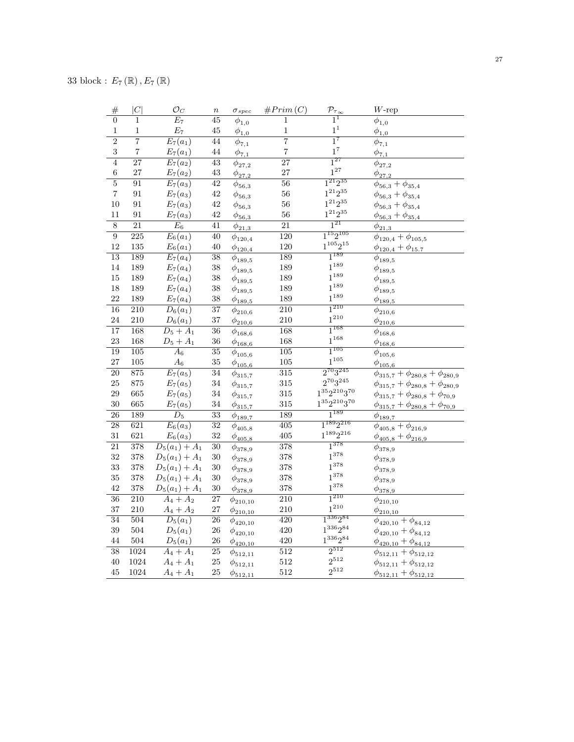| #                       | C                       | $\mathcal{O}_C$       | $\boldsymbol{n}$ | $\sigma_{spec}$                            | #Prim(C)                | $\mathcal{P}_{\underline{\tau_{\infty}}}$ | $W$ -rep                                     |
|-------------------------|-------------------------|-----------------------|------------------|--------------------------------------------|-------------------------|-------------------------------------------|----------------------------------------------|
| $\overline{0}$          | $\overline{1}$          | $\overline{E_7}$      | $\overline{45}$  | $\overline{\phi}_{1,0}$                    | $\overline{1}$          | $1^1$                                     | $\overline{\phi}_{1,0}$                      |
| $\,1\,$                 | $\mathbf 1$             | $\mathcal{E}_7$       | $45\,$           | $\phi_{\underline{1,0}}$                   | $\,1$                   | $\boldsymbol{1}^1$                        | $\phi_{1,0}$                                 |
| $\overline{2}$          | $\overline{7}$          | $\overline{E_7(a_1)}$ | 44               | $\overline{\phi}_{7,1}$                    | $\overline{7}$          | $\overline{1}^7$                          | $\overline{\phi}_{7,1}$                      |
| 3                       | $\overline{\mathbf{7}}$ | $E_7(a_1)$            | 44               | $\phi_{7,1}$                               | $\overline{\mathbf{7}}$ | $1^7$                                     | $\phi_{\underline{7,1}}$                     |
| $\overline{4}$          | $\overline{27}$         | $E_7(a_2)$            | $\overline{43}$  | $\phi_{27,2}$                              | $\overline{27}$         | $1^{27}$                                  | $\phi_{27,2}$                                |
| $\overline{6}$          | 27                      | $E_7(a_2)$            | 43               | $\phi_{{\underline{27}}, {\underline{2}}}$ | 27                      | $1^{27}$                                  | $\phi_{\underline{27,2}}$                    |
| $\overline{5}$          | 91                      | $\overline{E_7(a_3)}$ | 42               | $\phi_{56,3}$                              | 56                      | $1^{21}2^{35}$                            | $\phi_{56,3} + \phi_{35,4}$                  |
| $\overline{\mathbf{7}}$ | 91                      | $E_7(a_3)$            | $42\,$           | $\phi_{56,3}$                              | 56                      | $1^{21}2^{35}$                            | $\phi_{56,3} + \phi_{35,4}$                  |
| 10                      | 91                      | $E_7(a_3)$            | $42\,$           | $\phi_{56,3}$                              | 56                      | $1^{21}2^{35}\,$                          | $\phi_{56,3} + \phi_{35,4}$                  |
| 11                      | 91                      | $E_7(a_3)$            | $42\,$           | $\phi_{\underline{56,3}}$                  | 56                      | $1^{21}2^{35}$                            | $\phi_{56,3} + \phi_{35,4}$                  |
| $\overline{8}$          | $\overline{21}$         | $E_6$                 | 41               | $\phi_{21,3}$                              | $\overline{21}$         | $1^{21}$                                  | $\phi_{\underline{21},3}$                    |
| $\overline{9}$          | $\overline{225}$        | $\overline{E_6(a_1)}$ | 40               | $\phi_{120,4}$                             | $\overline{120}$        | $1^{15}2^{105}$                           | $\phi_{120,4} + \phi_{105,5}$                |
| 12                      | 135                     | $E_6(a_1)$            | $40\,$           | $\phi_{120,4}$                             | 120                     | $1^{105}2^{15}$                           | $\phi_{120,4} + \phi_{15.7}$                 |
| 13                      | 189                     | $E_7(a_4)$            | $\overline{38}$  | $\phi_{189,5}$                             | 189                     | $1^{189}$                                 | $\phi_{189,5}$                               |
| 14                      | 189                     | $E_7(a_4)$            | 38               | $\phi_{189,5}$                             | 189                     | $1^{189}$                                 | $\phi_{189,5}$                               |
| 15                      | 189                     | $E_7(a_4)$            | $38\,$           | $\phi_{189,5}$                             | 189                     | $1^{189}$                                 | $\phi_{189,5}$                               |
| 18                      | 189                     | $E_7(a_4)$            | $38\,$           | $\phi_{189,5}$                             | 189                     | $1^{189}$                                 | $\phi_{189,5}$                               |
| 22                      | 189                     | $E_7(a_4)$            | $38\,$           | $\phi_{{\underline {189,5}}}$              | 189                     | $1^{189}$                                 | $\phi_{{\underline {189,5}}}$                |
| $\overline{16}$         | $\overline{210}$        | $\overline{D_6(a_1)}$ | $\overline{37}$  | $\phi_{210,6}$                             | $\overline{210}$        | $1^{210}$                                 | $\phi_{210,6}$                               |
| 24                      | $210\,$                 | $D_6(a_1)$            | $37\,$           | $\phi_{210,6}$                             | 210                     | $1^{210}$                                 | $\phi_{210,6}$                               |
| $\overline{17}$         | 168                     | $D_5 + A_1$           | $\overline{36}$  | $\phi_{168,6}$                             | 168                     | $1^{168}$                                 | $\phi_{168,6}$                               |
| 23                      | 168                     | $D_5 + A_1$           | 36               | $\phi_{168,6}$                             | 168                     | $1^{168}$                                 | $\phi_{\underline{168,6}}$                   |
| 19                      | $\overline{105}$        | $\overline{A_6}$      | $\overline{35}$  | $\phi_{105,6}$                             | 105                     | $1^{105}$                                 | $\phi_{105,6}$                               |
| 27                      | 105                     | $\mathcal{A}_6$       | 35               | $\phi_{105,6}$                             | 105                     | $1^{105}$                                 | $\phi_{105,6}$                               |
| 20                      | 875                     | $\overline{E_7(a_5)}$ | 34               | $\phi_{{315,7}}$                           | 315                     | $2^{70}3^{245}$                           | $\phi_{315,7} + \phi_{280,8} + \phi_{280,9}$ |
| 25                      | $875\,$                 | $E_7(a_5)$            | 34               | $\phi_{315,7}$                             | 315                     | $2^{70}3^{245}$                           | $\phi_{315,7}+\phi_{280,8}+\phi_{280,9}$     |
| 29                      | 665                     | $E_7(a_5)$            | $34\,$           | $\phi_{315,7}$                             | 315                     | $1^{35}2^{210}3^{70}\,$                   | $\phi_{315,7}+\phi_{280,8}+\phi_{70,9}$      |
| 30                      | 665                     | $E_7(a_5)$            | $34\,$           | $\phi_{315,7}$                             | 315                     | $1^{35}2^{210}3^{70}\,$                   | $\phi_{315,7} + \phi_{280,8} + \phi_{70,9}$  |
| $\overline{26}$         | 189                     | $\overline{D_5}$      | $\overline{33}$  | $\phi_{189,7}$                             | 189                     | $1^{189}$                                 | $\phi_{189,7}$                               |
| $\overline{28}$         | $\overline{621}$        | $\overline{E_6(a_3)}$ | $\overline{32}$  | $\phi_{405,8}$                             | $\overline{405}$        | $1^{189}2^{216}$                          | $\phi_{405,8}+\phi_{216,9}$                  |
| 31                      | 621                     | $E_6(a_3)$            | $32\,$           | $\phi_{405,8}$                             | 405                     | $1^{189}2^{216}$                          | $\phi_{405,8} + \phi_{216,9}$                |
| 21                      | 378                     | $D_5(a_1) + A_1$      | $\overline{30}$  | $\phi_{378,9}$                             | 378                     | $1^{378}$                                 | $\phi_{378,9}$                               |
| 32                      | 378                     | $D_5(a_1) + A_1$      | 30               | $\phi_{378,9}$                             | 378                     | $1^{378}$                                 | $\phi_{378,9}$                               |
| 33                      | 378                     | $D_5(a_1) + A_1$      | 30               | $\phi_{378,9}$                             | 378                     | $1^{378}$                                 | $\phi_{378,9}$                               |
| 35                      | 378                     | $D_5(a_1) + A_1$      | $30\,$           | $\phi_{378,9}$                             | 378                     | $1^{378}$                                 | $\phi_{378,9}$                               |
| 42                      | 378                     | $D_5(a_1) + A_1$      | 30               | $\phi_{378,9}$                             | 378                     | $1^{378}$                                 | $\phi_{{\bf 378}, 9}$                        |
| $\overline{36}$         | $\overline{210}$        | $A_4 + A_2$           | $\overline{27}$  | $\phi_{210,10}$                            | $\overline{210}$        | $1^{210}$                                 | $\phi_{210,10}$                              |
| 37                      | $210\,$                 | $A_4 + A_2$           | $27\,$           | $\phi_{210,10}$                            | 210                     | $1^{210}$                                 | $\phi_{210,10}$                              |
| $\overline{34}$         | 504                     | $D_5(a_1)$            | $\overline{26}$  | $\phi_{420,10}$                            | $\overline{420}$        | $1^{336}2^{84}$                           | $\phi_{420,10} + \phi_{84,12}$               |
| 39                      | $504\,$                 | $D_5(a_1)$            | $26\,$           | $\phi_{420,10}$                            | 420                     | $1^{336}2^{84}$                           | $\phi_{420,10} + \phi_{84,12}$               |
| 44                      | $504\,$                 | $D_5(a_1)$            | ${\bf 26}$       | $\phi_{420,10}$                            | 420                     | $1^{336}2^{84}$                           | $\phi_{420,10} + \phi_{84,12}$               |
| $\overline{38}$         | 1024                    | $A_4 + A_1$           | $\overline{25}$  | $\phi_{512,11}$                            | $\overline{512}$        | $2^{512}$                                 | $\phi_{512,11} + \phi_{512,12}$              |
| 40                      | 1024                    | $A_4 + A_1$           | $25\,$           | $\phi_{512,11}$                            | 512                     | $2^{512}$                                 | $\phi_{512,11} + \phi_{512,12}$              |
| 45                      | 1024                    | $A_4 + A_1$           | $25\,$           | $\phi_{512,11}$                            | 512                     | $2^{512}$                                 | $\phi_{512,11} + \phi_{512,12}$              |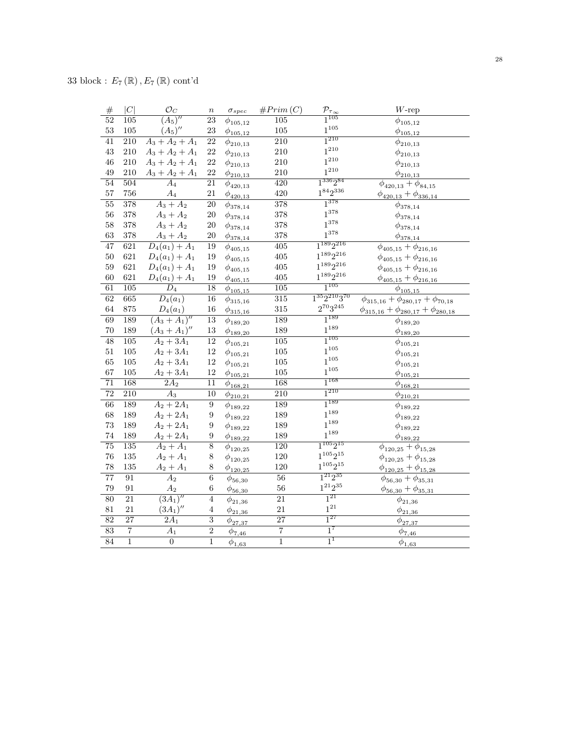| $\#$            | C                | $\mathcal{O}_C$       | $\boldsymbol{n}$ | $\sigma_{spec}$                | #Prim(C)         | $\frac{\mathcal{P}_{\tau_{\infty}}}{1^{105}}$ | $W$ -rep                                                  |
|-----------------|------------------|-----------------------|------------------|--------------------------------|------------------|-----------------------------------------------|-----------------------------------------------------------|
| $\overline{52}$ | $\overline{105}$ | $\overline{(A_5)''}$  | $\overline{23}$  | $\phi_{105,12}$                | $\overline{105}$ |                                               | $\phi_{105,12}$                                           |
| 53              | 105              | $(A_5)''$             | 23               | $\phi_{105,12}$                | 105              | $1^{105}$                                     | $\phi_{105,12}$                                           |
| $\overline{41}$ | $\overline{210}$ | $A_3 + A_2 + A_1$     | $\overline{22}$  | $\phi_{210,13}$                | $\overline{210}$ | $1^{210}$                                     | $\phi_{210,13}$                                           |
| 43              | 210              | $A_3 + A_2 + A_1$     | 22               | $\phi_{210,13}$                | 210              | $1^{210}$                                     | $\phi_{210,13}$                                           |
| 46              | $210\,$          | $A_3 + A_2 + A_1$     | 22               | $\phi_{210,13}$                | $210\,$          | $1^{210}$                                     | $\phi_{210,13}$                                           |
| 49              | 210              | $A_3 + A_2 + A_1$     | 22               | $\phi_{210,13}$                | 210              | $1^{210}$                                     | $\phi_{210,13}$                                           |
| $\overline{54}$ | 504              | $\overline{A_4}$      | 21               | $\phi_{420,13}$                | 420              | $1^{336}2^{84}$                               | $\phi_{420,13} + \phi_{84,15}$                            |
| 57              | 756              | $\mathcal{A}_4$       | $21\,$           | $\phi_{420,13}$                | 420              | $1^{84}2^{336}$                               | $\phi_{420,13} + \phi_{336,14}$                           |
| 55              | 378              | $A_3 + A_2$           | 20               | $\overline{\phi_{378,14}}$     | 378              | $1^{378}$                                     | $\phi_{378,14}$                                           |
| 56              | 378              | $A_3 + A_2$           | 20               | $\phi_{378,14}$                | 378              | $1^{378}$                                     | $\phi_{378,14}$                                           |
| 58              | 378              | $A_3 + A_2$           | $20\,$           | $\phi_{378,14}$                | 378              | $1^{378}$                                     | $\phi_{378,14}$                                           |
| 63              | 378              | $A_3 + A_2$           | $20\,$           | $\phi_{378,14}$                | 378              | $1^{378}$                                     | $\phi_{378,14}$                                           |
| 47              | 621              | $D_4(a_1) + A_1$      | 19               | $\phi_{405,15}$                | $\overline{405}$ | $1^{189}2^{216}$                              | $\overline{\phi_{405,15} + \phi_{216,16}}$                |
| 50              | 621              | $D_4(a_1) + A_1$      | 19               | $\phi_{405,15}$                | $405\,$          | $1^{189}2^{216}$                              | $\phi_{405,15} + \phi_{216,16}$                           |
| 59              | 621              | $D_4(a_1) + A_1$      | 19               | $\phi_{405,15}$                | $405\,$          | $1^{189}2^{216}$                              | $\phi_{405,15} + \phi_{216,16}$                           |
| 60              | 621              | $D_4(a_1) + A_1$      | 19               | $\phi_{\underline{405,15}}$    | 405              | $1^{189}2^{216}$                              | $\phi_{405,15}+\phi_{216,16}$                             |
| 61              | $\overline{105}$ | $\overline{D_4}$      | $\overline{18}$  | $\phi_{105,15}$                | $\overline{105}$ | $1^{105}$                                     | $\phi_{105,15}$                                           |
| 62              | 665              | $\overline{D_4(a_1)}$ | 16               | $\phi_{315,16}$                | 315              | $1^{35}2^{210}3^{70}$                         | $\overline{\phi_{315,16} + \phi_{280,17} + \phi_{70,18}}$ |
| 64              | 875              | $D_4(a_1)$            | 16               | $\phi_{315,16}$                | 315              | $2^{70}3^{245}$                               | $\phi_{315,16} + \phi_{280,17} + \phi_{280,18}$           |
| 69              | 189              | $(A_3 + A_1)''$       | $\overline{13}$  | $\phi_{189,20}$                | 189              | $1^{189}$                                     | $\phi_{189,20}$                                           |
| 70              | 189              | $(A_3 + A_1)''$       | 13               | $\phi_{189,20}$                | 189              | $1^{189}$                                     | $\phi_{189,20}$                                           |
| $\overline{48}$ | 105              | $A_2 + 3A_1$          | $\overline{12}$  | $\phi_{105,21}$                | $\overline{105}$ | $1^{105}$                                     | $\phi_{105,21}$                                           |
| 51              | $105\,$          | $A_2 + 3A_1$          | $12\,$           | $\phi_{105,21}$                | $105\,$          | $1^{105}$                                     | $\phi_{105,21}$                                           |
| 65              | $105\,$          | $A_2 + 3A_1$          | 12               | $\phi_{105,21}$                | $105\,$          | $1^{105}$                                     | $\phi_{105,21}$                                           |
| 67              | $105\,$          | $A_2 + 3A_1$          | 12               | $\phi_{{\underline {105,21}}}$ | $105\,$          | $1^{105}$                                     | $\phi_{105,21}$                                           |
| $\overline{71}$ | 168              | $\overline{2A_2}$     | $\overline{11}$  | $\phi_{168,21}$                | 168              | $1^{168}$                                     | $\phi_{168,21}$                                           |
| 72              | 210              | $\mathcal{A}_3$       | $\overline{10}$  | $\phi_{210,21}$                | $\overline{210}$ | $1^{210}$                                     | $\phi_{210,21}$                                           |
| $\overline{66}$ | 189              | $A_2 + 2A_1$          | $\overline{9}$   | $\phi_{189,22}$                | 189              | $1^{189}$                                     | $\phi_{189,22}$                                           |
| 68              | 189              | $A_2 + 2A_1$          | $\boldsymbol{9}$ | $\phi_{189,22}$                | 189              | $1^{189}$                                     | $\phi_{189,22}$                                           |
| 73              | 189              | $A_2 + 2A_1$          | $\boldsymbol{9}$ | $\phi_{189,22}$                | 189              | $1^{189}$                                     | $\phi_{189,22}$                                           |
| 74              | 189              | $A_2 + 2A_1$          | $\boldsymbol{9}$ | $\phi_{189,22}$                | 189              | $1^{189}$                                     | $\phi_{189,22}$                                           |
| $\overline{75}$ | 135              | $A_2 + A_1$           | $\overline{8}$   | $\phi_{120,25}$                | 120              | $1^{105}2^{15}$                               | $\phi_{120,25} + \phi_{15,28}$                            |
| 76              | $135\,$          | $A_2 + A_1$           | 8                | $\phi_{120,25}$                | $120\,$          | $1^{105}2^{15}$                               | $\phi_{120,25} + \phi_{15,28}$                            |
| 78              | 135              | $A_2 + A_1$           | 8                | $\phi_{120,25}$                | 120              | $1^{105}2^{15}$                               | $\phi_{120,25} + \phi_{15,28}$                            |
| $\overline{77}$ | $\overline{91}$  | $\overline{A_2}$      | $\overline{6}$   | $\phi_{56,30}$                 | $\overline{56}$  | $1^{21}2^{35}$                                | $\phi_{56,30} + \phi_{35,31}$                             |
| 79              | 91               | $\mathcal{A}_2$       | $\,6$            | $\phi_{56,30}$                 | $56\,$           | $1^{21}2^{35}$                                | $\phi_{56,30} + \phi_{35,31}$                             |
| $\overline{80}$ | $\overline{21}$  | $\overline{(3A_1)''}$ | $\overline{4}$   | $\phi_{21,36}$                 | $\overline{21}$  | $1^{21}$                                      | $\overline{\phi}_{21,36}$                                 |
| 81              | 21               | $(3A_1)''$            | $\overline{4}$   | $\phi_{21,36}$                 | 21               | $\mathbf{1}^{\mathbf{21}}$                    | $\phi_{21,36}$                                            |
| $\overline{82}$ | $\overline{27}$  | $\overline{2A_1}$     | $\overline{3}$   | $\phi_{27,37}$                 | $\overline{27}$  | $\overline{1^{27}}$                           | $\phi_{27,37}$                                            |
| $\overline{83}$ | $\overline{7}$   | $\overline{A_1}$      | $\overline{2}$   | $\phi_{7,46}$                  | $\overline{7}$   | $1^7$                                         | $\overline{\phi}_{7,46}$                                  |
| 84              | $\overline{1}$   | $\overline{0}$        | $\overline{1}$   | $\phi_{1,63}$                  | $\overline{1}$   | 1 <sup>1</sup>                                | $\phi_{1,63}$                                             |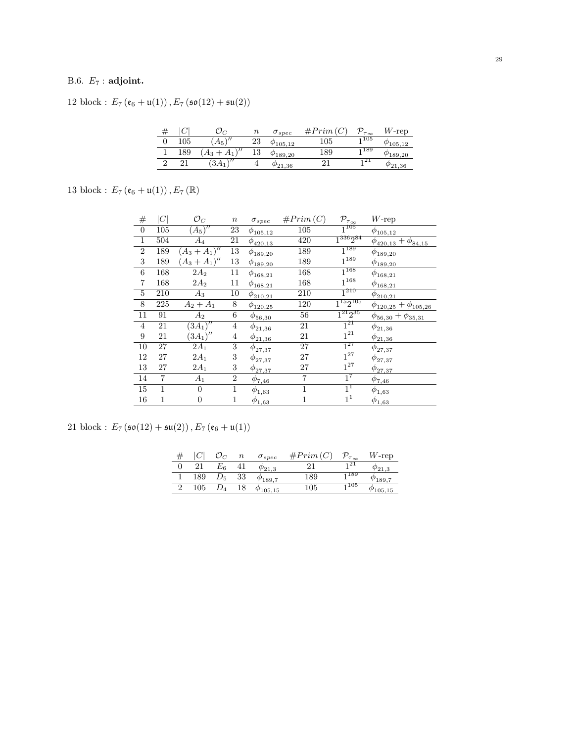# B.6.  $E_7$ : adjoint.

12 block :  $E_7\left(\mathfrak{e}_6 + \mathfrak{u}(1)\right), E_7\left(\mathfrak{so}(12) + \mathfrak{su}(2)\right)$ 

|   |         |                     | $\, n$   | $\sigma_{spec}$    | $\#Prim$ | $\tau_{\infty}$ | $W$ -rep           |
|---|---------|---------------------|----------|--------------------|----------|-----------------|--------------------|
|   | $105\,$ | $A_5$               | 23       | $\varphi_{105.12}$ | 105      | 1105            | $\varphi_{105.12}$ |
|   | 189     | $\sqrt{2}$<br>ъ.    | 12<br>ΤO | $\varphi_{189.20}$ | 189      | 1189            | 49.20              |
| ∼ |         | $\sqrt{1}$<br>$3A-$ |          | $^{\prime}21.36$   |          | 21              | 1,30               |

13 block :  $E_{7}\left(\mathfrak{e}_{6}+\mathfrak{u}(1)\right), E_{7}\left(\mathbb{R}\right)$ 

| $\#$             | $C \vert$      | $\mathcal{O}_C$       | $\, n$         | $\sigma_{spec}$ | #Prim(C)       | $\mathcal{P}_{\tau_{\underline{\infty}}}$ | $W$ -rep                        |
|------------------|----------------|-----------------------|----------------|-----------------|----------------|-------------------------------------------|---------------------------------|
| $\boldsymbol{0}$ | 105            | $(A_5)''$             | 23             | $\phi_{105,12}$ | 105            | $1^{105}$                                 | $\phi_{105,12}$                 |
| $\overline{1}$   | 504            | $A_4$                 | 21             | $\phi_{420,13}$ | 420            | $1^{336}2^{84}$                           | $\phi_{420,13} + \phi_{84,15}$  |
| $\overline{2}$   | 189            | $(A_3 + A_1)''$       | 13             | $\phi_{189,20}$ | 189            | $1^{189}$                                 | $\phi_{189,20}$                 |
| $\,3$            | 189            | $(A_3 + A_1)''$       | 13             | $\phi_{189,20}$ | 189            | $1^{189}$                                 | $\phi_{189,20}$                 |
| 6                | 168            | $2A_2$                | 11             | $\phi_{168,21}$ | 168            | $1^{168}$                                 | $\phi_{168,21}$                 |
| 7                | 168            | $2A_2$                | 11             | $\phi_{168,21}$ | 168            | $1^{168}$                                 | $\phi_{168,21}$                 |
| $\bf 5$          | 210            | $A_3$                 | 10             | $\phi_{210,21}$ | 210            | $\overline{1^{210}}$                      | $\phi_{210,21}$                 |
| $8\,$            | 225            | $A_2 + A_1$           | 8              | $\phi_{120,25}$ | 120            | $1^{15}2^{105}$                           | $\phi_{120,25} + \phi_{105,26}$ |
| 11               | 91             | $A_2$                 | 6              | $\phi_{56,30}$  | 56             | $1^{21}2^{35}$                            | $\phi_{56,30} + \phi_{35,31}$   |
| $\overline{4}$   | 21             | $(3\overline{A_1})''$ | $\overline{4}$ | $\phi_{21,36}$  | 21             | $1^{21}$                                  | $\phi_{21,36}$                  |
| $\boldsymbol{9}$ | 21             | $(3A_1)''$            | 4              | $\phi_{21,36}$  | 21             | $1^{21}\,$                                | $\phi_{21,36}$                  |
| 10               | 27             | $2A_1$                | 3              | $\phi_{27,37}$  | 27             | $1^{27}$                                  | $\phi_{27,37}$                  |
| 12               | 27             | $2A_1$                | 3              | $\phi_{27,37}$  | 27             | $1^{27}$                                  | $\phi_{27,37}$                  |
| 13               | 27             | $2A_1$                | 3              | $\phi_{27,37}$  | 27             | $1^{27}$                                  | $\phi_{27,37}$                  |
| 14               | $\overline{7}$ | $A_1$                 | $\overline{2}$ | $\phi_{7,46}$   | $\overline{7}$ | $1^7$                                     | $\phi_{7,46}$                   |
| 15               | 1              | $\Omega$              | 1              | $\phi_{1,63}$   | $\mathbf{1}$   | $1^1$                                     | $\phi_{1,63}$                   |
| 16               | 1              | $\overline{0}$        | 1              | $\phi_{1,63}$   | 1              | 1 <sup>1</sup>                            | $\phi_{1,63}$                   |

21 block :  $E_7(\mathfrak{so}(12)+\mathfrak{su}(2))$ ,  $E_7(\mathfrak{e}_6+\mathfrak{u}(1))$ 

|  |     |          | $\boldsymbol{n}$ | $\sigma_{spec}$  | #Prim(C) | $\mathcal{P}_{\tau_{\infty}}$ | $W$ -rep |
|--|-----|----------|------------------|------------------|----------|-------------------------------|----------|
|  | 21  | Εĸ       | 41               | $\varphi_{21.3}$ |          | 121                           |          |
|  | 189 | $D_5$ 33 |                  | $\phi_{189.7}$   | 189      | 1 189                         | 189.7    |
|  | 105 |          | 18               | $\phi_{105,15}$  | 105      | <sub>1</sub> 105              | 105,15   |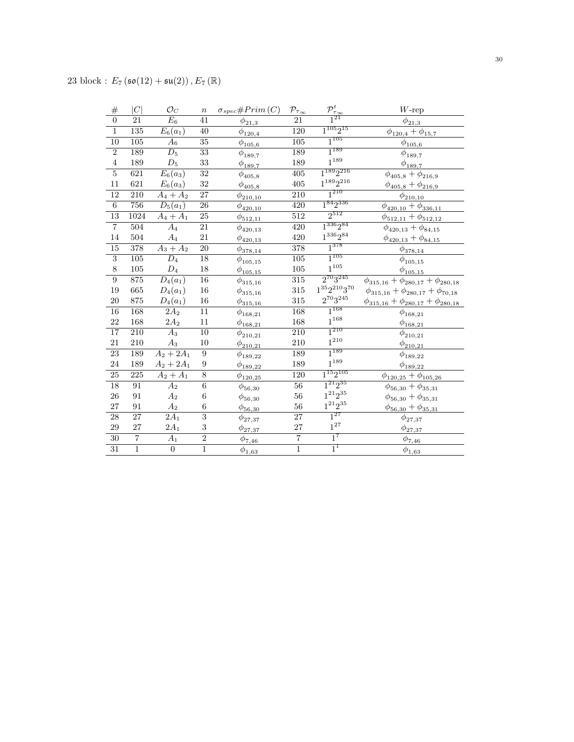| $\#$            | C                | $\mathcal{O}_C$       | $\boldsymbol{n}$ | $\sigma_{spec} \# Prim\left(C\right)$ | $\mathcal{P}_{\tau_{\underline{\infty}}}$ | $\frac{\mathcal{P}_{\tau_{\infty}}^t}{1^{2\Gamma}}$ | $W\text{-rep}$                                  |
|-----------------|------------------|-----------------------|------------------|---------------------------------------|-------------------------------------------|-----------------------------------------------------|-------------------------------------------------|
| $\overline{0}$  | 21               | $\overline{E_6}$      | 41               | $\phi_{21,3}$                         | 21                                        |                                                     | $\bar{\phi}_{21,3}$                             |
| $\overline{1}$  | 135              | $E_6(a_1)$            | 40               | $\phi_{120,4}$                        | 120                                       | $1^{105}2^{15}$                                     | $\phi_{120,4} + \phi_{15,7}$                    |
| $\overline{10}$ | $\overline{105}$ | $A_6$                 | $\overline{35}$  | $\phi_{105,6}$                        | $\overline{105}$                          | $1^{105}$                                           | $\phi_{105,6}$                                  |
| $\overline{2}$  | 189              | $\overline{D_5}$      | $\overline{33}$  | $\phi_{189,7}$                        | 189                                       | $1^{189}$                                           | $\phi_{189,7}$                                  |
| $\bf 4$         | 189              | $\mathcal{D}_5$       | 33               | $\phi_{189,7}$                        | 189                                       | $1^{189}\,$                                         | $\phi_{189,7}$                                  |
| $\overline{5}$  | $\overline{621}$ | $\overline{E_6(a_3)}$ | $\overline{32}$  | $\phi_{405,8}$                        | $\overline{405}$                          | $1^{189}2^{216}$                                    | $\phi_{405,8} + \phi_{216,9}$                   |
| 11              | 621              | $E_6(a_3)$            | 32               | $\phi_{405,8}$                        | 405                                       | $1^{189}2^{216}$                                    | $\phi_{405,8} + \phi_{216,9}$                   |
| $\overline{12}$ | $\overline{210}$ | $A_4 + A_2$           | 27               | $\phi_{210,10}$                       | $\overline{210}$                          | $1^{210}$                                           | $\phi_{210,10}$                                 |
| $\overline{6}$  | 756              | $\overline{D_5(a_1)}$ | $\overline{26}$  | $\phi_{420,10}$                       | $\overline{420}$                          | $1^{84}2^{336}$                                     | $\phi_{420,10} + \phi_{336,11}$                 |
| $\overline{13}$ | 1024             | $A_4 + A_1$           | $\overline{25}$  | $\phi_{512,11}$                       | $\overline{512}$                          | $2^{512}$                                           | $\phi_{512,11} + \phi_{512,12}$                 |
| $\overline{7}$  | $\overline{504}$ | $\overline{A_4}$      | $\overline{21}$  | $\phi_{420,13}$                       | $\overline{420}$                          | $1^{336}2^{84}$                                     | $\phi_{420,13} + \phi_{84,15}$                  |
| 14              | 504              | $A_4$                 | 21               | $\phi_{420,13}$                       | 420                                       | $1^{336}2^{84}$                                     | $\phi_{420,13} + \phi_{84,15}$                  |
| $\overline{15}$ | $\overline{378}$ | $A_3 + A_2$           | $\overline{20}$  | $\phi_{378,14}$                       | $\overline{378}$                          | $1^{378}$                                           | $\phi_{378,14}$                                 |
| $\overline{3}$  | $\overline{105}$ | $\overline{D_4}$      | 18               | $\phi_{105,15}$                       | $\overline{105}$                          | $1^{105}$                                           | $\phi_{105,15}$                                 |
| $\,8\,$         | $105\,$          | $\mathcal{D}_4$       | $18\,$           | $\phi_{105,15}$                       | $105\,$                                   | $1^{\mathrm{105}}$                                  | $\phi_{105,15}$                                 |
| $\overline{9}$  | 875              | $\overline{D_4(a_1)}$ | $\overline{16}$  | $\phi_{{315,16}}$                     | $\overline{315}$                          | $2^{70}3^{245}$                                     | $\phi_{315,16} + \phi_{280,17} + \phi_{280,18}$ |
| 19              | 665              | $D_4(a_1)$            | $16\,$           | $\phi_{{315,16}}$                     | 315                                       | $1^{35}2^{210}3^{70}\,$                             | $\phi_{315,16} + \phi_{280,17} + \phi_{70,18}$  |
| 20              | 875              | $D_4(a_1)$            | $16\,$           | $\phi_{{315,16}}$                     | 315                                       | $2^{70}3^{245}\,$                                   | $\phi_{315,16} + \phi_{280,17} + \phi_{280,18}$ |
| 16              | 168              | $2A_2$                | $\overline{11}$  | $\phi_{168,21}$                       | 168                                       | $1^{168}$                                           | $\phi_{168,21}$                                 |
| 22              | 168              | $2A_2$                | 11               | $\phi_{168,21}$                       | $168\,$                                   | $1^{168}\,$                                         | $\phi_{168,21}$                                 |
| $\overline{17}$ | $\overline{210}$ | $\overline{A}_3$      | $\overline{10}$  | $\phi_{210,21}$                       | $\overline{210}$                          | $1^{210}$                                           | $\phi_{210,21}$                                 |
| 21              | 210              | $A_3$                 | $10\,$           | $\phi_{210,21}$                       | 210                                       | $1^{210}$                                           | $\phi_{210,21}$                                 |
| 23              | 189              | $A_2 + 2A_1$          | $\boldsymbol{9}$ | $\phi_{189,22}$                       | 189                                       | $1^{189}$                                           | $\phi_{189,22}$                                 |
| $24\,$          | 189              | $A_2 + 2A_1$          | 9                | $\phi_{{189,22}}$                     | 189                                       | $1^{189}\,$                                         | $\phi_{\underline{189,22}}$                     |
| $\overline{25}$ | $\overline{225}$ | $A_2 + A_1$           | $\overline{8}$   | $\phi_{120,25}$                       | $\overline{120}$                          | $1^{15}2^{105}$                                     | $\phi_{120,25}+\phi_{105,26}$                   |
| 18              | 91               | $A_2$                 | $\,6\,$          | $\phi_{56,30}$                        | $\overline{56}$                           | $1^{21}2^{35}$                                      | $\phi_{56,30} + \phi_{35,31}$                   |
| 26              | 91               | $A_2$                 | $\,6$            | $\phi_{56,30}$                        | 56                                        | $1^{21}2^{35}$                                      | $\phi_{56,30} + \phi_{35,31}$                   |
| $27\,$          | 91               | $A_2$                 | $\,6$            | $\phi_{56,30}$                        | $56\,$                                    | $1^{21}2^{35}\,$                                    | $\phi_{56,30} + \phi_{35,31}$                   |
| $\overline{28}$ | $\overline{27}$  | $\overline{2A_1}$     | $\overline{3}$   | $\phi_{27,37}$                        | $\overline{27}$                           | $\overline{1^{27}}$                                 | $\phi_{27,37}$                                  |
| $\rm 29$        | 27               | $2A_1$                | $\,3$            | $\phi_{27,37}$                        | $\sqrt{27}$                               | $1^{27}$                                            | $\phi_{27,37}$                                  |
| $\overline{30}$ | $\overline{7}$   | $\overline{A_1}$      | $\overline{2}$   | $\phi_{7,46}$                         | $\overline{7}$                            | $1^7$                                               | $\phi_{7,46}$                                   |
| $\overline{31}$ | $\overline{1}$   | $\overline{0}$        | $\overline{1}$   | $\phi_{1,63}$                         | $\overline{1}$                            | $1^1$                                               | $\phi_{1,63}$                                   |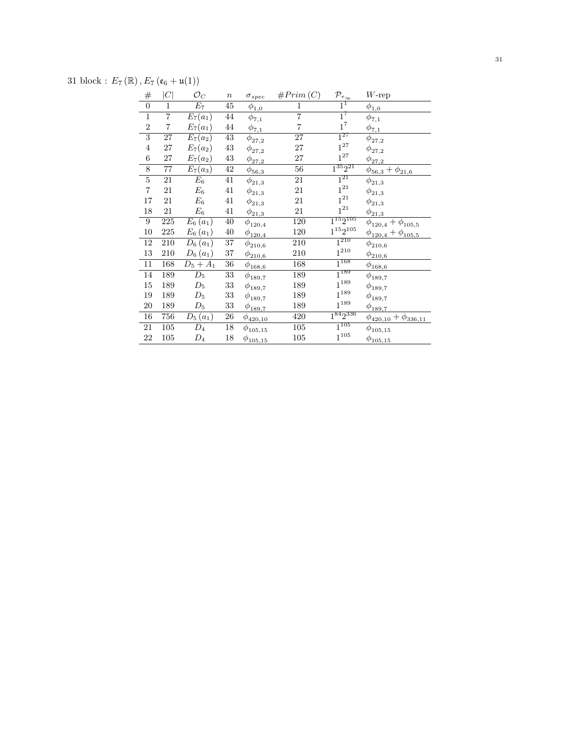31 block:  $E_7(\mathbb{R}), E_7(\mathfrak{e}_6 + \mathfrak{u}(1))$ 

| $\overline{0}$<br>$1^1$<br>$\overline{45}$<br>$E_7$<br>1<br>1<br>$\phi_{\underline{1,0}}$<br>$\phi_{\underline{1,0}}$<br>$1^7$<br>$\overline{\mathbf{7}}$<br>$\,1$<br>$\overline{7}$<br>44<br>$\overline{E}_7(a_1)$<br>$\phi_{7,1}$<br>$\phi_{7,1}$<br>$1^7\,$<br>$\overline{7}$<br>$\overline{\mathbf{7}}$<br>$\boldsymbol{2}$<br>$\rm 44$<br>$E_7(a_1)$<br>$\phi_{7,1}$<br>$\phi_{\underline{7,1}}$<br>$1^{27}$<br>$\overline{3}$<br>27<br>43<br>27<br>$E_7(a_2)$<br>$\phi_{27,2}$<br>$\phi_{27,2}$<br>$1^{27}$<br>$27\,$<br>$\rm 43$<br>$27\,$<br>$\overline{4}$<br>$E_7(a_2)$<br>$\phi_{27,2}$<br>$\phi_{27,2}$<br>$1^{27}$<br>$\,6$<br>$27\,$<br>$\rm 43$<br>$E_7(a_2)$<br>27<br>$\phi_{27,2}$<br>$\phi_{27,2}$<br>$1^{35}2^{21}$<br>$\overline{8}$<br>$\overline{77}$<br>$\overline{42}$<br>56<br>$E_7(a_3)$<br>$\phi_{56,3} + \phi_{21,6}$<br>$\phi_{\underline{56,3}}$<br>$1^{21}$<br>$\overline{5}$<br>$E_6$<br>41<br>21<br>21<br>$\phi_{21,3}$<br>$\phi_{21,3}$<br>$1^{21}\,$<br>$\overline{\mathbf{7}}$<br>21<br>$\mathcal{E}_6$<br>41<br>21<br>$\phi_{21,3}$<br>$\phi_{21,3}$<br>$1^{21}$<br>17<br>21<br>21<br>$\mathcal{E}_6$<br>41<br>$\phi_{21,3}$<br>$\phi_{21,3}$<br>$1^{21}$<br>$18\,$<br>$\mathcal{E}_6$<br>41<br>21<br>21<br>$\phi_{\underline{21,3}}$<br>$\phi_{\underline{21,3}}$<br>$\overline{1^{15}2^{105}}$<br>9<br>225<br>$E_6(a_1)$<br>40<br>120<br>$\phi_{120,4} + \phi_{105,5}$<br>$\phi_{120,4}$<br>$1^{15}2^{105}$<br>$10\,$<br>225<br>$E_6(a_1)$<br>$40\,$<br>120<br>$\phi_{120,4}$<br>$\phi_{120,4} + \phi_{105,5}$<br>$1^{210}$<br>$\overline{37}$<br>12<br>210<br>210<br>$D_6(a_1)$<br>$\phi_{210,6}$<br>$\phi_{210,6}$<br>$1^{210}$<br>$13\,$<br>$210\,$<br>$D_6(a_1)$<br>$37\,$<br>210<br>$\phi_{{\underline{210}}, 6}$<br>$\phi_{210,6}$<br>$1^{168}$<br>11<br>168<br>36<br>168<br>$D_5 + A_1$<br>$\phi_{168,6}$<br>$\phi_{168,6}$<br>$1^{189}$<br>$\overline{14}$<br>$\overline{D}_5$<br>189<br>$33\,$<br>189<br>$\phi_{189,7}$<br>$\phi_{189,7}$<br>$1^{189}\,$<br>$15\,$<br>189<br>$\mathcal{D}_5$<br>$33\,$<br>189<br>$\phi_{189,7}$<br>$\phi_{189,7}$<br>$1^{189}$<br>$\mathcal{D}_5$<br>$19\,$<br>189<br>$33\,$<br>189<br>$\phi_{189,7}$<br>$\phi_{189,7}$<br>$1^{189}\,$<br>$20\,$<br>189<br>$33\,$<br>$\mathcal{D}_5$<br>189<br>$\phi_{189,7}$<br>$\phi_{189,7}$<br>$1^{84}2^{336}$<br>16<br>756<br>$26\,$<br>420<br>$D_5(a_1)$<br>$\phi_{420,10} + \phi_{336,11}$<br>$\phi_{420,10}$<br>$1^{105}$<br>105<br>105<br>$18\,$<br>21<br>$D_4$<br>$\phi_{105,15}$<br>$\phi_{105,15}$<br>$1^{105}$<br>22<br>105<br>$\mathcal{D}_4$<br>$105\,$<br>18<br>$\phi_{105,15}$<br>$\phi_{105,15}$ | $\#$ | C | $\mathcal{O}_C$ | $\, n$ | $\sigma_{spec}$ | #Prim(C) | $\mathcal{P}_{\tau_{\underline{\infty}}}$ | $W$ -rep |
|------------------------------------------------------------------------------------------------------------------------------------------------------------------------------------------------------------------------------------------------------------------------------------------------------------------------------------------------------------------------------------------------------------------------------------------------------------------------------------------------------------------------------------------------------------------------------------------------------------------------------------------------------------------------------------------------------------------------------------------------------------------------------------------------------------------------------------------------------------------------------------------------------------------------------------------------------------------------------------------------------------------------------------------------------------------------------------------------------------------------------------------------------------------------------------------------------------------------------------------------------------------------------------------------------------------------------------------------------------------------------------------------------------------------------------------------------------------------------------------------------------------------------------------------------------------------------------------------------------------------------------------------------------------------------------------------------------------------------------------------------------------------------------------------------------------------------------------------------------------------------------------------------------------------------------------------------------------------------------------------------------------------------------------------------------------------------------------------------------------------------------------------------------------------------------------------------------------------------------------------------------------------------------------------------------------------------------------------------------------------------------------------------------------------------------------------------------------------------------------------------------------------------------------------------------------------------------------------------------------------------------|------|---|-----------------|--------|-----------------|----------|-------------------------------------------|----------|
|                                                                                                                                                                                                                                                                                                                                                                                                                                                                                                                                                                                                                                                                                                                                                                                                                                                                                                                                                                                                                                                                                                                                                                                                                                                                                                                                                                                                                                                                                                                                                                                                                                                                                                                                                                                                                                                                                                                                                                                                                                                                                                                                                                                                                                                                                                                                                                                                                                                                                                                                                                                                                                    |      |   |                 |        |                 |          |                                           |          |
|                                                                                                                                                                                                                                                                                                                                                                                                                                                                                                                                                                                                                                                                                                                                                                                                                                                                                                                                                                                                                                                                                                                                                                                                                                                                                                                                                                                                                                                                                                                                                                                                                                                                                                                                                                                                                                                                                                                                                                                                                                                                                                                                                                                                                                                                                                                                                                                                                                                                                                                                                                                                                                    |      |   |                 |        |                 |          |                                           |          |
|                                                                                                                                                                                                                                                                                                                                                                                                                                                                                                                                                                                                                                                                                                                                                                                                                                                                                                                                                                                                                                                                                                                                                                                                                                                                                                                                                                                                                                                                                                                                                                                                                                                                                                                                                                                                                                                                                                                                                                                                                                                                                                                                                                                                                                                                                                                                                                                                                                                                                                                                                                                                                                    |      |   |                 |        |                 |          |                                           |          |
|                                                                                                                                                                                                                                                                                                                                                                                                                                                                                                                                                                                                                                                                                                                                                                                                                                                                                                                                                                                                                                                                                                                                                                                                                                                                                                                                                                                                                                                                                                                                                                                                                                                                                                                                                                                                                                                                                                                                                                                                                                                                                                                                                                                                                                                                                                                                                                                                                                                                                                                                                                                                                                    |      |   |                 |        |                 |          |                                           |          |
|                                                                                                                                                                                                                                                                                                                                                                                                                                                                                                                                                                                                                                                                                                                                                                                                                                                                                                                                                                                                                                                                                                                                                                                                                                                                                                                                                                                                                                                                                                                                                                                                                                                                                                                                                                                                                                                                                                                                                                                                                                                                                                                                                                                                                                                                                                                                                                                                                                                                                                                                                                                                                                    |      |   |                 |        |                 |          |                                           |          |
|                                                                                                                                                                                                                                                                                                                                                                                                                                                                                                                                                                                                                                                                                                                                                                                                                                                                                                                                                                                                                                                                                                                                                                                                                                                                                                                                                                                                                                                                                                                                                                                                                                                                                                                                                                                                                                                                                                                                                                                                                                                                                                                                                                                                                                                                                                                                                                                                                                                                                                                                                                                                                                    |      |   |                 |        |                 |          |                                           |          |
|                                                                                                                                                                                                                                                                                                                                                                                                                                                                                                                                                                                                                                                                                                                                                                                                                                                                                                                                                                                                                                                                                                                                                                                                                                                                                                                                                                                                                                                                                                                                                                                                                                                                                                                                                                                                                                                                                                                                                                                                                                                                                                                                                                                                                                                                                                                                                                                                                                                                                                                                                                                                                                    |      |   |                 |        |                 |          |                                           |          |
|                                                                                                                                                                                                                                                                                                                                                                                                                                                                                                                                                                                                                                                                                                                                                                                                                                                                                                                                                                                                                                                                                                                                                                                                                                                                                                                                                                                                                                                                                                                                                                                                                                                                                                                                                                                                                                                                                                                                                                                                                                                                                                                                                                                                                                                                                                                                                                                                                                                                                                                                                                                                                                    |      |   |                 |        |                 |          |                                           |          |
|                                                                                                                                                                                                                                                                                                                                                                                                                                                                                                                                                                                                                                                                                                                                                                                                                                                                                                                                                                                                                                                                                                                                                                                                                                                                                                                                                                                                                                                                                                                                                                                                                                                                                                                                                                                                                                                                                                                                                                                                                                                                                                                                                                                                                                                                                                                                                                                                                                                                                                                                                                                                                                    |      |   |                 |        |                 |          |                                           |          |
|                                                                                                                                                                                                                                                                                                                                                                                                                                                                                                                                                                                                                                                                                                                                                                                                                                                                                                                                                                                                                                                                                                                                                                                                                                                                                                                                                                                                                                                                                                                                                                                                                                                                                                                                                                                                                                                                                                                                                                                                                                                                                                                                                                                                                                                                                                                                                                                                                                                                                                                                                                                                                                    |      |   |                 |        |                 |          |                                           |          |
|                                                                                                                                                                                                                                                                                                                                                                                                                                                                                                                                                                                                                                                                                                                                                                                                                                                                                                                                                                                                                                                                                                                                                                                                                                                                                                                                                                                                                                                                                                                                                                                                                                                                                                                                                                                                                                                                                                                                                                                                                                                                                                                                                                                                                                                                                                                                                                                                                                                                                                                                                                                                                                    |      |   |                 |        |                 |          |                                           |          |
|                                                                                                                                                                                                                                                                                                                                                                                                                                                                                                                                                                                                                                                                                                                                                                                                                                                                                                                                                                                                                                                                                                                                                                                                                                                                                                                                                                                                                                                                                                                                                                                                                                                                                                                                                                                                                                                                                                                                                                                                                                                                                                                                                                                                                                                                                                                                                                                                                                                                                                                                                                                                                                    |      |   |                 |        |                 |          |                                           |          |
|                                                                                                                                                                                                                                                                                                                                                                                                                                                                                                                                                                                                                                                                                                                                                                                                                                                                                                                                                                                                                                                                                                                                                                                                                                                                                                                                                                                                                                                                                                                                                                                                                                                                                                                                                                                                                                                                                                                                                                                                                                                                                                                                                                                                                                                                                                                                                                                                                                                                                                                                                                                                                                    |      |   |                 |        |                 |          |                                           |          |
|                                                                                                                                                                                                                                                                                                                                                                                                                                                                                                                                                                                                                                                                                                                                                                                                                                                                                                                                                                                                                                                                                                                                                                                                                                                                                                                                                                                                                                                                                                                                                                                                                                                                                                                                                                                                                                                                                                                                                                                                                                                                                                                                                                                                                                                                                                                                                                                                                                                                                                                                                                                                                                    |      |   |                 |        |                 |          |                                           |          |
|                                                                                                                                                                                                                                                                                                                                                                                                                                                                                                                                                                                                                                                                                                                                                                                                                                                                                                                                                                                                                                                                                                                                                                                                                                                                                                                                                                                                                                                                                                                                                                                                                                                                                                                                                                                                                                                                                                                                                                                                                                                                                                                                                                                                                                                                                                                                                                                                                                                                                                                                                                                                                                    |      |   |                 |        |                 |          |                                           |          |
|                                                                                                                                                                                                                                                                                                                                                                                                                                                                                                                                                                                                                                                                                                                                                                                                                                                                                                                                                                                                                                                                                                                                                                                                                                                                                                                                                                                                                                                                                                                                                                                                                                                                                                                                                                                                                                                                                                                                                                                                                                                                                                                                                                                                                                                                                                                                                                                                                                                                                                                                                                                                                                    |      |   |                 |        |                 |          |                                           |          |
|                                                                                                                                                                                                                                                                                                                                                                                                                                                                                                                                                                                                                                                                                                                                                                                                                                                                                                                                                                                                                                                                                                                                                                                                                                                                                                                                                                                                                                                                                                                                                                                                                                                                                                                                                                                                                                                                                                                                                                                                                                                                                                                                                                                                                                                                                                                                                                                                                                                                                                                                                                                                                                    |      |   |                 |        |                 |          |                                           |          |
|                                                                                                                                                                                                                                                                                                                                                                                                                                                                                                                                                                                                                                                                                                                                                                                                                                                                                                                                                                                                                                                                                                                                                                                                                                                                                                                                                                                                                                                                                                                                                                                                                                                                                                                                                                                                                                                                                                                                                                                                                                                                                                                                                                                                                                                                                                                                                                                                                                                                                                                                                                                                                                    |      |   |                 |        |                 |          |                                           |          |
|                                                                                                                                                                                                                                                                                                                                                                                                                                                                                                                                                                                                                                                                                                                                                                                                                                                                                                                                                                                                                                                                                                                                                                                                                                                                                                                                                                                                                                                                                                                                                                                                                                                                                                                                                                                                                                                                                                                                                                                                                                                                                                                                                                                                                                                                                                                                                                                                                                                                                                                                                                                                                                    |      |   |                 |        |                 |          |                                           |          |
|                                                                                                                                                                                                                                                                                                                                                                                                                                                                                                                                                                                                                                                                                                                                                                                                                                                                                                                                                                                                                                                                                                                                                                                                                                                                                                                                                                                                                                                                                                                                                                                                                                                                                                                                                                                                                                                                                                                                                                                                                                                                                                                                                                                                                                                                                                                                                                                                                                                                                                                                                                                                                                    |      |   |                 |        |                 |          |                                           |          |
|                                                                                                                                                                                                                                                                                                                                                                                                                                                                                                                                                                                                                                                                                                                                                                                                                                                                                                                                                                                                                                                                                                                                                                                                                                                                                                                                                                                                                                                                                                                                                                                                                                                                                                                                                                                                                                                                                                                                                                                                                                                                                                                                                                                                                                                                                                                                                                                                                                                                                                                                                                                                                                    |      |   |                 |        |                 |          |                                           |          |
|                                                                                                                                                                                                                                                                                                                                                                                                                                                                                                                                                                                                                                                                                                                                                                                                                                                                                                                                                                                                                                                                                                                                                                                                                                                                                                                                                                                                                                                                                                                                                                                                                                                                                                                                                                                                                                                                                                                                                                                                                                                                                                                                                                                                                                                                                                                                                                                                                                                                                                                                                                                                                                    |      |   |                 |        |                 |          |                                           |          |
|                                                                                                                                                                                                                                                                                                                                                                                                                                                                                                                                                                                                                                                                                                                                                                                                                                                                                                                                                                                                                                                                                                                                                                                                                                                                                                                                                                                                                                                                                                                                                                                                                                                                                                                                                                                                                                                                                                                                                                                                                                                                                                                                                                                                                                                                                                                                                                                                                                                                                                                                                                                                                                    |      |   |                 |        |                 |          |                                           |          |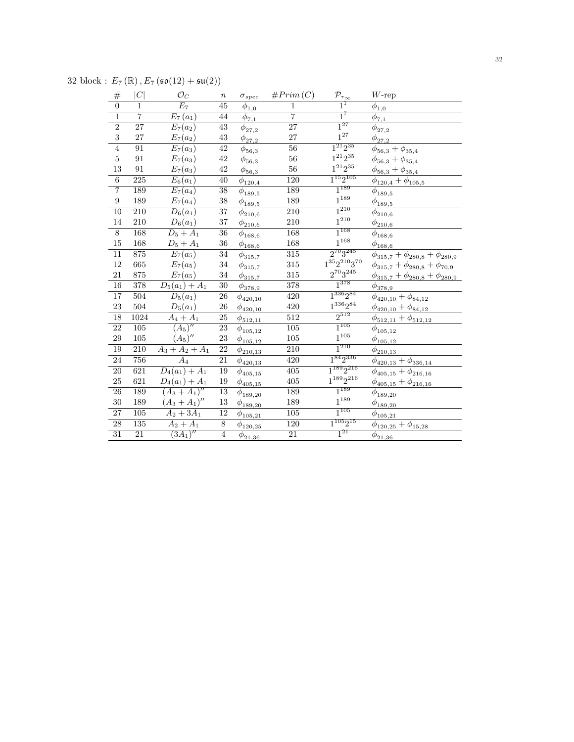32 block :  $E_7(\mathbb{R})$ ,  $E_7(\mathfrak{so}(12) + \mathfrak{su}(2))$ 

| #                | C                | $\mathcal{O}_C$              | $\, n$          | $\sigma_{spec}$                | #Prim(C)         | $\mathcal{P}_{\tau_{\underline{\infty}}}$ | $W\text{-rep}$                               |
|------------------|------------------|------------------------------|-----------------|--------------------------------|------------------|-------------------------------------------|----------------------------------------------|
| $\overline{0}$   | $1\,$            | $\overline{E_7}$             | $\overline{45}$ | $\phi_{1,0}$                   | $\,1$            | $1^1$                                     | $\phi_{1,0}$                                 |
| $\mathbf{1}$     | $\overline{7}$   | $E_7(a_1)$                   | 44              | $\phi_{7,1}$                   | $\overline{7}$   | $1^7$                                     | $\phi_{7,1}$                                 |
| $\overline{2}$   | $\overline{27}$  | $E_7(a_2)$                   | $\overline{43}$ | $\phi_{27,2}$                  | $\overline{27}$  | $1^{27}$                                  | $\phi_{27,2}$                                |
| $\overline{3}$   | 27               | $E_7(a_2)$                   | 43              | $\phi_{27,2}$                  | 27               | $1^{27}$                                  | $\phi_{\underline{27,2}}$                    |
| $\overline{4}$   | $\overline{91}$  | $E_7(a_3)$                   | $\overline{42}$ | $\phi_{56,3}$                  | $\overline{56}$  | $1^{21}2^{35}$                            | $\phi_{56,3}+\phi_{35,4}$                    |
| $\overline{5}$   | 91               | $E_7(a_3)$                   | $42\,$          | $\phi_{56,3}$                  | $56\,$           | $1^{21}2^{35}\,$                          | $\phi_{56,3} + \phi_{35,4}$                  |
| 13               | $\rm 91$         | $E_7(a_3)$                   | $42\,$          | $\phi_{\underline{56,3}}$      | $56\,$           | $1^{21}2^{35}\,$                          | $\phi_{56,3}+\phi_{35,4}$                    |
| $\overline{6}$   | 225              | $E_6(a_1)$                   | $\overline{40}$ | $\phi_{{\underline{120}}, 4}$  | 120              | $1^{15}2^{105}$                           | $\phi_{120,4} + \phi_{105,5}$                |
| $\overline{7}$   | 189              | $E_7(a_4)$                   | $\overline{38}$ | $\phi_{189,5}$                 | 189              | $1^{189}$                                 | $\phi_{189,5}$                               |
| $\boldsymbol{9}$ | 189              | $E_7(a_4)$                   | $38\,$          | $\phi_{189,5}$                 | 189              | $1^{189}$                                 | $\phi_{189,5}$                               |
| 10               | $\overline{210}$ | $D_6(a_1)$                   | $\overline{37}$ | $\phi_{210,6}$                 | 210              | $1^{210}$                                 | $\phi_{210,6}$                               |
| $14\,$           | 210              | $D_6(a_1)$                   | 37              | $\phi_{\underline{210,6}}$     | 210              | $1^{210}$                                 | $\phi_{210,6}$                               |
| $\overline{8}$   | 168              | $D_5 + A_1$                  | $\overline{36}$ | $\phi_{168,6}$                 | 168              | $1^{168}$                                 | $\phi_{168,6}$                               |
| $15\,$           | 168              | $D_5 + A_1$                  | 36              | $\phi_{\underline{168,6}}$     | 168              | $1^{168}\,$                               | $\phi_{\underline{168,6}}$                   |
| $\overline{11}$  | 875              | $E_7(a_5)$                   | $\overline{34}$ | $\phi_{315,7}$                 | 315              | $2^{70}3^{245}$                           | $\phi_{315,7}+\phi_{280,8}+\phi_{280,9}$     |
| $12\,$           | 665              | $E_7(a_5)$                   | $34\,$          | $\phi_{315,7}$                 | 315              | $1^{35}2^{210}3^{70}\,$                   | $\phi_{315,7} + \phi_{280,8} + \phi_{70,9}$  |
| 21               | 875              | $E_7(a_5)$                   | 34              | $\phi_{315,7}$                 | 315              | $2^{70}3^{245}$                           | $\phi_{315,7} + \phi_{280,8} + \phi_{280,9}$ |
| $\overline{16}$  | 378              | $D_5(a_1) + A_1$             | 30              | $\phi_{{\bf 378}, 9}$          | 378              | $1^{378}$                                 | $\phi_{{\bf \underline{378}}, 9}$            |
| $\overline{17}$  | $\overline{504}$ | $D_5(a_1)$                   | $\overline{26}$ | $\phi_{420,10}$                | 420              | $1^{336}2^{84}$                           | $\phi_{420,10} + \phi_{84,12}$               |
| 23               | 504              | $D_5(a_1)$                   | 26              | $\phi_{420,10}$                | 420              | $1^{336}2^{84}\,$                         | $\phi_{420,10}+\phi_{84,12}$                 |
| $\overline{18}$  | 1024             | $A_4 + A_1$                  | $\overline{25}$ | $\phi_{{\underline{512,11}}}$  | $\overline{512}$ | $2^{512}$                                 | $\phi_{512,11} + \phi_{512,12}$              |
| $\overline{22}$  | $\overline{105}$ | $\overline{(A_5)''}$         | $\overline{23}$ | $\phi_{105,12}$                | $\overline{105}$ | $1^{105}$                                 | $\phi_{105,12}$                              |
| $\,29$           | $105\,$          | $(A_5)''$                    | $\bf 23$        | $\phi_{{\underline {105,12}}}$ | $105\,$          | $1^{105}\,$                               | $\phi_{105,12}$                              |
| 19               | $\overline{210}$ | $\overline{A_3 + A_2} + A_1$ | $\overline{22}$ | $\phi_{210,13}$                | $\overline{210}$ | $1^{210}$                                 | $\phi_{210,13}$                              |
| 24               | 756              | $A_4$                        | 21              | $\phi_{420,13}$                | 420              | $1^{84}2^{336}$                           | $\phi_{420,13} + \phi_{336,14}$              |
| $\overline{20}$  | 621              | $\overline{D_4(a_1)+A_1}$    | 19              | $\phi_{405,15}$                | $\overline{405}$ | $1^{189}2^{216}$                          | $\phi_{405,15}+\phi_{216,16}$                |
| $25\,$           | 621              | $D_4(a_1) + A_1$             | 19              | $\phi_{405,15}$                | 405              | $1^{189}2^{216}$                          | $\phi_{405,15}+\phi_{216,16}$                |
| $\overline{26}$  | 189              | $(A_3 + A_1)''$              | $\overline{13}$ | $\phi_{189,20}$                | 189              | $1^{189}$                                 | $\phi_{189,20}$                              |
| 30               | 189              | $(A_3 + A_1)''$              | 13              | $\phi_{\underline{189,20}}$    | 189              | $1^{189}\,$                               | $\phi_{189,20}$                              |
| $\overline{27}$  | $\overline{105}$ | $A_2 + 3A_1$                 | $\overline{12}$ | $\phi_{105,21}$                | $\overline{105}$ | $1^{105}$                                 | $\phi_{105,21}$                              |
| 28               | $\overline{135}$ | $A_2 + A_1$                  | $\overline{8}$  | $\phi_{\underline{120,25}}$    | 120              | $1^{105}2^{15}$                           | $\phi_{120,25}+\phi_{15,28}$                 |
| $\overline{31}$  | $\overline{21}$  | $(3A_1)''$                   | $\overline{4}$  | $\phi_{21,36}$                 | $\overline{21}$  | $1^{21}$                                  | $\phi_{21,36}$                               |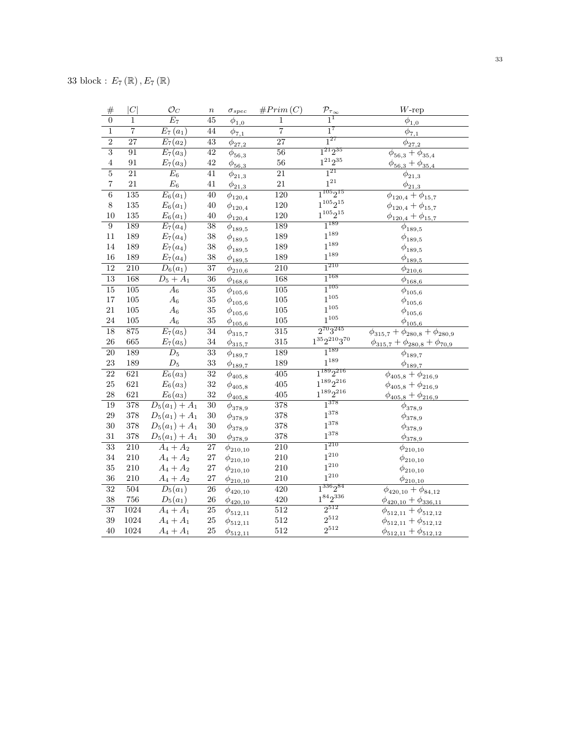| $\#$                    | C                | $\mathcal{O}_C$        | $\boldsymbol{n}$ | $\sigma_{spec}$                                                        | #Prim(C)         | $\frac{\mathcal{P}_{\tau_{\infty}}}{1}$ | $W\text{-rep}$                              |
|-------------------------|------------------|------------------------|------------------|------------------------------------------------------------------------|------------------|-----------------------------------------|---------------------------------------------|
| $\overline{0}$          | $\overline{1}$   | $\overline{E_7}$       | $\overline{45}$  | $\phi_{1,0}$                                                           | $\overline{1}$   |                                         | $\overline{\phi}_{1,0}$                     |
| $\overline{1}$          | $\overline{7}$   | $E_7(a_1)$             | 44               | $\phi_{7,1}$                                                           | $\overline{7}$   | $1^7$                                   | $\phi_{7,1}$                                |
| $\overline{2}$          | $\overline{27}$  | $\overline{E_7}(a_2)$  | $\overline{43}$  | $\phi_{27,2}$                                                          | $\overline{27}$  | $\overline{1^{27}}$                     | $\phi_{27,2}$                               |
| $\overline{3}$          | 91               | $E_7(a_3)$             | 42               | $\phi_{56,3}$                                                          | $\overline{56}$  | $1^{21}2^{35}$                          | $\phi_{56,3} + \phi_{35,4}$                 |
| $\,4\,$                 | 91               | $E_7(a_3)$             | 42               | $\phi_{\underline{56,3}}$                                              | 56               | $1^{21}2^{35}\,$                        | $\phi_{56,3} + \phi_{35,4}$                 |
| $\overline{5}$          | $\overline{21}$  | $E_6$                  | $\overline{41}$  | $\phi_{21,3}$                                                          | $\overline{21}$  | $\overline{1^{21}}$                     | $\phi_{21,3}$                               |
| $\overline{\mathbf{7}}$ | 21               | $\mathcal{E}_6$        | 41               | $\phi_{21,3}$                                                          | $21\,$           | $1^{\mathrm{21}}$                       | $\phi_{\underline{21,3}}$                   |
| $\overline{6}$          | $\overline{135}$ | $\overline{E_6(a_1)}$  | $\overline{40}$  | $\phi_{120,4}$                                                         | $\overline{120}$ | $1^{105}2^{15}$                         | $\phi_{120,4} + \phi_{15,7}$                |
| $8\,$                   | $135\,$          | $E_6(a_1)$             | $40\,$           | $\phi_{120,4}$                                                         | $120\,$          | $1^{105}2^{15}$                         | $\phi_{120,4} + \phi_{15,7}$                |
| 10                      | 135              | $E_6(a_1)$             | $40\,$           | $\phi_{\underline{120,4}}$                                             | 120              | $1^{105} \bar{2}^{15}$                  | $\phi_{120,4} + \phi_{15,7}$                |
| $\overline{9}$          | 189              | $E_7(a_4)$             | $\overline{38}$  | $\phi_{189,5}$                                                         | 189              | $1^{189}$                               | $\phi_{189,5}$                              |
| 11                      | 189              | $E_7(a_4)$             | 38               | $\phi_{189,5}$                                                         | 189              | $1^{189}$                               | $\phi_{189,5}$                              |
| 14                      | 189              | $E_7(a_4)$             | $38\,$           | $\phi_{189,5}$                                                         | 189              | $1^{189}$                               | $\phi_{189,5}$                              |
| 16                      | 189              | $E_7(a_4)$             | 38               | $\phi_{189,5}$                                                         | 189              | $1^{189}$                               | $\phi_{\underline{189,5}}$                  |
| $\overline{12}$         | $\overline{210}$ | $D_6(a_1)$             | $\overline{37}$  | $\phi_{210,6}$                                                         | $\overline{210}$ | $1^{210}$                               | $\phi_{210,6}$                              |
| $\overline{13}$         | 168              | $\overline{D_5 + A_1}$ | $\overline{36}$  | $\phi_{168,6}$                                                         | 168              | $1^{168}$                               | $\phi_{\underline{168,6}}$                  |
| $\overline{15}$         | $\overline{105}$ | $\overline{A_6}$       | $\overline{35}$  | $\phi_{105,6}$                                                         | $\overline{105}$ | $1^{105}$                               | $\bar{\phi}_{105,6}$                        |
| $17\,$                  | $105\,$          | $A_6$                  | $35\,$           | $\phi_{105,6}$                                                         | $105\,$          | $1^{105}$                               | $\phi_{105,6}$                              |
| $21\,$                  | $105\,$          | $A_6$                  | $35\,$           | $\phi_{105,6}$                                                         | $105\,$          | $1^{105}$                               | $\phi_{105,6}$                              |
| 24                      | $105\,$          | $\mathcal{A}_6$        | $35\,$           | $\phi_{105,6}$                                                         | $105\,$          | $1^{105}$                               | $\phi_{{\underline{105}},\underline{6}}$    |
| 18                      | 875              | $E_7(a_5)$             | 34               | $\phi_{315,7}$                                                         | $\overline{315}$ | $2^{70}3^{245}$                         | $\phi_{315,7}+\phi_{280,8}+\phi_{280,9}$    |
| $26\,$                  | 665              | $E_7(a_5)$             | 34               | $\phi_{{\underline{3}}{\underline{1}}{\underline{5}},{\underline{7}}}$ | 315              | $1^{35}2^{210}3^{70}\,$                 | $\phi_{315,7} + \phi_{280,8} + \phi_{70,9}$ |
| 20                      | 189              | $\overline{D_5}$       | 33               | $\phi_{189,7}$                                                         | 189              | $1^{189}$                               | $\phi_{189,7}$                              |
| 23                      | 189              | $\mathcal{D}_5$        | 33               | $\phi_{\underline{189,7}}$                                             | 189              | $1^{189}$                               | $\phi_{189,7}$                              |
| $\overline{22}$         | 621              | $E_6(a_3)$             | $\overline{32}$  | $\phi_{405,8}$                                                         | 405              | $1^{189}2^{216}$                        | $\phi_{405,8} + \phi_{216,9}$               |
| $25\,$                  | 621              | $E_6(a_3)$             | 32               | $\phi_{405,8}$                                                         | $405\,$          | $1^{189}2^{216}$                        | $\phi_{405,8} + \phi_{216,9}$               |
| 28                      | 621              | $E_6(a_3)$             | 32               | $\phi_{405,8}$                                                         | $405\,$          | $1^{189}2^{216}$                        | $\phi_{405,8} + \phi_{216,9}$               |
| 19                      | 378              | $D_5(a_1) + A_1$       | $\overline{30}$  | $\phi_{378,9}$                                                         | 378              | $1^{378}$                               | $\phi_{378,9}$                              |
| $\sqrt{29}$             | 378              | $D_5(a_1) + A_1$       | $30\,$           | $\phi_{378,9}$                                                         | 378              | $1^{378}$                               | $\phi_{378,9}$                              |
| 30                      | 378              | $D_5(a_1) + A_1$       | $30\,$           | $\phi_{378,9}$                                                         | $378\,$          | $1^{378}$                               | $\phi_{378,9}$                              |
| 31                      | 378              | $D_5(a_1) + A_1$       | $30\,$           | $\phi_{378,9}$                                                         | 378              | $1^{378}$                               | $\phi_{{\bf 378}, 9}$                       |
| $\overline{33}$         | 210              | $A_4 + A_2$            | $\overline{27}$  | $\phi_{210,10}$                                                        | 210              | $1^{210}\,$                             | $\phi_{210,10}$                             |
| 34                      | 210              | $A_4 + A_2$            | 27               | $\phi_{210,10}$                                                        | $210\,$          | $1^{210}$                               | $\phi_{210,10}$                             |
| 35                      | $210\,$          | $A_4 + A_2$            | 27               | $\phi_{210,10}$                                                        | $210\,$          | $1^{210}$                               | $\phi_{210,10}$                             |
| 36                      | $210\,$          | $A_4 + A_2$            | $27\,$           | $\phi_{210,10}$                                                        | $210\,$          | $1^{210}$                               | $\phi_{210,10}$                             |
| $\overline{32}$         | 504              | $\overline{D_5(a_1)}$  | 26               | $\phi_{420,10}$                                                        | 420              | $1^{336}2^{84}$                         | $\phi_{420,10} + \phi_{84,12}$              |
| 38                      | 756              | $D_5(a_1)$             | 26               | $\phi_{420,10}$                                                        | 420              | $1^{84}2^{336}$                         | $\phi_{420,10} + \phi_{336,11}$             |
| $\overline{37}$         | 1024             | $A_4 + A_1$            | $\overline{25}$  | $\phi_{512,11}$                                                        | $\overline{512}$ | $2^{512}$                               | $\phi_{512,11} + \phi_{512,12}$             |
| $39\,$                  | 1024             | $A_4 + A_1$            | $25\,$           | $\phi_{512,11}$                                                        | 512              | $2^{512}$                               | $\phi_{512,11} + \phi_{512,12}$             |
| 40                      | 1024             | $A_4 + A_1$            | 25               | $\phi_{512,11}$                                                        | 512              | $2^{512}$                               | $\phi_{512,11} + \phi_{512,12}$             |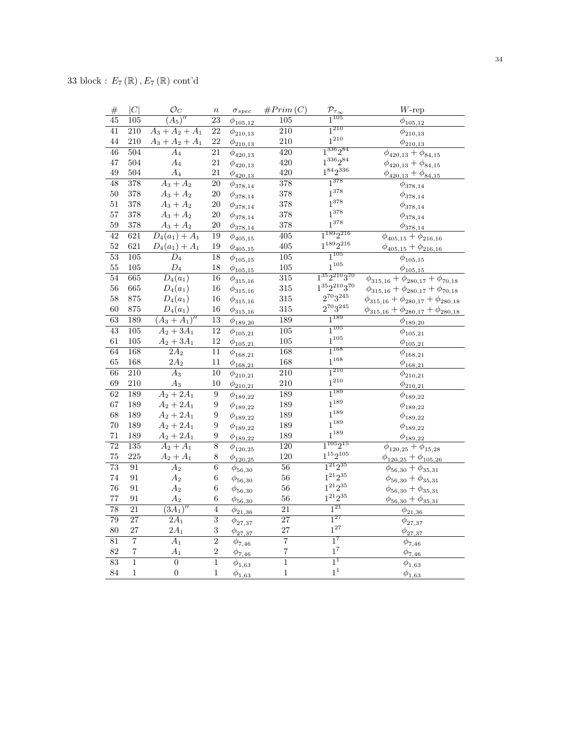| $\#$            | C                | $\mathcal{O}_C$           | $\boldsymbol{n}$ | $\sigma_{spec}$                          | #Prim(C)                | $\frac{\mathcal{P}_{\tau_{\infty}}}{1^{105}}$ | $W$ -rep                                                  |
|-----------------|------------------|---------------------------|------------------|------------------------------------------|-------------------------|-----------------------------------------------|-----------------------------------------------------------|
| 45              | $\overline{105}$ | $\overline{(A_5)''}$      | $\overline{23}$  | $\phi_{105,12}$                          | $\overline{105}$        |                                               | $\phi_{105,12}$                                           |
| $\overline{41}$ | $\overline{210}$ | $A_3 + A_2 + A_1$         | $\overline{22}$  | $\phi_{210,13}$                          | $\overline{210}$        | $1^{210}$                                     | $\phi_{210,13}$                                           |
| 44              | 210              | $A_3 + A_2 + A_1$         | 22               | $\phi_{{\underline{210,13}}}$            | 210                     | $1^{210}$                                     | $\phi_{{\underline{210,13}}}$                             |
| $\overline{46}$ | 504              | $\overline{A_4}$          | $\overline{21}$  | $\phi_{420,13}$                          | 420                     | $1^{336}2^{84}$                               | $\phi_{420,13} + \phi_{84,15}$                            |
| $47\,$          | 504              | $A_4$                     | $21\,$           | $\phi_{420,13}$                          | 420                     | $1^{336}2^{84}$                               | $\phi_{420,13} + \phi_{84,15}$                            |
| 49              | 504              | $A_4$                     | 21               | $\phi_{420,13}$                          | 420                     | $1^{84}2^{336}$                               | $\phi_{420,13} + \phi_{84,15}$                            |
| 48              | 378              | $A_3 + A_2$               | 20               | $\phi_{378,14}$                          | 378                     | $1^{378}$                                     | $\phi_{378,14}$                                           |
| $50\,$          | 378              | $A_3 + A_2$               | 20               | $\phi_{378,14}$                          | 378                     | $1^{378}$                                     | $\phi_{378,14}$                                           |
| 51              | 378              | $A_3 + A_2$               | $20\,$           | $\phi_{378,14}$                          | 378                     | $1^{378}$                                     | $\phi_{378,14}$                                           |
| 57              | 378              | $A_3 + A_2$               | 20               | $\phi_{378,14}$                          | 378                     | $1^{378}$                                     | $\phi_{378,14}$                                           |
| $59\,$          | 378              | $A_3 + A_2$               | 20               | $\phi_{378,14}$                          | 378                     | $1^{378}$                                     | $\phi_{378,14}$                                           |
| $\overline{42}$ | $\overline{621}$ | $\overline{D_4(a_1)+A_1}$ | 19               | $\phi_{405,15}$                          | $\overline{405}$        | $1^{189}2^{216}$                              | $\phi_{405,15} + \phi_{216,16}$                           |
| $52\,$          | 621              | $D_4(a_1) + A_1$          | 19               | $\phi_{{\underline {405,15}}}$           | 405                     | $1^{189}2^{216}$                              | $\phi_{405,15} + \phi_{216,16}$                           |
| $\overline{53}$ | 105              | $\overline{D_4}$          | $\overline{18}$  | $\phi_{105,15}$                          | 105                     | $1^{105}$                                     | $\phi_{105,15}$                                           |
| $55\,$          | 105              | $\mathcal{D}_4$           | 18               | $\phi_{105,15}$                          | 105                     | $1^{105}$                                     | $\phi_{{\bf \underline{105,15}}}$                         |
| 54              | 665              | $\overline{D_4(a_1)}$     | 16               | $\phi_{315,16}$                          | 315                     | $1^{35}2^{210}3^{70}$                         | $\overline{\phi_{315,16}} + \phi_{280,17} + \phi_{70,18}$ |
| $56\,$          | 665              | $D_4(a_1)$                | $16\,$           | $\phi_{315,16}$                          | 315                     | $1^{35}2^{210}3^{70}$                         | $\phi_{315,16}+\phi_{280,17}+\phi_{70,18}$                |
| $58\,$          | 875              | $D_4(a_1)$                | $16\,$           | $\phi_{315,16}$                          | 315                     | $2^{70}3^{245}$                               | $\phi_{315,16} + \phi_{280,17} + \phi_{280,18}$           |
| 60              | 875              | $D_4(a_1)$                | 16               | $\phi_{{\bf 3\underline{15}}, {\bf 16}}$ | 315                     | $2^{70}3^{245}$                               | $\phi_{315,16} + \phi_{280,17} + \phi_{280,18}$           |
| 63              | 189              | $(A_3 + A_1)''$           | 13               | $\phi_{189,20}$                          | 189                     | $1^{189}$                                     | $\phi_{189,20}$                                           |
| $\overline{43}$ | $\overline{105}$ | $A_2 + 3A_1$              | $\overline{12}$  | $\phi_{105,21}$                          | $\overline{105}$        | $1^{105}$                                     | $\phi_{105,21}$                                           |
| 61              | 105              | $A_2 + 3A_1$              | $12\,$           | $\phi_{105,21}$                          | 105                     | $1^{105}$                                     | $\phi_{{\underline {105,21}}}$                            |
| 64              | 168              | $\overline{2A_2}$         | $\overline{11}$  | $\phi_{168,21}$                          | 168                     | $1^{168}$                                     | $\phi_{168,21}$                                           |
| 65              | 168              | $2A_2$                    | 11               | $\phi_{{\bf 168,21}}$                    | 168                     | $1^{168}$                                     | $\phi_{\underline{168,21}}$                               |
| 66              | 210              | $A_3$                     | 10               | $\phi_{210,21}$                          | 210                     | $1^{210}$                                     | $\phi_{210,21}$                                           |
| 69              | 210              | $\mathcal{A}_3$           | 10               | $\phi_{\underline{210,21}}$              | 210                     | $1^{210}$                                     | $\phi_{{\underline{210,21}}}$                             |
| 62              | 189              | $A_2 + 2A_1$              | 9                | $\phi_{189,22}$                          | 189                     | $1^{189}$                                     | $\overline{\phi}_{189,22}$                                |
| $67\,$          | 189              | $A_2 + 2A_1$              | 9                | $\phi_{189,22}$                          | 189                     | $1^{189}$                                     | $\phi_{189,22}$                                           |
| 68              | 189              | $A_2 + 2A_1$              | 9                | $\phi_{189,22}$                          | 189                     | $1^{189}$                                     | $\phi_{189,22}$                                           |
| 70              | 189              | $A_2 + 2A_1$              | 9                | $\phi_{189,22}$                          | 189                     | $1^{189}$                                     | $\phi_{189,22}$                                           |
| 71              | 189              | $A_2 + 2A_1$              | 9                | $\phi_{189,22}$                          | 189                     | $1^{189}$                                     | $\phi_{{\bf 189},{\bf 22}}$                               |
| $\overline{72}$ | 135              | $A_2 + A_1$               | $\overline{8}$   | $\phi_{120,25}$                          | 120                     | $\overline{1^{105}2^{15}}$                    | $\phi_{120,25} + \phi_{15,28}$                            |
| $75\,$          | 225              | $A_2 + A_1$               | $8\,$            | $\phi_{120,25}$                          | 120                     | $1^{15}2^{105}$                               | $\phi_{120,25} + \phi_{105,26}$                           |
| 73              | 91               | A <sub>2</sub>            | $\overline{6}$   | $\phi_{56,30}$                           | 56                      | $1^{21}2^{35}$                                | $\phi_{56,30} + \phi_{35,31}$                             |
| 74              | 91               | $A_2$                     | $\,6$            | $\phi_{56,30}$                           | 56                      | $1^{21}2^{35}$                                | $\phi_{56,30} + \phi_{35,31}$                             |
| 76              | 91               | $\mathcal{A}_2$           | 6                | $\phi_{56,30}$                           | 56                      | $1^{21}2^{35}$                                | $\phi_{56,30} + \phi_{35,31}$                             |
| $77\,$          | 91               | $\mathcal{A}_2$           | 6                | $\phi_{\underline{56,30}}$               | 56                      | $1^{21}2^{35}$                                | $\phi_{56,30} + \phi_{35,31}$                             |
| 78              | $\overline{21}$  | $(3A_1)''$                | $\overline{4}$   | $\phi_{21,36}$                           | $\overline{21}$         | $1^{21}$                                      | $\phi_{21,36}$                                            |
| $\overline{79}$ | $\overline{27}$  | $\overline{2A_1}$         | $\overline{3}$   | $\phi_{27,37}$                           | $\overline{27}$         | $1^{27}$                                      | $\phi_{27,37}$                                            |
| 80              | 27               | $2A_1$                    | 3                | $\phi_{\underline{27,37}}$               | 27                      | $1^{27}$                                      | $\phi_{\underline{27,37}}$                                |
| 81              | $\overline{7}$   | $\overline{A_1}$          | $\overline{2}$   | $\phi_{7,46}$                            | $\overline{7}$          | $1^7$                                         | $\phi_{7,46}$                                             |
| 82              | $\overline{7}$   | $A_1$                     | $\overline{2}$   | $\phi_{\underline{7,46}}$                | $\overline{\mathbf{7}}$ | $1^7\,$                                       | $\phi_{{\underline{7}}, {\underline{46}}}$                |
| 83              | $\mathbf{1}$     | $\overline{0}$            | $\overline{1}$   | $\phi_{1,63}$                            | $\overline{1}$          | $1^1$                                         | $\phi_{1,63}$                                             |
| 84              | $\,1$            | $\boldsymbol{0}$          | $\mathbf{1}$     | $\phi_{1,63}$                            | $\mathbf{1}$            | $1^{\rm 1}$                                   | $\phi_{1,63}$                                             |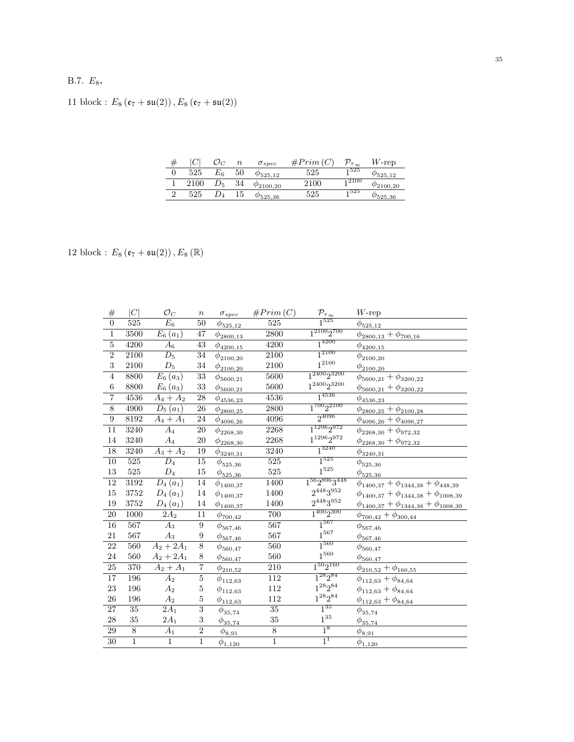# B.7.  $E_8$ .

11 block :  $E_8\left(\mathfrak{e}_7 + \mathfrak{su}(2)\right), E_8\left(\mathfrak{e}_7 + \mathfrak{su}(2)\right)$ 

|      |       | $\it n$ | $\sigma_{spec}$     | $#Prim$ ( | $\tau_{\infty}$   | $W$ -rep            |
|------|-------|---------|---------------------|-----------|-------------------|---------------------|
| 525  | $E_6$ | 50      | $\varphi_{525,12}$  | 525       | 1525              | $\varphi_{525.12}$  |
| 2100 |       | 34      | $\varphi_{2100,20}$ | 2100      | <sub>1</sub> 2100 | $\varphi_{2100,20}$ |
| 525  |       | 15      | 9525,36             | 525       | 1525              | $\varphi_{525,36}$  |

12 block :  $E_8\left(\mathfrak{e}_7 + \mathfrak{su}(2)\right), E_8\left(\mathbb{R}\right)$ 

| #                       | C                | $\mathcal{O}_C$       | $\, n$          | $\sigma_{spec}$              | #Prim(C)          | $\frac{\mathcal{P}_{\tau_{\infty}}}{1^{525}}$ | $W\text{-rep}$                                     |
|-------------------------|------------------|-----------------------|-----------------|------------------------------|-------------------|-----------------------------------------------|----------------------------------------------------|
| $\overline{0}$          | 525              | $E_6$                 | 50              | $\phi_{525,12}$              | 525               |                                               | $\phi_{\frac{525,12}{525}}$                        |
| $\overline{1}$          | 3500             | $\overline{E_6(a_1)}$ | $\overline{47}$ | $\phi_{2800,13}$             | $\overline{2800}$ | $1^{2100}2^{700}$                             | $\phi_{2800,13} + \phi_{700,16}$                   |
| $\overline{\mathbf{5}}$ | 4200             | $A_6$                 | 43              | $\phi_{4200,15}$             | 4200              | $1^{4200}$                                    | $\phi_{4200,15}$                                   |
| $\overline{2}$          | 2100             | $\overline{D_5}$      | $\overline{34}$ | $\phi_{2100,20}$             | $\overline{2100}$ | $1^{2100}$                                    | $\phi_{2100,20}$                                   |
| 3                       | 2100             | $\mathcal{D}_5$       | 34              | $\phi_{2100,20}$             | 2100              | $1^{2100}$                                    | $\phi_{2100,20}$                                   |
| $\overline{4}$          | 8800             | $\overline{E}_6(a_3)$ | $\overline{33}$ | $\phi_{5600,21}$             | 5600              | $1^{2400}2^{3200}$                            | $\phi_{5600,21} + \phi_{3200,22}$                  |
| $\,6$                   | 8800             | $E_6(a_3)$            | 33              | $\phi_{5600,21}$             | 5600              | $1^{2400}2^{3200}$                            | $\phi_{5600,21} + \phi_{3200,22}$                  |
| $\overline{7}$          | 4536             | $A_4 + A_2$           | 28              | $\phi_{4536,23}$             | 4536              | $1^{4536}$                                    | $\phi_{4536,23}$                                   |
| $\overline{8}$          | 4900             | $\overline{D_5(a_1)}$ | 26              | $\phi_{{2800,25}}$           | 2800              | $1^{700}2^{2100}$                             | $\phi_{2800,25}+\phi_{2100,28}$                    |
| $\overline{9}$          | 8192             | $A_4 + A_1$           | 24              | $\phi_{4096,26}$             | 4096              | $2^{4096}$                                    | $\phi_{4096,26} + \phi_{4096,27}$                  |
| $\overline{11}$         | 3240             | $\overline{A_4}$      | 20              | $\phi_{2268,30}$             | 2268              | $\overline{1^{1296}2^{972}}$                  | $\phi_{2268,30} + \phi_{972,32}$                   |
| 14                      | 3240             | $\mathcal{A}_4$       | 20              | $\phi_{2268,30}$             | 2268              | $1^{1296}2^{972}$                             | $\phi_{2268,30} + \phi_{972,32}$                   |
| 18                      | 3240             | $A_3 + A_2$           | 19              | $\phi_{\underline{3240,31}}$ | 3240              | $1^{3240}$                                    | $\phi_{3240,31}$                                   |
| $\overline{10}$         | $\overline{525}$ | $\overline{D_4}$      | $\overline{15}$ | $\phi_{525,36}$              | $\overline{525}$  | $1^{525}$                                     | $\phi_{525,36}$                                    |
| $13\,$                  | $525\,$          | $\mathcal{D}_4$       | 15              | $\phi_{525,36}$              | 525               | $1^{525}\,$                                   | $\phi_{525,36}$                                    |
| $\overline{12}$         | 3192             | $D_4(a_1)$            | $\overline{14}$ | $\phi_{1400,37}$             | 1400              | $1^{56}2^{896}3^{448}$                        | $\phi_{1400,37} + \phi_{1344,38} + \phi_{448,39}$  |
| $15\,$                  | $3752\,$         | $D_{4}(a_{1})$        | 14              | $\phi_{1400,37}$             | 1400              | $2^{448}3^{952}$                              | $\phi_{1400,37} + \phi_{1344,38} + \phi_{1008,39}$ |
| 19                      | $3752\,$         | $D_{4}(a_{1})$        | 14              | $\phi_{\underline{1400,37}}$ | 1400              | $2^{448}3^{952}\,$                            | $\phi_{1400,37} + \phi_{1344,38} + \phi_{1008,39}$ |
| $\overline{20}$         | 1000             | $2A_2$                | 11              | $\phi_{700,42}$              | 700               | $1^{400}2^{300}$                              | $\phi_{700,42} + \phi_{300,44}$                    |
| $16\,$                  | 567              | $A_3$                 | $\overline{9}$  | $\phi_{567,46}$              | 567               | $1^{567}$                                     | $\phi_{567,46}$                                    |
| 21                      | 567              | $A_3$                 | 9               | $\phi_{567,46}$              | 567               | $1^{567}$                                     | $\phi_{\frac{567,46}{567,46}}$                     |
| 22                      | 560              | $A_2 + 2A_1$          | 8               | $\phi_{560,47}$              | 560               | $1^{560}\,$                                   | $\phi_{560,47}$                                    |
| 24                      | 560              | $A_2 + 2A_1$          | $\,8\,$         | $\phi_{\underline{560,47}}$  | 560               | $1^{560}\,$                                   | $\phi_{560,47}$                                    |
| $\overline{25}$         | 370              | $A_2 + A_1$           | $\overline{7}$  | $\phi_{210,52}$              | $210\,$           | $1^{50}2^{160}$                               | $\phi_{210,52}+\phi_{160,55}$                      |
| $\overline{17}$         | 196              | $\overline{A_2}$      | $\overline{5}$  | $\phi_{112,63}$              | $\overline{112}$  | $1^{28}2^{84}$                                | $\phi_{112,63}+\phi_{84,64}$                       |
| $\bf 23$                | 196              | $\mathcal{A}_2$       | $\bf 5$         | $\phi_{112,63}$              | $112\,$           | $1^{28}2^{84}$                                | $\phi_{112,63} + \phi_{84,64}$                     |
| 26                      | 196              | $\mathcal{A}_2$       | $\overline{5}$  | $\phi_{112,63}$              | 112               | $1^{28}2^{84}\,$                              | $\phi_{112,63} + \phi_{84,64}$                     |
| $\overline{27}$         | 35               | $\overline{2A_1}$     | $\overline{3}$  | $\phi_{35,74}$               | $\overline{35}$   | $1^{35}$                                      | $\phi_{35,74}$                                     |
| 28                      | $35\,$           | $2A_1$                | $\,3$           | $\phi_{{\bf 35},74}$         | $35\,$            | $1^{35}\,$                                    | $\phi_{35,74}$                                     |
| $\overline{29}$         | $\overline{8}$   | $A_1$                 | $\overline{2}$  | $\phi_{8,91}$                | $\overline{8}$    | 1 <sup>8</sup>                                | $\phi_{8,91}$                                      |
| $\overline{30}$         | $\overline{1}$   | $\overline{1}$        | $\overline{1}$  | $\phi_{1,120}$               | $\overline{1}$    | $1^1$                                         | $\phi_{1,120}$                                     |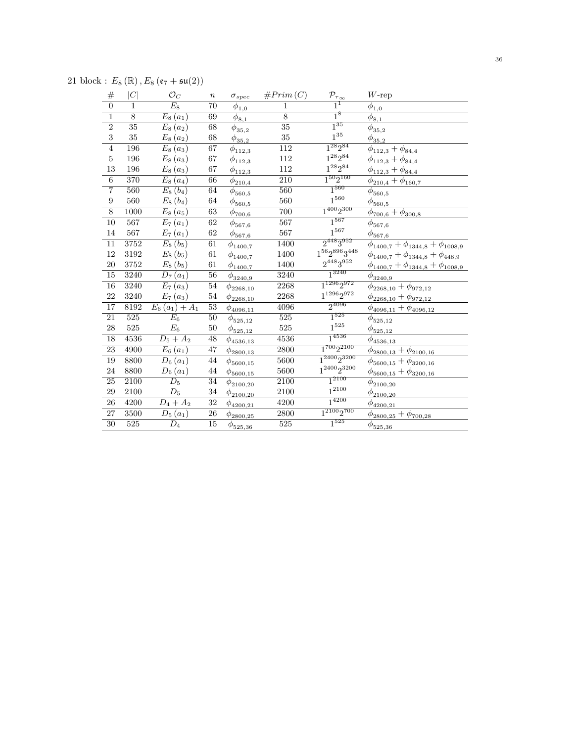21 block :  $E_8(\mathbb{R})$ ,  $E_8(\mathfrak{e}_7 + \mathfrak{su}(2))$ 

| $\#$                    | C                | $\mathcal{O}_C$                  | $\boldsymbol{n}$ | $\sigma_{spec}$                               | #Prim(C)         | $\mathcal{P}_{\underline{\tau_{\infty}}}$ | $W$ -rep                                        |
|-------------------------|------------------|----------------------------------|------------------|-----------------------------------------------|------------------|-------------------------------------------|-------------------------------------------------|
| $\overline{0}$          | 1                | $\overline{E_8}$                 | 70               | $\phi_{\underline{1,0}}$                      | $\mathbf{1}$     | $1^1$                                     | $\phi_{\underline{1,0}}$                        |
| $\overline{1}$          | 8                | $E_8(a_1)$                       | 69               | $\phi_{\underline{8,1}}$                      | 8                | $1^8$                                     | $\bar{\phi}_{\underline{8,1}}$                  |
| $\overline{2}$          | 35               | $E_8(a_2)$                       | 68               | $\phi_{35,2}$                                 | $\overline{35}$  | $1^{35}$                                  | $\phi_{{35,2}}$                                 |
| $\overline{\mathbf{3}}$ | 35               | $E_8(a_2)$                       | 68               | $\phi_{{35,2}}$                               | 35               | $1^{35}\,$                                | $\phi_{35,2}$                                   |
| $\overline{4}$          | 196              | $E_8(a_3)$                       | $\overline{67}$  | $\phi_{112,3}$                                | $\overline{112}$ | $1^{28}2^{84}$                            | $\phi_{112,3} + \phi_{84,4}$                    |
| $\bf 5$                 | 196              | $E_8(a_3)$                       | $67\,$           | $\phi_{112,3}$                                | $112\,$          | $1^{28}2^{84}\,$                          | $\phi_{112,3} + \phi_{84,4}$                    |
| 13                      | 196              | $E_8(a_3)$                       | 67               | $\phi_{{\underline {112}}, {\underline {3}}}$ | 112              | $1^{28}2^{84}\,$                          | $\phi_{112,3} + \phi_{84,4}$                    |
| $\overline{6}$          | 370              | $E_8(a_4)$                       | 66               | $\phi_{210,4}$                                | $\overline{210}$ | $1^{50}2^{160}$                           | $\phi_{210,4} + \phi_{160,7}$                   |
| $\overline{7}$          | 560              | $E_8(b_4)$                       | 64               | $\phi_{560,5}$                                | 560              | $1^{560}$                                 | $\phi_{560,5}$                                  |
| $\boldsymbol{9}$        | 560              | $E_8(b_4)$                       | 64               | $\phi_{\underline{560,5}}$                    | 560              | $1^{560}\,$                               | $\phi_{\underline{560,5}}$                      |
| $\overline{8}$          | 1000             | $E_8(a_5)$                       | 63               | $\phi_{700,6}$                                | 700              | $1^{400}2^{300}$                          | $\phi_{700,6} + \phi_{300,8}$                   |
| $\overline{10}$         | 567              | $E_7(a_1)$                       | $\overline{62}$  | $\phi_{567,6}$                                | $\overline{567}$ | $1^{567}$                                 | $\phi_{567,6}$                                  |
| $14\,$                  | 567              | $E_7(a_1)$                       | 62               | $\phi_{567,6}$                                | 567              | $1^{567}\,$                               | $\phi_{567,6}$                                  |
| $\overline{11}$         | 3752             | $E_8(b_5)$                       | $\overline{61}$  | $\phi_{1400,7}$                               | 1400             | $2^{448}3^{952}$                          | $\phi_{1400,7} + \phi_{1344,8} + \phi_{1008,9}$ |
| $12\,$                  | 3192             | $E_8(b_5)$                       | $61\,$           | $\phi_{1400,7}$                               | 1400             | $1^{56}2^{896}3^{448}\,$                  | $\phi_{1400,7} + \phi_{1344,8} + \phi_{448,9}$  |
| $20\,$                  | 3752             | $E_8(b_5)$                       | 61               | $\phi_{1400,7}$                               | 1400             | $2^{448}3^{952}$                          | $\phi_{1400,7} + \phi_{1344,8} + \phi_{1008,9}$ |
| $\overline{15}$         | 3240             | $D_7(a_1)$                       | $\overline{56}$  | $\phi_{3240,9}$                               | 3240             | $1^{3240}$                                | $\phi_{3240,9}$                                 |
| $\overline{16}$         | 3240             | $E_7(a_3)$                       | 54               | $\phi_{2268,10}$                              | 2268             | $1^{1296}2^{972}$                         | $\phi_{2268,10} + \phi_{972,12}$                |
| 22                      | 3240             | $E_7(a_3)$                       | 54               | $\phi_{2268,10}$                              | 2268             | $1^{1296}2^{972}$                         | $\phi_{2268,10} + \phi_{972,12}$                |
| $\overline{17}$         | 8192             | $E_6(a_1) + A_1$                 | 53               | $\phi_{4096,11}$                              | 4096             | $2^{4096}$                                | $\phi_{4096,11} + \phi_{4096,12}$               |
| $\overline{21}$         | 525              | $E_6$                            | 50               | $\phi_{525,12}$                               | $\overline{525}$ | $1^{525}$                                 | $\phi_{525,12}$                                 |
| $\sqrt{28}$             | 525              | $E_6$                            | $50\,$           | $\phi_{525,12}$                               | 525              | $1^{525}\,$                               | $\phi_{525,12}$                                 |
| 18                      | 4536             | $D_5 + A_2$                      | 48               | $\phi_{4536,13}$                              | 4536             | $1^{4536}$                                | $\phi_{{\underline {4536,13} }}$                |
| $\overline{23}$         | 4900             | $E_6(a_1)$                       | 47               | $\phi_{{2800,13}}$                            | 2800             | $1^{700}2^{2100}$                         | $\phi_{2800,13} + \phi_{2100,16}$               |
| 19                      | 8800             | $D_6(a_1)$                       | 44               | $\phi_{5600,15}$                              | 5600             | $1^{2400}2^{3200}$                        | $\phi_{5600,15} + \phi_{3200,16}$               |
| 24                      | 8800             | $D_6(a_1)$                       | 44               | $\phi_{5600,15}$                              | 5600             | $1^{2400}2^{3200}$                        | $\phi_{5600,15}+\phi_{3200,16}$                 |
| $\overline{25}$         | 2100             | $\overline{D_5}$                 | 34               | $\phi_{2100,20}$                              | 2100             | $1^{2100}$                                | $\phi_{2100,20}$                                |
| $\,29$                  | 2100             | $\mathcal{D}_5$                  | 34               | $\phi_{2100,20}$                              | 2100             | $1^{2100}\,$                              | $\phi_{2100,20}$                                |
| $\overline{26}$         | 4200             | $D_4 + A_2$                      | 32               | $\phi_{4200,21}$                              | 4200             | $1^{4200}$                                | $\phi_{4200,21}$                                |
| 27                      | 3500             | $\overline{D_5\left(a_1\right)}$ | $\overline{26}$  | $\phi_{2800,25}$                              | 2800             | $1^{2100}2^{700}$                         | $\phi_{2800,25}+\phi_{700,28}$                  |
| $\overline{30}$         | $\overline{525}$ | $\overline{D_4}$                 | $\overline{15}$  | $\phi_{\frac{525,36}{525,36}}$                | $\overline{525}$ | $1^{525}$                                 | $\phi_{525,36}$                                 |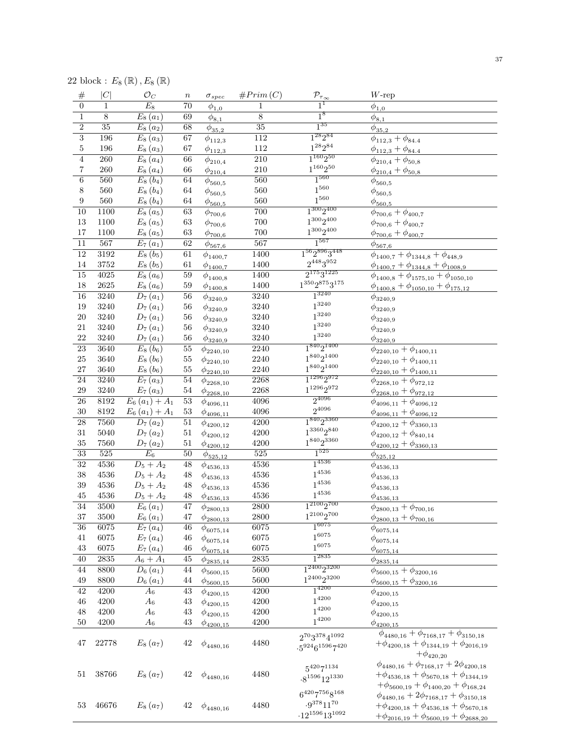22 block :  $E_8(\mathbb{R})$ ,  $E_8(\mathbb{R})$ 

| $\#$             | $ \overline{C} $ | $\mathcal{O}_C$                  | $\boldsymbol{n}$ | $\sigma_{spec}$             | #Prim(C)          | $\mathcal{P}_{\underline{\tau_{\infty}}}$                             | $W$ -rep                                                                                                                                                         |
|------------------|------------------|----------------------------------|------------------|-----------------------------|-------------------|-----------------------------------------------------------------------|------------------------------------------------------------------------------------------------------------------------------------------------------------------|
| $\overline{0}$   | 1                | $E_8$                            | $\overline{70}$  | $\phi_{1,0}$                | $\mathbf{1}$      | $1^1$                                                                 | $\overline{\phi}_{1,0}$                                                                                                                                          |
| $\,1$            | $8\,$            | $E_8(a_1)$                       | 69               | $\phi_{\underline{8,1}}$    | $\overline{8}$    | 1 <sup>8</sup>                                                        | $\phi_{\underline{8,1}}$                                                                                                                                         |
| $\overline{2}$   | $\overline{35}$  | $E_8(a_2)$                       | 68               | $\phi_{35,2}$               | $\overline{35}$   | $1^{35}$                                                              | $\phi_{35,2}$                                                                                                                                                    |
| $\overline{3}$   | 196              | $\overline{E}_8(a_3)$            | 67               | $\phi_{112,3}$              | 112               | $1^{28}2^{84}$                                                        | $\phi_{112,3} + \phi_{84.4}$                                                                                                                                     |
| $\bf 5$          | 196              | $E_8(a_3)$                       | 67               | $\phi_{112,3}$              | $112\,$           | $1^{28}2^{84}$                                                        | $\phi_{112,3} + \phi_{84.4}$                                                                                                                                     |
| $\overline{4}$   | $\overline{260}$ | $E_8(a_4)$                       | 66               | $\phi_{210,4}$              | $\overline{210}$  | $1^{160}2^{50}$                                                       | $\phi_{210,4} + \phi_{50,8}$                                                                                                                                     |
| $\,7$            | 260              | $E_8(a_4)$                       | 66               | $\phi_{210,4}$              | $210\,$           | $1^{160}2^{50}$                                                       | $\phi_{210,4} + \phi_{50,8}$                                                                                                                                     |
| $\,6$            | 560              | $E_8(b_4)$                       | 64               | $\phi_{560,5}$              | 560               | $1^{560}$                                                             | $\phi_{560,5}$                                                                                                                                                   |
| 8                | $560\,$          | $E_8(b_4)$                       | 64               | $\phi_{560,5}$              | 560               | $1^{560}$                                                             | $\phi_{560,5}$                                                                                                                                                   |
| $\boldsymbol{9}$ | $560\,$          | $E_8(b_4)$                       | 64               | $\frac{\phi_{560,5}}{2}$    | $560\,$           | $1^{560}\,$                                                           | $\phi_{\underline{560,5}}$                                                                                                                                       |
| 10               | 1100             | $\overline{E}_8(a_5)$            | 63               | $\phi_{700,6}$              | 700               | $1^{300}2^{400}$                                                      | $\phi_{700,6} + \phi_{400,7}$                                                                                                                                    |
| 13               | 1100             | $E_8(a_5)$                       | $63\,$           |                             | $700\,$           | $1^{300}2^{400}$                                                      | $\phi_{700,6} + \phi_{400,7}$                                                                                                                                    |
| 17               | 1100             | $E_8(a_5)$                       | $63\,$           | $\phi_{700,6}$              | 700               | $1^{300}2^{400}$                                                      |                                                                                                                                                                  |
| $\overline{11}$  | 567              | $E_7(a_1)$                       | 62               | $\phi_{700,6}$              | 567               | $1^{567}$                                                             | $\phi_{700,6} + \phi_{400,7}$                                                                                                                                    |
| $\overline{12}$  | 3192             |                                  |                  | $\phi_{\underline{567,6}}$  | 1400              | $1^{56}2^{896}3^{448}$                                                | $\phi_{\underline{567,6}}$                                                                                                                                       |
|                  |                  | $E_8(b_5)$                       | 61               | $\phi_{1400,7}$             |                   | $2^{448}3^{952}$                                                      | $\phi_{1400,7} + \phi_{1344,8} + \phi_{448,9}$                                                                                                                   |
| 14               | 3752             | $E_{8}\left(b_{5}\right)$        | 61               | $\phi_{1400,7}$             | 1400              |                                                                       | $\phi_{1400,7} + \phi_{1344,8} + \phi_{1008,9}$                                                                                                                  |
| $\overline{15}$  | 4025             | $E_8(a_6)$                       | $\overline{59}$  | $\phi_{1400, 8}$            | 1400              | $2^{175}3^{1225}$                                                     | $\phi_{1400,8} + \phi_{1575,10} + \phi_{1050,10}$                                                                                                                |
| 18               | $2625\,$         | $E_8(a_6)$                       | 59               | $\phi_{1400,8}$             | 1400              | $1^{350}2^{875}3^{175}$                                               | $\phi_{1400,8} + \phi_{1050,10} + \phi_{175,12}$                                                                                                                 |
| $\overline{16}$  | 3240             | $\overline{D}_7(a_1)$            | $\overline{56}$  | $\phi_{3240,9}$             | 3240              | $1^{3240}$                                                            | $\phi_{3240,9}$                                                                                                                                                  |
| 19               | 3240             | $D_7(a_1)$                       | 56               | $\phi_{3240,9}$             | 3240              | $1^{3240}$                                                            | $\phi_{3240,9}$                                                                                                                                                  |
| 20               | 3240             | $D_7(a_1)$                       | 56               | $\phi_{3240,9}$             | 3240              | $1^{3240}$                                                            | $\phi_{3240,9}$                                                                                                                                                  |
| $21\,$           | $3240\,$         | $D_7(a_1)$                       | 56               | $\phi_{3240,9}$             | 3240              | $1^{3240}$                                                            | $\phi_{3240,9}$                                                                                                                                                  |
| 22               | 3240             | $D_7(a_1)$                       | 56               | $\phi_{\underline{3240,9}}$ | 3240              | $1^{3240}$                                                            | $\phi_{\underline{3240,9}}$                                                                                                                                      |
| $\overline{23}$  | 3640             | $\overline{E_8(b_6)}$            | $\overline{55}$  | $\phi_{2240,10}$            | $2240\,$          | $1^{840}2^{1400}$                                                     | $\phi_{2240,10} + \phi_{1400,11}$                                                                                                                                |
| 25               | $3640\,$         | $E_8(b_6)$                       | $55\,$           | $\phi_{2240,10}$            | 2240              | $1^{840}2^{1400}$                                                     | $\phi_{2240,10} + \phi_{1400,11}$                                                                                                                                |
| $27\,$           | $3640\,$         | $E_8(b_6)$                       | 55               | $\phi_{2240,10}$            | $2240\,$          | $1^{840}2^{1400}$                                                     | $\phi_{2240,10} + \phi_{1400,11}$                                                                                                                                |
| $\overline{24}$  | 3240             | $\overline{E_7}\left(a_3\right)$ | 54               | $\phi_{2268,10}$            | 2268              | $1^{1296}2^{972}$                                                     | $\phi_{2268,10} + \phi_{972,12}$                                                                                                                                 |
| 29               | 3240             | $E_7(a_3)$                       | $54\,$           | $\phi_{2268,10}$            | 2268              | $1^{1296}2^{972}\,$                                                   | $\phi_{2268,10} + \phi_{972,12}$                                                                                                                                 |
| $\overline{26}$  | 8192             | $E_6(a_1) + A_1$                 | 53               |                             | 4096              | $2^{4096}$                                                            |                                                                                                                                                                  |
| $30\,$           | 8192             | $E_6(a_1) + A_1$                 | $53\,$           | $\phi_{4096,11}$            | $4096\,$          | $2^{4096}$                                                            | $\phi_{4096,11} + \phi_{4096,12}$                                                                                                                                |
| $\overline{28}$  | 7560             | $D_7(a_2)$                       | 51               | $\phi_{4096,11}$            | 4200              | $1^{840}2^{3360}$                                                     | $\phi_{4096,11} + \phi_{4096,12}$                                                                                                                                |
| 31               | $5040\,$         |                                  | 51               | $\phi_{4200,12}$            | 4200              | $1^{3360}2^{840}$                                                     | $\phi_{4200,12} + \phi_{3360,13}$                                                                                                                                |
|                  |                  | $D_7(a_2)$                       |                  | $\phi_{4200,12}$            |                   | $1^{840}2^{3360}$                                                     | $\phi_{4200,12} + \phi_{840,14}$                                                                                                                                 |
| 35               | 7560             | $D_7(a_2)$                       | 51               | $\phi_{4200,12}$            | 4200              | $1^{525}$                                                             | $\phi_{4200,12} + \phi_{3360,13}$                                                                                                                                |
| $\overline{33}$  | 525              | $E_6$                            | 50               | $\phi_{525,12}$             | 525               |                                                                       | $\phi_{\underline{525,12}}$                                                                                                                                      |
| $\overline{32}$  | 4536             | $D_5 + A_2$                      | $\overline{48}$  | $\phi_{4536,13}$            | 4536              | $1^{4536}$                                                            | $\phi_{4536,13}$                                                                                                                                                 |
| 38               | 4536             | $D_5 + A_2$                      | 48               | $\phi_{4536,13}$            | $\!536$           | $1^{4536}$                                                            | $\phi_{4536,13}$                                                                                                                                                 |
| 39               | 4536             | $D_5 + A_2$                      | 48               | $\phi_{4536,13}$            | $\!536$           | $1^{4536}$                                                            | $\phi_{4536,13}$                                                                                                                                                 |
| $\rm 45$         | 4536             | $D_5 + A_2$                      | 48               | $\phi_{4536,13}$            | 4536              | $1^{4536}$                                                            | $\phi_{4536,13}$                                                                                                                                                 |
| $\overline{34}$  | 3500             | $E_6(a_1)$                       | $\overline{47}$  | $\phi_{2800,13}$            | 2800              | $1^{2100}2^{700}$                                                     | $\phi_{2800,13} + \phi_{700,16}$                                                                                                                                 |
| 37               | $3500\,$         | $E_6(a_1)$                       | 47               | $\phi_{2800,13}$            | 2800              | $1^{2100}2^{700}$                                                     | $\phi_{2800,13} + \phi_{700,16}$                                                                                                                                 |
| $\overline{36}$  | 6075             | $\overline{E_7(a_4)}$            | 46               | $\phi_{6075,14}$            | 6075              | $1^{6075}$                                                            | $\phi_{6075,14}$                                                                                                                                                 |
| 41               | 6075             | $E_7(a_4)$                       | $\sqrt{46}$      | $\phi_{6075,14}$            | 6075              | $1^{6075}$                                                            | $\phi_{6075,14}$                                                                                                                                                 |
| 43               | 6075             | $E_7(a_4)$                       | $\sqrt{46}$      | $\phi_{6075,14}$            | 6075              | $1^{6075}$                                                            | $\phi_{\underline{6075,14}}$                                                                                                                                     |
| $\overline{40}$  | 2835             | $A_6 + A_1$                      | 45               | $\phi_{{2835,14}}$          | $\overline{2835}$ | $1^{2835}$                                                            | $\phi_{{\frac{2835,14}{2}}}$                                                                                                                                     |
| 44               | 8800             | $D_6(a_1)$                       | 44               | $\phi_{5600,15}$            | 5600              | $1^{2400}2^{3200}$                                                    | $\phi_{5600,15} + \phi_{3200,16}$                                                                                                                                |
| $\rm 49$         | 8800             | $D_6(a_1)$                       | $\rm 44$         |                             | $5600\,$          | $1^{2400}2^{3200}$                                                    | $\phi_{5600,15} + \phi_{3200,16}$                                                                                                                                |
| 42               | 4200             | $A_6$                            | 43               | $\phi_{5600,15}$            | 4200              | $1^{4200}$                                                            |                                                                                                                                                                  |
| 46               | 4200             | $A_6$                            | $43\,$           | $\phi_{4200,15}$            | 4200              | $1^{4200}$                                                            | $\phi_{4200,15}$                                                                                                                                                 |
|                  |                  |                                  |                  | $\phi_{4200,15}$            |                   | $1^{4200}$                                                            | $\phi_{4200,15}$                                                                                                                                                 |
| 48               | 4200<br>4200     | $A_6$                            | $43\,$           | $\phi_{4200,15}$            | 4200              | $1^{4200}$                                                            | $\phi_{4200,15}$                                                                                                                                                 |
| $50\,$           |                  | $A_6$                            | $43\,$           | $\phi_{4200,15}$            | 4200              |                                                                       | $\phi_{4200,15}$                                                                                                                                                 |
| 47               | 22778            | $E_8(a_7)$                       | $42\,$           | $\phi_{4480,16}$            | 4480              | $2^{70}3^{378}4^{1092}$<br>$-5^{924}6^{1596}7^{420}$                  | $\phi_{4480,16} + \phi_{7168,17} + \phi_{3150,18}$<br>$+\phi_{4200,18} + \phi_{1344,19} + \phi_{2016,19}$<br>$+\phi_{420,20}$                                    |
| 51               | 38766            | $E_8(a_7)$                       | $42\,$           | $\phi_{4480,16}$            | 4480              | $5^{420}7^{1134}$<br>$\cdot 8^{1596}12^{1330}$                        | $\phi_{4480,16} + \phi_{7168,17} + 2\phi_{4200,18}$<br>$+\phi_{4536,18} + \phi_{5670,18} + \phi_{1344,19}$<br>$+\phi_{5600,19} + \phi_{1400,20} + \phi_{168,24}$ |
| 53               | 46676            | $E_8(a_7)$                       | 42               | $\phi_{4480,16}$            | 4480              | $6^{420}7^{756}8^{168}$<br>$.9^{378}11^{70}$<br>$-12^{1596}13^{1092}$ | $\phi_{4480,16}+2\phi_{7168,17}+\phi_{3150,18}$<br>$+\phi_{4200,18} + \phi_{4536,18} + \phi_{5670,18}$<br>$+\phi_{2016,19}+\phi_{5600,19}+\phi_{2688,20}$        |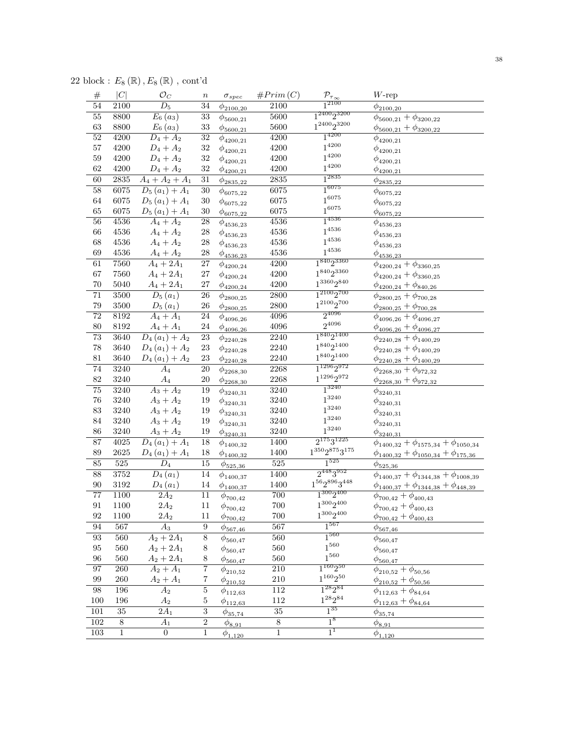22 block :  $E_8\left(\mathbb{R}\right),E_8\left(\mathbb{R}\right)$  , cont'd

| $\#$             | C               | $\mathcal{O}_C$              | $\boldsymbol{n}$ | $\sigma_{spec}$                | #Prim(C)        | $\frac{\mathcal{P}_{\tau_{\infty}}}{1^{2100}}$ | $W\text{-rep}$                                     |
|------------------|-----------------|------------------------------|------------------|--------------------------------|-----------------|------------------------------------------------|----------------------------------------------------|
| $\overline{54}$  | 2100            | $\overline{D_5}$             | $\overline{34}$  | $\phi_{2100,20}$               | 2100            |                                                | $\phi_{2100,20}$                                   |
| $\overline{55}$  | 8800            | $\overline{E_6(a_3)}$        | $\overline{33}$  | $\phi_{5600,21}$               | 5600            | $1^{2400}2^{3200}$                             | $\phi_{5600,21} + \phi_{3200,22}$                  |
| 63               | 8800            | $E_6(a_3)$                   | 33               | $\phi_{\frac{5600,21}{2}}$     | 5600            | $1^{2400}2^{3200}$                             | $\phi_{5600,21} + \phi_{3200,22}$                  |
| $\overline{52}$  | 4200            | $D_4 + A_2$                  | $\overline{32}$  | $\phi_{4200,21}$               | 4200            | $1^{4200}$                                     | $\phi_{4200,21}$                                   |
| $57\,$           | 4200            | $D_4 + A_2$                  | 32               | $\phi_{4200,21}$               | 4200            | $1^{4200}$                                     | $\phi_{4200,21}$                                   |
| 59               | 4200            | $D_4 + A_2$                  | 32               | $\phi_{4200,21}$               | 4200            | $1^{4200}$                                     | $\phi_{4200,21}$                                   |
| 62               | 4200            | $D_4 + A_2$                  | 32               | $\phi_{4200,21}$               | 4200            | $1^{4200}$                                     | $\phi_{4200,21}$                                   |
| 60               | 2835            | $\overline{A_4 + A_2 + A_1}$ | $\overline{31}$  | $\phi_{{\bf 2835},{\bf 22}}$   | 2835            | $1^{2835}$                                     | $\phi_{{\bf 2835},{\bf 22}}$                       |
| $58\,$           | 6075            | $D_5(a_1) + A_1$             | $\overline{30}$  | $\phi_{6075,22}$               | 6075            | $1^{6075}$                                     | $\phi_{6075,22}$                                   |
| $64\,$           | 6075            | $D_5(a_1) + A_1$             | 30               | $\phi_{6075,22}$               | 6075            | $1^{6075}$                                     | $\phi_{6075,22}$                                   |
| 65               | 6075            | $D_5(a_1) + A_1$             | $30\,$           | $\phi_{\underline{6075,22}}$   | 6075            | $1^{6075}$                                     | $\phi_{\underline{6075,22}}$                       |
| $\overline{56}$  | 4536            | $A_4 + A_2$                  | 28               | $\phi_{4536,23}$               | 4536            | $1^{4536}$                                     | $\phi_{4536,23}$                                   |
| $66\,$           | 4536            | $A_4 + A_2$                  | 28               | $\phi_{4536,23}$               | 4536            | $1^{4536}$                                     | $\phi_{4536,23}$                                   |
| 68               | 4536            | $A_4 + A_2$                  | 28               | $\phi_{4536,23}$               | 4536            | $1^{4536}$                                     | $\phi_{4536,23}$                                   |
| 69               | $4536\,$        | $A_4 + A_2$                  | $\sqrt{28}$      | $\phi_{4536,23}$               | 4536            | $1^{4536}$                                     | $\phi_{4536,23}$                                   |
| 61               | 7560            | $A_4 + 2A_1$                 | $\overline{27}$  | $\phi_{4200,24}$               | 4200            | $1^{840}2^{3360}$                              | $\phi_{4200,24} + \phi_{3360,25}$                  |
| 67               | 7560            | $A_4 + 2A_1$                 | $27\,$           |                                | 4200            | $1^{840}2^{3360}$                              | $\phi_{4200,24} + \phi_{3360,25}$                  |
| $70\,$           | $5040\,$        | $A_4 + 2A_1$                 | $27\,$           | $\phi_{4200,24}$               | 4200            | $1^{3360}2^{840}$                              | $\phi_{4200,24} + \phi_{840,26}$                   |
| $\overline{71}$  | 3500            | $\overline{D_5(a_1)}$        | $\overline{26}$  | $\phi_{4200,24}$               | 2800            | $1^{2100}2^{700}$                              |                                                    |
| 79               | $3500\,$        | $D_5(a_1)$                   | 26               | $\phi_{2800,25}$               | $2800\,$        | $1^{2100}2^{700}$                              | $\phi_{2800,25} + \phi_{700,28}$                   |
| $\overline{72}$  | 8192            | $\overline{A_4 + A_1}$       | 24               | $\phi_{2800,25}$               | 4096            | $2^{4096}$                                     | $\phi_{2800,25} + \phi_{700,28}$                   |
| $80\,$           | 8192            |                              |                  | $\phi_{4096,26}$               |                 | $2^{4096}$                                     | $\phi_{4096,26} + \phi_{4096,27}$                  |
|                  |                 | $A_4 + A_1$                  | 24               | $\phi_{4096,26}$               | 4096            | $1^{840}2^{1400}$                              | $\phi_{4096,26} + \phi_{4096,27}$                  |
| $\overline{73}$  | 3640            | $D_4(a_1) + A_2$             | $\overline{23}$  | $\phi_{2240,28}$               | 2240            | $1^{840}2^{1400}$                              | $\phi_{2240,28} + \phi_{1400,29}$                  |
| 78               | 3640            | $D_4(a_1) + A_2$             | $23\,$           | $\phi_{2240,28}$               | 2240            | $1^{840}2^{1400}$                              | $\phi_{2240,28} + \phi_{1400,29}$                  |
| 81               | 3640            | $D_4(a_1) + A_2$             | 23               | $\phi_{2240,28}$               | 2240            | $1^{1296}2^{972}$                              | $\phi_{2240,28} + \phi_{1400,29}$                  |
| $\overline{74}$  | 3240            | $A_4$                        | $\overline{20}$  | $\phi_{2268,30}$               | 2268            | $1^{1296}2^{972}$                              | $\phi_{2268,30} + \phi_{972,32}$                   |
| $82\,$           | 3240            | $\mathcal{A}_4$              | $20\,$           | $\phi_{2268,30}$               | 2268            | $1^{3240}$                                     | $\phi_{2268,30} + \phi_{972,32}$                   |
| $\overline{75}$  | 3240            | $A_3 + A_2$                  | 19               | $\phi_{3240,31}$               | 3240            | $1^{3240}$                                     | $\phi_{3240,31}$                                   |
| 76               | 3240            | $A_3 + A_2$                  | 19               | $\phi_{3240,31}$               | 3240            |                                                | $\phi_{3240,31}$                                   |
| 83               | 3240            | $A_3 + A_2$                  | 19               | $\phi_{3240,31}$               | 3240            | $1^{3240}$<br>$1^{3240}$                       | $\phi_{3240,31}$                                   |
| 84               | 3240            | $A_3 + A_2$                  | 19               | $\phi_{3240,31}$               | 3240            |                                                | $\phi_{3240,31}$                                   |
| 86               | 3240            | $A_3 + A_2$                  | 19               | $\phi_{\underline{3240,31}}$   | 3240            | $1^{3240}$                                     | $\phi_{3240,31}$                                   |
| 87               | 4025            | $D_4(a_1) + A_1$             | 18               | $\phi_{1400,32}$               | 1400            | $2^{175}3^{1225}$                              | $\phi_{1400,32} + \phi_{1575,34} + \phi_{1050,34}$ |
| 89               | $2625\,$        | $D_4(a_1) + A_1$             | 18               | $\phi_{\underline{1400,32}}$   | 1400            | $1^{350}2^{875}3^{175}$                        | $\phi_{1400,32} + \phi_{1050,34} + \phi_{175,36}$  |
| 85               | 525             | $D_4$                        | 15               | $\phi_{\frac{525,36}{525,36}}$ | 525             | $1^{525}$                                      | $\phi_{\frac{525,36}{525,36}}$                     |
| 88               | 3752            | $D_4(a_1)$                   | 14               | $\phi_{1400,37}$               | 1400            | $2^{448}3^{952}$                               | $\phi_{1400,37} + \phi_{1344,38} + \phi_{1008,39}$ |
| 90               | $3192\,$        | $D_{4}(a_{1})$               | 14               | $\phi_{1400,37}$               | 1400            | $1^{56}2^{896}3^{448}\,$                       | $\phi_{1400,37} + \phi_{1344,38} + \phi_{448,39}$  |
| 77               | 1100            | $2A_2$                       | 11               | $\phi_{700,42}$                | $700\,$         | $1^{300}2^{400}$                               | $\phi_{700,42} + \phi_{400,43}$                    |
| 91               | 1100            | $2A_2$                       | 11               | $\phi_{700,42}$                | 700             | $1^{300}2^{400}$                               | $\phi_{700,42}+\phi_{400,43}$                      |
| 92               | 1100            | $2A_2$                       | 11               | $\phi_{700,42}$                | 700             | $1^{300}2^{400}$                               | $\phi_{700,42} + \phi_{400,43}$                    |
| $\overline{94}$  | 567             | $\overline{A_3}$             | $\overline{9}$   | $\phi_{\frac{567,46}{567,46}}$ | 567             | $1^{567}$                                      | $\phi_{\frac{567,46}{5}}$                          |
| $93\,$           | $560\,$         | $A_2 + 2A_1$                 | $\overline{8}$   | $\phi_{560,47}$                | 560             | $1^{560}$                                      | $\phi_{560,47}$                                    |
| $\rm 95$         | 560             | $A_2 + 2A_1$                 | 8                | $\phi_{560,47}$                | $560\,$         | $1^{560}\,$                                    | $\phi_{560,47}$                                    |
| $96\,$           | 560             | $A_2 + 2A_1$                 | 8                | $\phi_{560,47}$                | 560             | $1^{560}\,$                                    | $\phi_{560,47}$                                    |
| 97               | $260\,$         | $A_2 + A_1$                  | 7                | $\phi_{210,52}$                | 210             | $1^{160}2^{50}$                                | $\phi_{210,52} + \phi_{50,56}$                     |
| $99\,$           | $260\,$         | $A_2 + A_1$                  | $\,7$            | $\phi_{210,52}$                | $210\,$         | $1^{160}2^{50}$                                | $\phi_{210,52} + \phi_{50,56}$                     |
| $98\,$           | 196             | A <sub>2</sub>               | $\overline{5}$   | $\phi_{112,63}$                | $112\,$         | $1^{28}2^{84}$                                 | $\phi_{112,63} + \phi_{84,64}$                     |
| $100\,$          | 196             | $A_2$                        | $\bf 5$          | $\phi_{112,63}$                | $112\,$         | $1^{28}2^{84}\,$                               | $\phi_{112,63} + \phi_{84,64}$                     |
| 101              | $\overline{35}$ | $2A_1$                       | $\overline{3}$   | $\phi_{{35,74}}$               | $\overline{35}$ | $1^{35}$                                       | $\phi_{35,74}$                                     |
| 102              | $\overline{8}$  | $A_1$                        | $\,2$            | $\phi_{8,91}$                  | $\,8\,$         | $1^8$                                          | $\phi_{8,91}$                                      |
| $\overline{103}$ | $\overline{1}$  | $\overline{0}$               | $\mathbf 1$      | $\phi_{1,120}$                 | $\overline{1}$  | $1^1$                                          | $\phi_{1,120}$                                     |
|                  |                 |                              |                  |                                |                 |                                                |                                                    |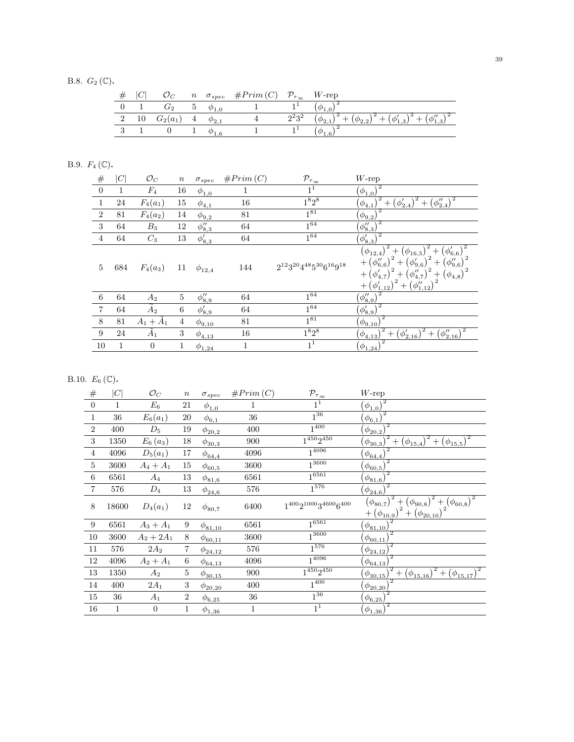B.8.  $G_2(\mathbb{C})$ .

|  |      |                |                | $n \quad \sigma_{spec} \quad \#Prim(C) \quad \mathcal{P}_{\tau_{\infty}} \quad W$ -rep |           |        |
|--|------|----------------|----------------|----------------------------------------------------------------------------------------|-----------|--------|
|  |      | G <sub>2</sub> |                |                                                                                        |           |        |
|  | 2 10 | $G_2(a_1)$     | $\overline{4}$ |                                                                                        | $2^2 3^2$ | $\sim$ |
|  |      |                |                |                                                                                        |           |        |
|  |      |                |                |                                                                                        |           |        |

# B.9.  $F_4$  (C).

| $\#$           | C            | $\mathcal{O}_C$   | $\boldsymbol{n}$ | $\sigma_{spec}$ | #Prim(C)     | $\mathcal{P}_{\tau_{\infty}}$          | $W$ -rep                                                                                                                                                                                                                                                                                                                                                                                                                                                                                                                                                                                                                                                                                                                                                                        |
|----------------|--------------|-------------------|------------------|-----------------|--------------|----------------------------------------|---------------------------------------------------------------------------------------------------------------------------------------------------------------------------------------------------------------------------------------------------------------------------------------------------------------------------------------------------------------------------------------------------------------------------------------------------------------------------------------------------------------------------------------------------------------------------------------------------------------------------------------------------------------------------------------------------------------------------------------------------------------------------------|
| $\overline{0}$ | $\mathbf{1}$ | $F_4$             | 16               | $\phi_{1,0}$    | 1            | 1 <sup>1</sup>                         | $(\phi_{1,0})$                                                                                                                                                                                                                                                                                                                                                                                                                                                                                                                                                                                                                                                                                                                                                                  |
| $\mathbf{1}$   | 24           | $F_4(a_1)$        | 15               | $\phi_{4,1}$    | 16           | $1^8 2^8$                              | $+\left(\phi_{2,4}^{\prime\prime}\right)^{2}$<br>$\left(\phi_{2,4}'\right)^2$<br>$+$<br>$(\phi_{4,1})$                                                                                                                                                                                                                                                                                                                                                                                                                                                                                                                                                                                                                                                                          |
| $\overline{2}$ | 81           | $F_4(a_2)$        | 14               | $\phi_{9,2}$    | 81           | $1^{81}$                               | $(\phi_{9,2})$                                                                                                                                                                                                                                                                                                                                                                                                                                                                                                                                                                                                                                                                                                                                                                  |
| 3              | 64           | $B_3$             | 12               | $\phi_{8,3}''$  | 64           | $1^{64}$                               | $(\phi_{8,3}'')$                                                                                                                                                                                                                                                                                                                                                                                                                                                                                                                                                                                                                                                                                                                                                                |
| $\overline{4}$ | 64           | $C_3$             | 13               | $\phi'_{8,3}$   | 64           | $1^{64}$                               | $(\phi_{8,3}')$                                                                                                                                                                                                                                                                                                                                                                                                                                                                                                                                                                                                                                                                                                                                                                 |
| 5              | 684          | $F_4(a_3)$        | 11               | $\phi_{12,4}$   | 144          | $2^{12}3^{20}4^{48}5^{30}6^{16}9^{18}$ | $(\phi'_{6,6})$<br>$+1$<br>$(\phi_{{12,4}})$<br>$(\phi_{16,5})$<br>$^+$<br>$+\left(\phi_{6,6}''\right)$<br>$+\left( \phi_{9,6}^{\prime}\right) ^{-}$<br>$+\left(\phi_{9,6}''\right)$<br>$\begin{array}{c} +\left( \varphi_{9,6}\right) \\ \noalign{\vskip 0.2cm} \left. \begin{array}{l} +\left( \phi_{4,7}^{\prime\prime}\right) ^{2}+\left( \epsilon\right) \\ \noalign{\vskip 0.2cm} \left. \begin{array}{l} \hline \left( \phi_{4,7}^{\prime\prime}\right) ^{2}+\left( \epsilon\right) \\ \hline \left. \begin{array}{l} \hline \left( \theta_{4,7}^{\prime\prime}\right) ^{2} \end{array} \right. \end{array} \right. \end{array}$<br>$(\phi_{4,7}')$<br>$(\phi_{4,8})$<br>$^+$<br>$+\left(\phi_{1,12}''\right)$<br>$+\left( \phi_{\underline{1},12}^{\prime}\right) ^{2}$ |
| 6              | 64           | $A_2$             | $\overline{5}$   | $\phi_{8,9}''$  | 64           | $1^{64}$                               | $(\phi_{8,9}'')$                                                                                                                                                                                                                                                                                                                                                                                                                                                                                                                                                                                                                                                                                                                                                                |
| $\overline{7}$ | 64           | $\widetilde{A}_2$ | $6\phantom{.}6$  | $\phi'_{8,9}$   | 64           | $1^{64}$                               | $^{2}$<br>$(\phi_{8,9}')$                                                                                                                                                                                                                                                                                                                                                                                                                                                                                                                                                                                                                                                                                                                                                       |
| 8              | 81           | $A_1+\tilde{A}_1$ | 4                | $\phi_{9,10}$   | 81           | $1^{81}$                               | $(\phi_{9,10})$                                                                                                                                                                                                                                                                                                                                                                                                                                                                                                                                                                                                                                                                                                                                                                 |
| 9              | 24           | $\tilde{A}_1$     | 3                | $\phi_{4,13}$   | 16           | $1^8 2^8$                              | $(\phi_{2,16}')^2 + (\phi_{2,16}'')^2$<br>$^{+}$<br>$(\phi_{4,13})$                                                                                                                                                                                                                                                                                                                                                                                                                                                                                                                                                                                                                                                                                                             |
| 10             | 1            | $\overline{0}$    | 1                | $\phi_{1,24}$   | $\mathbf{1}$ | 1 <sup>1</sup>                         | $(\phi_{1,24})$                                                                                                                                                                                                                                                                                                                                                                                                                                                                                                                                                                                                                                                                                                                                                                 |

# B.10.  $E_6(\mathbb{C})$ .

| $\#$           | C     | $\mathcal{O}_C$  | $\,n$          | $\sigma_{spec}$           | #Prim(C) | $\mathcal{P}_{\tau_{\underline{\infty}}}$ | $W$ -rep                                                                                                                         |
|----------------|-------|------------------|----------------|---------------------------|----------|-------------------------------------------|----------------------------------------------------------------------------------------------------------------------------------|
| $\overline{0}$ |       | $\mathcal{E}_6$  | 21             | $\phi_{1,0}$              | 1        | 1 <sup>1</sup>                            | $(\phi_{1,0})$                                                                                                                   |
| 1              | 36    | $E_6(a_1)$       | 20             | $\phi_{6,1}$              | 36       | $1^{36}$                                  | $\sqrt{2}$<br>$(\phi_{6,1})$                                                                                                     |
| $\overline{2}$ | 400   | $D_5$            | 19             | $\phi_{20,2}$             | 400      | $1^{400}$                                 | 2<br>$(\phi_{20,2})$                                                                                                             |
| 3              | 1350  | $E_6(a_3)$       | 18             | $\phi_{{\bf 30},3}$       | 900      | $1^{450}2^{450}$                          | $\sqrt[2]{1-(\phi_{15,4})^2+(\phi_{15,5})^2}$<br>$(\phi_{30,3})$                                                                 |
| $\overline{4}$ | 4096  | $D_5(a_1)$       | $17\,$         | $\phi_{\underline{64,4}}$ | 4096     | $1^{4096}$                                | $(\phi_{64,4})$                                                                                                                  |
| 5              | 3600  | $A_4 + A_1$      | 15             | $\phi_{60,5}$             | 3600     | $1^{3600}$                                | $\overline{2}$<br>$(\phi_{60,5})$                                                                                                |
| 6              | 6561  | $A_4$            | 13             | $\phi_{81,6}$             | 6561     | $1^{6561}$                                | $(\phi_{81,6})$                                                                                                                  |
| 7              | 576   | $D_4$            | 13             | $\phi_{24,6}$             | 576      | $1^{576}$                                 | $(\phi_{24,6})$                                                                                                                  |
| 8              | 18600 | $D_4(a_1)$       | 12             | $\phi_{80,7}$             | 6400     | 140021000346006400                        | $\sqrt{1^2 + (\phi_{90,8})^2 + (\phi_{60,8})^2}$<br>$(\phi_{80,7})^{\cdot}$<br>$^{2}+(\phi_{20,10})$<br>$+(\phi_{10,9})^{\circ}$ |
| 9              | 6561  | $A_3 + A_1$      | 9              | $\phi_{81,10}$            | 6561     | 16561                                     | $(\phi_{81,10})$                                                                                                                 |
| 10             | 3600  | $A_2 + 2A_1$     | 8              | $\phi_{60,11}$            | 3600     | $1^{3600}$                                | $\phi_{60,11}$                                                                                                                   |
| 11             | 576   | $2A_2$           | 7              | $\phi_{24,12}$            | 576      | $1^{576}$                                 | $\phi_{24,12}$                                                                                                                   |
| 12             | 4096  | $A_2 + A_1$      | 6              | $\phi_{64,13}$            | 4096     | $\frac{1}{1^{4096}}$                      | $(\phi_{64,13})$                                                                                                                 |
| 13             | 1350  | $A_2$            | 5              | $\phi_{30,15}$            | 900      | $1^{450}2^{450}$                          | $+$ $(\phi_{15,17})$<br>$+$ $(\phi_{15,16})$<br>$\phi_{30,15}$                                                                   |
| 14             | 400   | $2A_1$           | 3              | $\phi_{20,20}$            | 400      | $1^{400}$                                 | $\phi_{20,20}$                                                                                                                   |
| 15             | 36    | $A_1$            | $\overline{2}$ | $\phi_{\underline{6,25}}$ | 36       | $1^{36}$                                  | $(\phi_{6,25})$                                                                                                                  |
| 16             | 1     | $\boldsymbol{0}$ | 1              | $\phi_{1,36}$             | 1        | 1 <sup>1</sup>                            | 2<br>$(\phi_{1,36})$                                                                                                             |